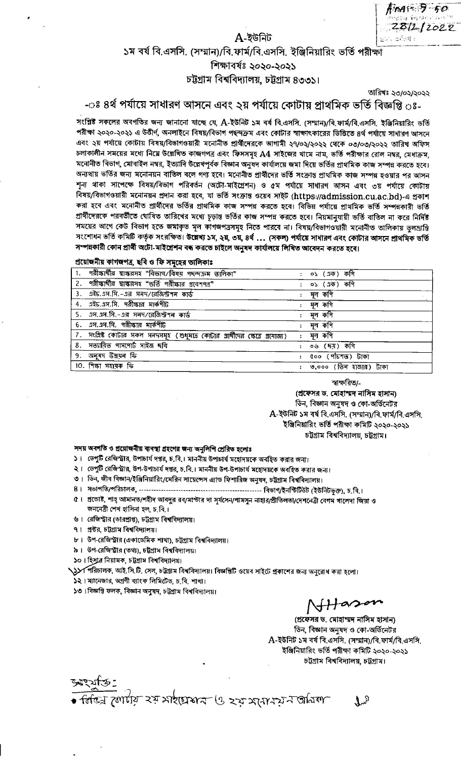$m \approx 7 - 50$ 281212022

## ১ম বর্ষ বি.এসসি. (সম্মান)/বি.ফার্ম/বি.এসসি. ইঞ্জিনিয়ারিং ভর্তি পরীক্ষা শিক্ষাবৰ্ষঃ ২০২০-২০২১

A-ইউনিট

# চট্টগ্রাম বিশ্ববিদ্যালয়, চট্টগ্রাম ৪৩৩১।

তারিখঃ ২৩/০২/২০২২

## -ঃ ৪র্থ পর্যায়ে সাধারণ আসনে এবং ২য় পর্যায়ে কোটায় প্রাথমিক ভর্তি বিজ্ঞপ্তি ঃ-

সংশ্লিষ্ট সকলের অবগতির জন্য জানানো যাচ্ছে যে, A-ইউনিট ১ম বর্ষ বি.এসসি. (সম্মান)/বি.ফার্ম/বি.এসসি. ইঞ্জিনিয়ারিং ভর্তি পরীক্ষা ২০২০-২০২১ এ উত্তীর্ণ, অনলাইনে বিষয়/বিভাগ পছন্দক্রম এবং কোটার স্বাক্ষাৎকারের ভিত্তিতে ৪র্থ পর্যায়ে সাধারণ আসনে এবং ২য় পর্যায়ে কোটায় বিষয়/বিভাগওয়ারী মনোনীত প্রার্থীদেরকে আগামী ২৭/০২/২০২২ থেকে ০৩/০৩/২০২২ তারিখ অফিস চলাকালীন সময়ের মধ্যে নিমে উল্লেখিত কাজগপত্র এবং ফিসসমূহ A4 সাইজের খামে নাম, ভর্তি পরীক্ষার রোল নম্বর, মেধাক্রম, মনোনীত বিভাগ, মোবাইল নম্বর, ইত্যাদি উল্লেখপূর্বক বিজ্ঞান অনুষদ কার্যালয়ে জমা দিয়ে ভর্তির প্রাথমিক কাজ সম্পন্ন করতে হবে। অন্যথায় ভর্তির জন্য মনোনয়ন বাতিল বলে গণ্য হবে। মনোনীত প্রার্থীদের ভর্তি সংক্রান্ত প্রাথমিক কাজ সম্পন্ন হওয়ার পর আসন শন্য থাকা সাপেক্ষে বিষয়/বিভাগ পরিবর্তন (অটো-মাইগ্রেশন) ও ৫ম পর্যায়ে সাধারণ আসন এবং ৩য় পর্যায়ে কোটায় বিষয়/বিভাগওয়ারী মনোনয়ন প্রদান করা হবে, যা ভর্তি সংক্রান্ত ওয়েব সাইট (https://admission.cu.ac.bd)-এ প্রকাশ করা হবে এবং মনোনীত প্রার্থীদের ভর্তির প্রাথমিক কাজ সম্পন্ন করতে হবে। বিভিন্ন পর্যায়ে প্রাথমিক ভর্তি সম্পন্নকারী ভর্তি প্রার্থীদেরকে পরবর্তীতে ঘোষিত তারিখের মধ্যে চূড়ান্ত ভর্তির কাজ সম্পন্ন করতে হবে। নিয়মানুযায়ী ভর্তি বাতিল না করে নির্দিষ্ট সময়ের আগে কেউ বিভাগ হতে জমাকৃত মূল কাগজপত্রসমূহ নিতে পারবে না। বিষয়/বিভাগওয়ারী মনোনীত তালিকায় ভুলম্রান্তি সংশোধন ভর্তি কমিটি কর্তৃক সংরক্ষিত। উল্লেখ্য ১ম, ২য়, ৩য়, ৪র্থ ... (সকল) পর্যায়ে সাধারণ এবং কোটার আসনে প্রাথমিক ভর্তি সম্পন্নকারী কোন প্রার্থী অটো-মাইশ্রেশন বন্ধ করতে চাইলে অনুষদ কার্যালয়ে লিখিত আবেদন করতে হবে।

#### প্ৰয়োজনীয় কাগজপত্ৰ, ছবি ও ফি সমৃহের তালিকাঃ

| 1. পরীক্ষার্থীর শ্বাক্ষরসহ "বিভাগ/বিষয় পছন্দক্রম তালিকা"                      | : ০১ (এক) কপি          |
|--------------------------------------------------------------------------------|------------------------|
| 2. পরীক্ষার্থীর স্বাক্ষরসহ "ভর্তি পরীক্ষার প্রবেশগত্র"                         | $05(17)$ কণি           |
| 3. এইচ.এস.সি.-এর সনদ/রেজিস্টশন কার্ড                                           | মূল কপি                |
| 4. এইচ.এস.সি. পরীক্ষার মার্কশীট                                                | মূল কণি                |
| 5. এস.এস.সি.-এর সনদ/রেজিশ্টশন কার্ড                                            | মূল কপি                |
| $6.$ এস.এস.সি. পরীক্ষার মার্কশীট                                               | মূল কপি                |
| 7. সংশ্লিষ্ট কোটার সকল সনদসমূহ (শুধুমাত্র কোটার প্রার্থীদের ক্ষেত্রে প্রযোজ্য) | মূল কপি                |
| 8. সত্যায়িত পাসপোর্ট সাইজ ছবি                                                 | ০৬ (ছয়) কপি           |
| 9. অনুষদ উন্নয়ন ফি                                                            | ৫০০ (পাঁচশত) টাকা      |
| 10. শিক্ষা সহায়ক ফি                                                           | ৩,০০০ (তিন হাজার) টাকা |

স্বাক্ষরিত/-

(প্ৰফেসর ড. মোহাম্মদ নাসিম হাসান) ডিন, বিজ্ঞান অনুষদ ও কো-অর্ডিনেটর A-ইউনিট ১ম বর্ষ বি.এসসি. (সম্মান)/বি.ফার্ম/বি.এসসি. ইঞ্জিনিয়ারিং ভর্তি পরীক্ষা কমিটি ২০২০-২০২১ চট্টগ্ৰাম বিশ্ববিদ্যালয়, চট্টগ্ৰাম।

#### সদয় অবগতি ও প্রয়োজনীয় ব্যবস্থা গ্রহণের জন্য অনুলিপি প্রেরিত হলোঃ

- ১। ডেপুটি রেজিস্ট্রার, উপাচার্য দপ্তর, চ.বি.। মাননীয় উপাচার্য মহোদয়কে অবহিত করার জন্য।
- ২। ডেপুটি রেজিস্ট্রার, উপ-উপাচার্য দপ্তর, চ.বি.। মাননীয় উপ-উপাচার্য মহোদয়কে অবহিত করার জন্য।
- ৩। ডিন, জীব বিজ্ঞান/ইঞ্জিনিয়ারিং/মেরিন সায়েন্সেস এ্যান্ড ফিশারিজ অনুষদ, চট্টগ্রাম বিশ্ববিদ্যালয়।
- 
- ৫। প্রভোষ্ট, শাহ্ আমানত/শহীদ আবদুর রব/মাস্টার দা সূর্যসেন/শামসুন নাহার/প্রীতিলতা/দেশনেত্রী বেগম খালেদা জিয়া ও জননেত্ৰী শেখ হাসিনা হল, চ.বি.।
- ৬। রেজিস্ট্রার (ডারপ্রাপ্ত), চট্টগ্রাম বিশ্ববিদ্যালয়।
- ৭। প্রষ্টর, চট্টগ্রাম বিশ্ববিদ্যালয়।
- ৮। উপ-রেজিস্ট্রার (একাডেমিক শাখা), চট্টগ্রাম বিশ্ববিদ্যালয়।
- ৯। উপ-রেজিস্টার (তথ্য), চটগ্রাম বিশ্ববিদ্যালয়।
- ১০। হিসুার নিয়ামক, চট্টগ্রাম বিশ্ববিদ্যালয়।

১১⁄ শিরিচালক, আই.সি.টি. সেল, চট্টগ্রাম বিশ্ববিদ্যালয়। বিজ্ঞপ্তিটি ওয়েব সাইটে প্রকাশের জন্য অনুরোধ করা হলো।

- ১২। ম্যানেজার, অগ্রণী ব্যাংক লিমিটেড, চ.বি. শাখা।
- ১৩। বিজ্ঞপ্তি ফলক, বিজ্ঞান অনুষদ, চট্টগ্রাম বিশ্ববিদ্যালয়।

 $H$ ason

(প্রফেসর ড. মোহাম্মদ নাসিম হাসান) ডিন, বিজ্ঞান অনুষদ ও কো-অর্ডিনেটর A-ইউনিট ১ম বর্ষ বি.এসসি. (সম্মান)/বি.ফার্ম/বি.এসসি. ইঞ্জিনিয়ারিং ভর্তি পরীক্ষা কমিটি ২০২০-২০২১ চট্টগ্ৰাম বিশ্ববিদ্যালয়, চট্টগ্ৰাম।

 $\mathfrak{r}_\mathfrak{p}$ 

ত্ম জোটো রয় সাইচােয়ার ও রর্তমধ্যে বর্তাঅক্ষ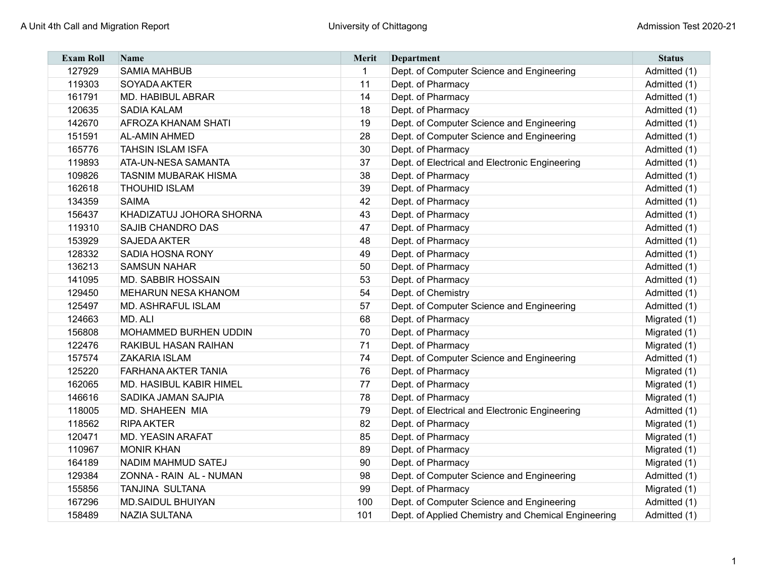| <b>Exam Roll</b> | <b>Name</b>                 | <b>Merit</b> | Department                                          | <b>Status</b> |
|------------------|-----------------------------|--------------|-----------------------------------------------------|---------------|
| 127929           | <b>SAMIA MAHBUB</b>         | -1           | Dept. of Computer Science and Engineering           | Admitted (1)  |
| 119303           | SOYADA AKTER                | 11           | Dept. of Pharmacy                                   | Admitted (1)  |
| 161791           | <b>MD. HABIBUL ABRAR</b>    | 14           | Dept. of Pharmacy                                   | Admitted (1)  |
| 120635           | <b>SADIA KALAM</b>          | 18           | Dept. of Pharmacy                                   | Admitted (1)  |
| 142670           | <b>AFROZA KHANAM SHATI</b>  | 19           | Dept. of Computer Science and Engineering           | Admitted (1)  |
| 151591           | <b>AL-AMIN AHMED</b>        | 28           | Dept. of Computer Science and Engineering           | Admitted (1)  |
| 165776           | <b>TAHSIN ISLAM ISFA</b>    | 30           | Dept. of Pharmacy                                   | Admitted (1)  |
| 119893           | <b>ATA-UN-NESA SAMANTA</b>  | 37           | Dept. of Electrical and Electronic Engineering      | Admitted (1)  |
| 109826           | <b>TASNIM MUBARAK HISMA</b> | 38           | Dept. of Pharmacy                                   | Admitted (1)  |
| 162618           | <b>THOUHID ISLAM</b>        | 39           | Dept. of Pharmacy                                   | Admitted (1)  |
| 134359           | <b>SAIMA</b>                | 42           | Dept. of Pharmacy                                   | Admitted (1)  |
| 156437           | KHADIZATUJ JOHORA SHORNA    | 43           | Dept. of Pharmacy                                   | Admitted (1)  |
| 119310           | SAJIB CHANDRO DAS           | 47           | Dept. of Pharmacy                                   | Admitted (1)  |
| 153929           | <b>SAJEDA AKTER</b>         | 48           | Dept. of Pharmacy                                   | Admitted (1)  |
| 128332           | <b>SADIA HOSNA RONY</b>     | 49           | Dept. of Pharmacy                                   | Admitted (1)  |
| 136213           | <b>SAMSUN NAHAR</b>         | 50           | Dept. of Pharmacy                                   | Admitted (1)  |
| 141095           | <b>MD. SABBIR HOSSAIN</b>   | 53           | Dept. of Pharmacy                                   | Admitted (1)  |
| 129450           | <b>MEHARUN NESA KHANOM</b>  | 54           | Dept. of Chemistry                                  | Admitted (1)  |
| 125497           | <b>MD. ASHRAFUL ISLAM</b>   | 57           | Dept. of Computer Science and Engineering           | Admitted (1)  |
| 124663           | MD, ALI                     | 68           | Dept. of Pharmacy                                   | Migrated (1)  |
| 156808           | MOHAMMED BURHEN UDDIN       | 70           | Dept. of Pharmacy                                   | Migrated (1)  |
| 122476           | <b>RAKIBUL HASAN RAIHAN</b> | 71           | Dept. of Pharmacy                                   | Migrated (1)  |
| 157574           | <b>ZAKARIA ISLAM</b>        | 74           | Dept. of Computer Science and Engineering           | Admitted (1)  |
| 125220           | <b>FARHANA AKTER TANIA</b>  | 76           | Dept. of Pharmacy                                   | Migrated (1)  |
| 162065           | MD. HASIBUL KABIR HIMEL     | 77           | Dept. of Pharmacy                                   | Migrated (1)  |
| 146616           | SADIKA JAMAN SAJPIA         | 78           | Dept. of Pharmacy                                   | Migrated (1)  |
| 118005           | <b>MD. SHAHEEN MIA</b>      | 79           | Dept. of Electrical and Electronic Engineering      | Admitted (1)  |
| 118562           | <b>RIPA AKTER</b>           | 82           | Dept. of Pharmacy                                   | Migrated (1)  |
| 120471           | <b>MD. YEASIN ARAFAT</b>    | 85           | Dept. of Pharmacy                                   | Migrated (1)  |
| 110967           | <b>MONIR KHAN</b>           | 89           | Dept. of Pharmacy                                   | Migrated (1)  |
| 164189           | <b>NADIM MAHMUD SATEJ</b>   | 90           | Dept. of Pharmacy                                   | Migrated (1)  |
| 129384           | ZONNA - RAIN AL - NUMAN     | 98           | Dept. of Computer Science and Engineering           | Admitted (1)  |
| 155856           | <b>TANJINA SULTANA</b>      | 99           | Dept. of Pharmacy                                   | Migrated (1)  |
| 167296           | <b>MD.SAIDUL BHUIYAN</b>    | 100          | Dept. of Computer Science and Engineering           | Admitted (1)  |
| 158489           | <b>NAZIA SULTANA</b>        | 101          | Dept. of Applied Chemistry and Chemical Engineering | Admitted (1)  |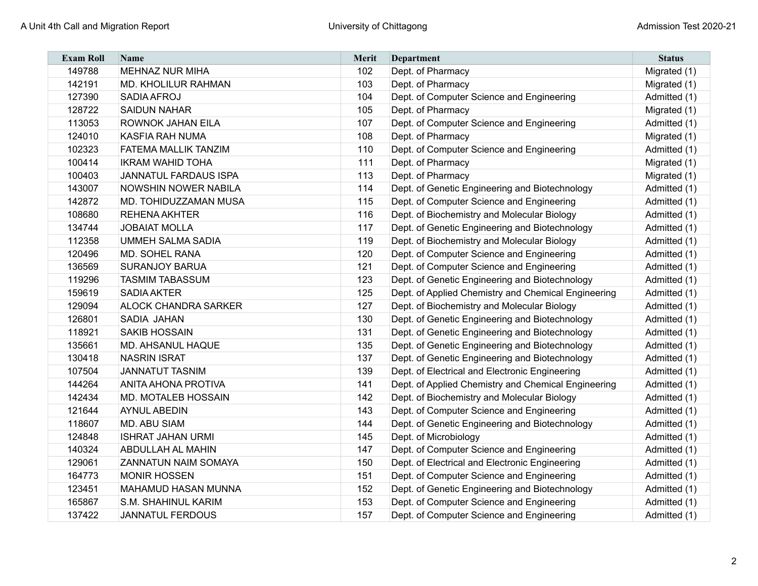| <b>Exam Roll</b> | <b>Name</b>                  | Merit | Department                                          | <b>Status</b> |
|------------------|------------------------------|-------|-----------------------------------------------------|---------------|
| 149788           | <b>MEHNAZ NUR MIHA</b>       | 102   | Dept. of Pharmacy                                   | Migrated (1)  |
| 142191           | <b>MD. KHOLILUR RAHMAN</b>   | 103   | Dept. of Pharmacy                                   | Migrated (1)  |
| 127390           | <b>SADIA AFROJ</b>           | 104   | Dept. of Computer Science and Engineering           | Admitted (1)  |
| 128722           | <b>SAIDUN NAHAR</b>          | 105   | Dept. of Pharmacy                                   | Migrated (1)  |
| 113053           | <b>ROWNOK JAHAN EILA</b>     | 107   | Dept. of Computer Science and Engineering           | Admitted (1)  |
| 124010           | <b>KASFIA RAH NUMA</b>       | 108   | Dept. of Pharmacy                                   | Migrated (1)  |
| 102323           | FATEMA MALLIK TANZIM         | 110   | Dept. of Computer Science and Engineering           | Admitted (1)  |
| 100414           | <b>IKRAM WAHID TOHA</b>      | 111   | Dept. of Pharmacy                                   | Migrated (1)  |
| 100403           | <b>JANNATUL FARDAUS ISPA</b> | 113   | Dept. of Pharmacy                                   | Migrated (1)  |
| 143007           | NOWSHIN NOWER NABILA         | 114   | Dept. of Genetic Engineering and Biotechnology      | Admitted (1)  |
| 142872           | <b>MD. TOHIDUZZAMAN MUSA</b> | 115   | Dept. of Computer Science and Engineering           | Admitted (1)  |
| 108680           | <b>REHENA AKHTER</b>         | 116   | Dept. of Biochemistry and Molecular Biology         | Admitted (1)  |
| 134744           | <b>JOBAIAT MOLLA</b>         | 117   | Dept. of Genetic Engineering and Biotechnology      | Admitted (1)  |
| 112358           | <b>UMMEH SALMA SADIA</b>     | 119   | Dept. of Biochemistry and Molecular Biology         | Admitted (1)  |
| 120496           | MD. SOHEL RANA               | 120   | Dept. of Computer Science and Engineering           | Admitted (1)  |
| 136569           | <b>SURANJOY BARUA</b>        | 121   | Dept. of Computer Science and Engineering           | Admitted (1)  |
| 119296           | <b>TASMIM TABASSUM</b>       | 123   | Dept. of Genetic Engineering and Biotechnology      | Admitted (1)  |
| 159619           | <b>SADIA AKTER</b>           | 125   | Dept. of Applied Chemistry and Chemical Engineering | Admitted (1)  |
| 129094           | <b>ALOCK CHANDRA SARKER</b>  | 127   | Dept. of Biochemistry and Molecular Biology         | Admitted (1)  |
| 126801           | SADIA JAHAN                  | 130   | Dept. of Genetic Engineering and Biotechnology      | Admitted (1)  |
| 118921           | <b>SAKIB HOSSAIN</b>         | 131   | Dept. of Genetic Engineering and Biotechnology      | Admitted (1)  |
| 135661           | <b>MD. AHSANUL HAQUE</b>     | 135   | Dept. of Genetic Engineering and Biotechnology      | Admitted (1)  |
| 130418           | <b>NASRIN ISRAT</b>          | 137   | Dept. of Genetic Engineering and Biotechnology      | Admitted (1)  |
| 107504           | <b>JANNATUT TASNIM</b>       | 139   | Dept. of Electrical and Electronic Engineering      | Admitted (1)  |
| 144264           | <b>ANITA AHONA PROTIVA</b>   | 141   | Dept. of Applied Chemistry and Chemical Engineering | Admitted (1)  |
| 142434           | MD. MOTALEB HOSSAIN          | 142   | Dept. of Biochemistry and Molecular Biology         | Admitted (1)  |
| 121644           | <b>AYNUL ABEDIN</b>          | 143   | Dept. of Computer Science and Engineering           | Admitted (1)  |
| 118607           | <b>MD. ABU SIAM</b>          | 144   | Dept. of Genetic Engineering and Biotechnology      | Admitted (1)  |
| 124848           | <b>ISHRAT JAHAN URMI</b>     | 145   | Dept. of Microbiology                               | Admitted (1)  |
| 140324           | <b>ABDULLAH AL MAHIN</b>     | 147   | Dept. of Computer Science and Engineering           | Admitted (1)  |
| 129061           | <b>ZANNATUN NAIM SOMAYA</b>  | 150   | Dept. of Electrical and Electronic Engineering      | Admitted (1)  |
| 164773           | <b>MONIR HOSSEN</b>          | 151   | Dept. of Computer Science and Engineering           | Admitted (1)  |
| 123451           | <b>MAHAMUD HASAN MUNNA</b>   | 152   | Dept. of Genetic Engineering and Biotechnology      | Admitted (1)  |
| 165867           | S.M. SHAHINUL KARIM          | 153   | Dept. of Computer Science and Engineering           | Admitted (1)  |
| 137422           | <b>JANNATUL FERDOUS</b>      | 157   | Dept. of Computer Science and Engineering           | Admitted (1)  |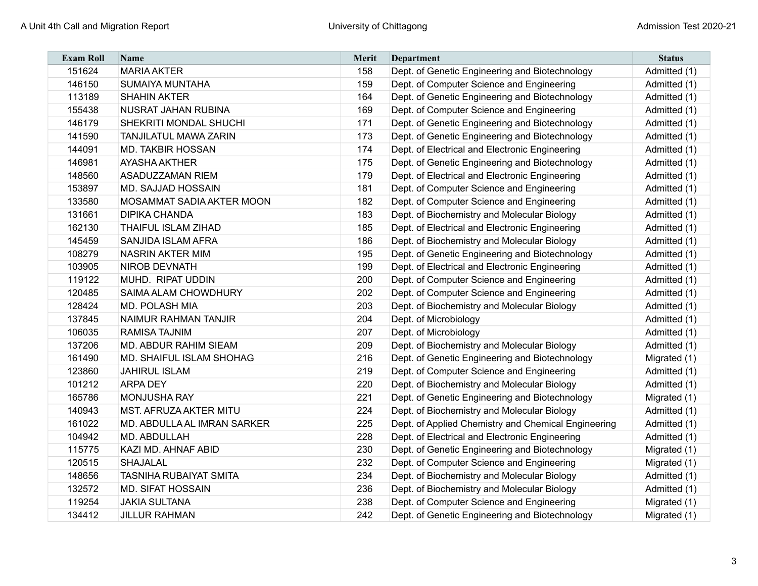| <b>Exam Roll</b> | <b>Name</b>                     | Merit | Department                                          | <b>Status</b> |
|------------------|---------------------------------|-------|-----------------------------------------------------|---------------|
| 151624           | <b>MARIA AKTER</b>              | 158   | Dept. of Genetic Engineering and Biotechnology      | Admitted (1)  |
| 146150           | <b>SUMAIYA MUNTAHA</b>          | 159   | Dept. of Computer Science and Engineering           | Admitted (1)  |
| 113189           | <b>SHAHIN AKTER</b>             | 164   | Dept. of Genetic Engineering and Biotechnology      | Admitted (1)  |
| 155438           | NUSRAT JAHAN RUBINA             | 169   | Dept. of Computer Science and Engineering           | Admitted (1)  |
| 146179           | SHEKRITI MONDAL SHUCHI          | 171   | Dept. of Genetic Engineering and Biotechnology      | Admitted (1)  |
| 141590           | <b>TANJILATUL MAWA ZARIN</b>    | 173   | Dept. of Genetic Engineering and Biotechnology      | Admitted (1)  |
| 144091           | <b>MD. TAKBIR HOSSAN</b>        | 174   | Dept. of Electrical and Electronic Engineering      | Admitted (1)  |
| 146981           | <b>AYASHA AKTHER</b>            | 175   | Dept. of Genetic Engineering and Biotechnology      | Admitted (1)  |
| 148560           | <b>ASADUZZAMAN RIEM</b>         | 179   | Dept. of Electrical and Electronic Engineering      | Admitted (1)  |
| 153897           | <b>MD. SAJJAD HOSSAIN</b>       | 181   | Dept. of Computer Science and Engineering           | Admitted (1)  |
| 133580           | MOSAMMAT SADIA AKTER MOON       | 182   | Dept. of Computer Science and Engineering           | Admitted (1)  |
| 131661           | <b>DIPIKA CHANDA</b>            | 183   | Dept. of Biochemistry and Molecular Biology         | Admitted (1)  |
| 162130           | <b>THAIFUL ISLAM ZIHAD</b>      | 185   | Dept. of Electrical and Electronic Engineering      | Admitted (1)  |
| 145459           | SANJIDA ISLAM AFRA              | 186   | Dept. of Biochemistry and Molecular Biology         | Admitted (1)  |
| 108279           | <b>NASRIN AKTER MIM</b>         | 195   | Dept. of Genetic Engineering and Biotechnology      | Admitted (1)  |
| 103905           | <b>NIROB DEVNATH</b>            | 199   | Dept. of Electrical and Electronic Engineering      | Admitted (1)  |
| 119122           | MUHD. RIPAT UDDIN               | 200   | Dept. of Computer Science and Engineering           | Admitted (1)  |
| 120485           | SAIMA ALAM CHOWDHURY            | 202   | Dept. of Computer Science and Engineering           | Admitted (1)  |
| 128424           | <b>MD. POLASH MIA</b>           | 203   | Dept. of Biochemistry and Molecular Biology         | Admitted (1)  |
| 137845           | NAIMUR RAHMAN TANJIR            | 204   | Dept. of Microbiology                               | Admitted (1)  |
| 106035           | <b>RAMISA TAJNIM</b>            | 207   | Dept. of Microbiology                               | Admitted (1)  |
| 137206           | <b>MD. ABDUR RAHIM SIEAM</b>    | 209   | Dept. of Biochemistry and Molecular Biology         | Admitted (1)  |
| 161490           | <b>MD. SHAIFUL ISLAM SHOHAG</b> | 216   | Dept. of Genetic Engineering and Biotechnology      | Migrated (1)  |
| 123860           | <b>JAHIRUL ISLAM</b>            | 219   | Dept. of Computer Science and Engineering           | Admitted (1)  |
| 101212           | <b>ARPA DEY</b>                 | 220   | Dept. of Biochemistry and Molecular Biology         | Admitted (1)  |
| 165786           | <b>MONJUSHA RAY</b>             | 221   | Dept. of Genetic Engineering and Biotechnology      | Migrated (1)  |
| 140943           | <b>MST. AFRUZA AKTER MITU</b>   | 224   | Dept. of Biochemistry and Molecular Biology         | Admitted (1)  |
| 161022           | MD. ABDULLA AL IMRAN SARKER     | 225   | Dept. of Applied Chemistry and Chemical Engineering | Admitted (1)  |
| 104942           | MD. ABDULLAH                    | 228   | Dept. of Electrical and Electronic Engineering      | Admitted (1)  |
| 115775           | KAZI MD. AHNAF ABID             | 230   | Dept. of Genetic Engineering and Biotechnology      | Migrated (1)  |
| 120515           | SHAJALAL                        | 232   | Dept. of Computer Science and Engineering           | Migrated (1)  |
| 148656           | <b>TASNIHA RUBAIYAT SMITA</b>   | 234   | Dept. of Biochemistry and Molecular Biology         | Admitted (1)  |
| 132572           | <b>MD. SIFAT HOSSAIN</b>        | 236   | Dept. of Biochemistry and Molecular Biology         | Admitted (1)  |
| 119254           | <b>JAKIA SULTANA</b>            | 238   | Dept. of Computer Science and Engineering           | Migrated (1)  |
| 134412           | <b>JILLUR RAHMAN</b>            | 242   | Dept. of Genetic Engineering and Biotechnology      | Migrated (1)  |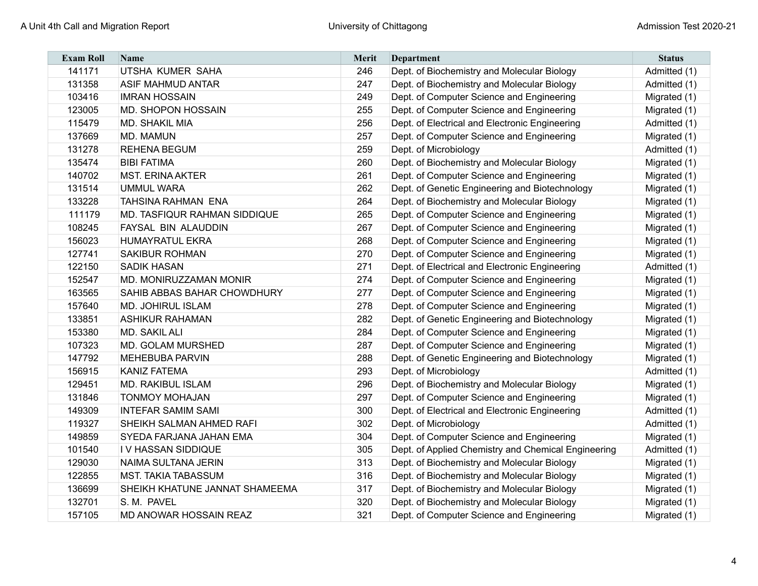| <b>Exam Roll</b> | <b>Name</b>                    | Merit | Department                                          | <b>Status</b> |
|------------------|--------------------------------|-------|-----------------------------------------------------|---------------|
| 141171           | UTSHA KUMER SAHA               | 246   | Dept. of Biochemistry and Molecular Biology         | Admitted (1)  |
| 131358           | <b>ASIF MAHMUD ANTAR</b>       | 247   | Dept. of Biochemistry and Molecular Biology         | Admitted (1)  |
| 103416           | <b>IMRAN HOSSAIN</b>           | 249   | Dept. of Computer Science and Engineering           | Migrated (1)  |
| 123005           | MD. SHOPON HOSSAIN             | 255   | Dept. of Computer Science and Engineering           | Migrated (1)  |
| 115479           | <b>MD. SHAKIL MIA</b>          | 256   | Dept. of Electrical and Electronic Engineering      | Admitted (1)  |
| 137669           | <b>MD. MAMUN</b>               | 257   | Dept. of Computer Science and Engineering           | Migrated (1)  |
| 131278           | <b>REHENA BEGUM</b>            | 259   | Dept. of Microbiology                               | Admitted (1)  |
| 135474           | <b>BIBI FATIMA</b>             | 260   | Dept. of Biochemistry and Molecular Biology         | Migrated (1)  |
| 140702           | <b>MST. ERINA AKTER</b>        | 261   | Dept. of Computer Science and Engineering           | Migrated (1)  |
| 131514           | <b>UMMUL WARA</b>              | 262   | Dept. of Genetic Engineering and Biotechnology      | Migrated (1)  |
| 133228           | TAHSINA RAHMAN ENA             | 264   | Dept. of Biochemistry and Molecular Biology         | Migrated (1)  |
| 111179           | MD. TASFIQUR RAHMAN SIDDIQUE   | 265   | Dept. of Computer Science and Engineering           | Migrated (1)  |
| 108245           | FAYSAL BIN ALAUDDIN            | 267   | Dept. of Computer Science and Engineering           | Migrated (1)  |
| 156023           | <b>HUMAYRATUL EKRA</b>         | 268   | Dept. of Computer Science and Engineering           | Migrated (1)  |
| 127741           | <b>SAKIBUR ROHMAN</b>          | 270   | Dept. of Computer Science and Engineering           | Migrated (1)  |
| 122150           | <b>SADIK HASAN</b>             | 271   | Dept. of Electrical and Electronic Engineering      | Admitted (1)  |
| 152547           | MD. MONIRUZZAMAN MONIR         | 274   | Dept. of Computer Science and Engineering           | Migrated (1)  |
| 163565           | SAHIB ABBAS BAHAR CHOWDHURY    | 277   | Dept. of Computer Science and Engineering           | Migrated (1)  |
| 157640           | <b>MD. JOHIRUL ISLAM</b>       | 278   | Dept. of Computer Science and Engineering           | Migrated (1)  |
| 133851           | <b>ASHIKUR RAHAMAN</b>         | 282   | Dept. of Genetic Engineering and Biotechnology      | Migrated (1)  |
| 153380           | MD. SAKIL ALI                  | 284   | Dept. of Computer Science and Engineering           | Migrated (1)  |
| 107323           | MD. GOLAM MURSHED              | 287   | Dept. of Computer Science and Engineering           | Migrated (1)  |
| 147792           | <b>MEHEBUBA PARVIN</b>         | 288   | Dept. of Genetic Engineering and Biotechnology      | Migrated (1)  |
| 156915           | <b>KANIZ FATEMA</b>            | 293   | Dept. of Microbiology                               | Admitted (1)  |
| 129451           | <b>MD. RAKIBUL ISLAM</b>       | 296   | Dept. of Biochemistry and Molecular Biology         | Migrated (1)  |
| 131846           | <b>TONMOY MOHAJAN</b>          | 297   | Dept. of Computer Science and Engineering           | Migrated (1)  |
| 149309           | <b>INTEFAR SAMIM SAMI</b>      | 300   | Dept. of Electrical and Electronic Engineering      | Admitted (1)  |
| 119327           | SHEIKH SALMAN AHMED RAFI       | 302   | Dept. of Microbiology                               | Admitted (1)  |
| 149859           | SYEDA FARJANA JAHAN EMA        | 304   | Dept. of Computer Science and Engineering           | Migrated (1)  |
| 101540           | IV HASSAN SIDDIQUE             | 305   | Dept. of Applied Chemistry and Chemical Engineering | Admitted (1)  |
| 129030           | NAIMA SULTANA JERIN            | 313   | Dept. of Biochemistry and Molecular Biology         | Migrated (1)  |
| 122855           | <b>MST. TAKIA TABASSUM</b>     | 316   | Dept. of Biochemistry and Molecular Biology         | Migrated (1)  |
| 136699           | SHEIKH KHATUNE JANNAT SHAMEEMA | 317   | Dept. of Biochemistry and Molecular Biology         | Migrated (1)  |
| 132701           | S. M. PAVEL                    | 320   | Dept. of Biochemistry and Molecular Biology         | Migrated (1)  |
| 157105           | MD ANOWAR HOSSAIN REAZ         | 321   | Dept. of Computer Science and Engineering           | Migrated (1)  |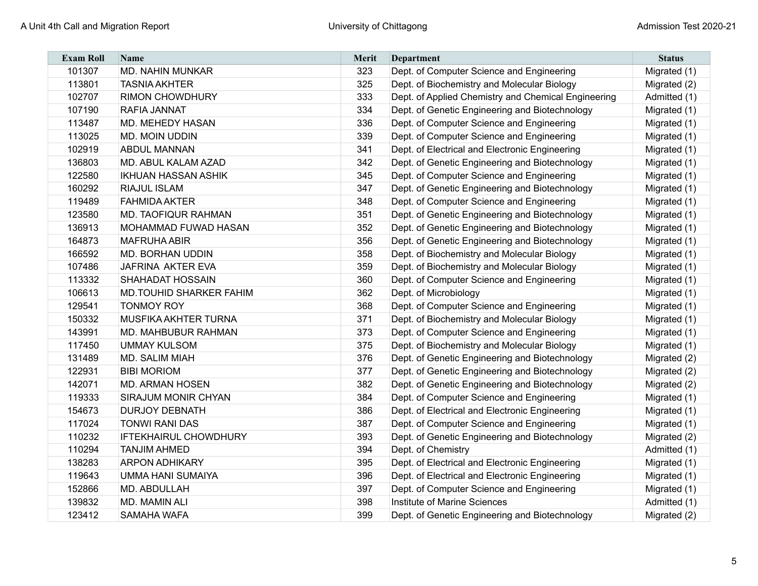| <b>Exam Roll</b> | <b>Name</b>                    | Merit | Department                                          | <b>Status</b> |
|------------------|--------------------------------|-------|-----------------------------------------------------|---------------|
| 101307           | <b>MD. NAHIN MUNKAR</b>        | 323   | Dept. of Computer Science and Engineering           | Migrated (1)  |
| 113801           | <b>TASNIA AKHTER</b>           | 325   | Dept. of Biochemistry and Molecular Biology         | Migrated (2)  |
| 102707           | <b>RIMON CHOWDHURY</b>         | 333   | Dept. of Applied Chemistry and Chemical Engineering | Admitted (1)  |
| 107190           | <b>RAFIA JANNAT</b>            | 334   | Dept. of Genetic Engineering and Biotechnology      | Migrated (1)  |
| 113487           | <b>MD. MEHEDY HASAN</b>        | 336   | Dept. of Computer Science and Engineering           | Migrated (1)  |
| 113025           | <b>MD. MOIN UDDIN</b>          | 339   | Dept. of Computer Science and Engineering           | Migrated (1)  |
| 102919           | <b>ABDUL MANNAN</b>            | 341   | Dept. of Electrical and Electronic Engineering      | Migrated (1)  |
| 136803           | MD. ABUL KALAM AZAD            | 342   | Dept. of Genetic Engineering and Biotechnology      | Migrated (1)  |
| 122580           | <b>IKHUAN HASSAN ASHIK</b>     | 345   | Dept. of Computer Science and Engineering           | Migrated (1)  |
| 160292           | <b>RIAJUL ISLAM</b>            | 347   | Dept. of Genetic Engineering and Biotechnology      | Migrated (1)  |
| 119489           | <b>FAHMIDA AKTER</b>           | 348   | Dept. of Computer Science and Engineering           | Migrated (1)  |
| 123580           | <b>MD. TAOFIQUR RAHMAN</b>     | 351   | Dept. of Genetic Engineering and Biotechnology      | Migrated (1)  |
| 136913           | MOHAMMAD FUWAD HASAN           | 352   | Dept. of Genetic Engineering and Biotechnology      | Migrated (1)  |
| 164873           | <b>MAFRUHA ABIR</b>            | 356   | Dept. of Genetic Engineering and Biotechnology      | Migrated (1)  |
| 166592           | <b>MD. BORHAN UDDIN</b>        | 358   | Dept. of Biochemistry and Molecular Biology         | Migrated (1)  |
| 107486           | JAFRINA AKTER EVA              | 359   | Dept. of Biochemistry and Molecular Biology         | Migrated (1)  |
| 113332           | <b>SHAHADAT HOSSAIN</b>        | 360   | Dept. of Computer Science and Engineering           | Migrated (1)  |
| 106613           | <b>MD.TOUHID SHARKER FAHIM</b> | 362   | Dept. of Microbiology                               | Migrated (1)  |
| 129541           | <b>TONMOY ROY</b>              | 368   | Dept. of Computer Science and Engineering           | Migrated (1)  |
| 150332           | MUSFIKA AKHTER TURNA           | 371   | Dept. of Biochemistry and Molecular Biology         | Migrated (1)  |
| 143991           | <b>MD. MAHBUBUR RAHMAN</b>     | 373   | Dept. of Computer Science and Engineering           | Migrated (1)  |
| 117450           | <b>UMMAY KULSOM</b>            | 375   | Dept. of Biochemistry and Molecular Biology         | Migrated (1)  |
| 131489           | <b>MD. SALIM MIAH</b>          | 376   | Dept. of Genetic Engineering and Biotechnology      | Migrated (2)  |
| 122931           | <b>BIBI MORIOM</b>             | 377   | Dept. of Genetic Engineering and Biotechnology      | Migrated (2)  |
| 142071           | <b>MD. ARMAN HOSEN</b>         | 382   | Dept. of Genetic Engineering and Biotechnology      | Migrated (2)  |
| 119333           | SIRAJUM MONIR CHYAN            | 384   | Dept. of Computer Science and Engineering           | Migrated (1)  |
| 154673           | <b>DURJOY DEBNATH</b>          | 386   | Dept. of Electrical and Electronic Engineering      | Migrated (1)  |
| 117024           | <b>TONWI RANI DAS</b>          | 387   | Dept. of Computer Science and Engineering           | Migrated (1)  |
| 110232           | <b>IFTEKHAIRUL CHOWDHURY</b>   | 393   | Dept. of Genetic Engineering and Biotechnology      | Migrated (2)  |
| 110294           | <b>TANJIM AHMED</b>            | 394   | Dept. of Chemistry                                  | Admitted (1)  |
| 138283           | <b>ARPON ADHIKARY</b>          | 395   | Dept. of Electrical and Electronic Engineering      | Migrated (1)  |
| 119643           | UMMA HANI SUMAIYA              | 396   | Dept. of Electrical and Electronic Engineering      | Migrated (1)  |
| 152866           | MD. ABDULLAH                   | 397   | Dept. of Computer Science and Engineering           | Migrated (1)  |
| 139832           | MD. MAMIN ALI                  | 398   | Institute of Marine Sciences                        | Admitted (1)  |
| 123412           | SAMAHA WAFA                    | 399   | Dept. of Genetic Engineering and Biotechnology      | Migrated (2)  |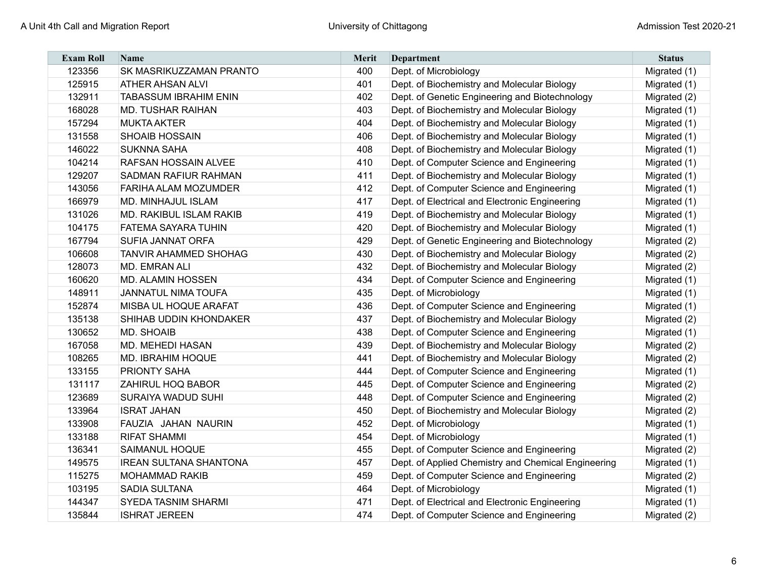| <b>Exam Roll</b> | <b>Name</b>                   | Merit | Department                                          | <b>Status</b> |
|------------------|-------------------------------|-------|-----------------------------------------------------|---------------|
| 123356           | SK MASRIKUZZAMAN PRANTO       | 400   | Dept. of Microbiology                               | Migrated (1)  |
| 125915           | <b>ATHER AHSAN ALVI</b>       | 401   | Dept. of Biochemistry and Molecular Biology         | Migrated (1)  |
| 132911           | <b>TABASSUM IBRAHIM ENIN</b>  | 402   | Dept. of Genetic Engineering and Biotechnology      | Migrated (2)  |
| 168028           | <b>MD. TUSHAR RAIHAN</b>      | 403   | Dept. of Biochemistry and Molecular Biology         | Migrated (1)  |
| 157294           | <b>MUKTA AKTER</b>            | 404   | Dept. of Biochemistry and Molecular Biology         | Migrated (1)  |
| 131558           | <b>SHOAIB HOSSAIN</b>         | 406   | Dept. of Biochemistry and Molecular Biology         | Migrated (1)  |
| 146022           | <b>SUKNNA SAHA</b>            | 408   | Dept. of Biochemistry and Molecular Biology         | Migrated (1)  |
| 104214           | RAFSAN HOSSAIN ALVEE          | 410   | Dept. of Computer Science and Engineering           | Migrated (1)  |
| 129207           | <b>SADMAN RAFIUR RAHMAN</b>   | 411   | Dept. of Biochemistry and Molecular Biology         | Migrated (1)  |
| 143056           | <b>FARIHA ALAM MOZUMDER</b>   | 412   | Dept. of Computer Science and Engineering           | Migrated (1)  |
| 166979           | MD. MINHAJUL ISLAM            | 417   | Dept. of Electrical and Electronic Engineering      | Migrated (1)  |
| 131026           | MD. RAKIBUL ISLAM RAKIB       | 419   | Dept. of Biochemistry and Molecular Biology         | Migrated (1)  |
| 104175           | FATEMA SAYARA TUHIN           | 420   | Dept. of Biochemistry and Molecular Biology         | Migrated (1)  |
| 167794           | <b>SUFIA JANNAT ORFA</b>      | 429   | Dept. of Genetic Engineering and Biotechnology      | Migrated (2)  |
| 106608           | <b>TANVIR AHAMMED SHOHAG</b>  | 430   | Dept. of Biochemistry and Molecular Biology         | Migrated (2)  |
| 128073           | MD. EMRAN ALI                 | 432   | Dept. of Biochemistry and Molecular Biology         | Migrated (2)  |
| 160620           | <b>MD. ALAMIN HOSSEN</b>      | 434   | Dept. of Computer Science and Engineering           | Migrated (1)  |
| 148911           | JANNATUL NIMA TOUFA           | 435   | Dept. of Microbiology                               | Migrated (1)  |
| 152874           | MISBA UL HOQUE ARAFAT         | 436   | Dept. of Computer Science and Engineering           | Migrated (1)  |
| 135138           | SHIHAB UDDIN KHONDAKER        | 437   | Dept. of Biochemistry and Molecular Biology         | Migrated (2)  |
| 130652           | <b>MD. SHOAIB</b>             | 438   | Dept. of Computer Science and Engineering           | Migrated (1)  |
| 167058           | MD. MEHEDI HASAN              | 439   | Dept. of Biochemistry and Molecular Biology         | Migrated (2)  |
| 108265           | MD. IBRAHIM HOQUE             | 441   | Dept. of Biochemistry and Molecular Biology         | Migrated (2)  |
| 133155           | PRIONTY SAHA                  | 444   | Dept. of Computer Science and Engineering           | Migrated (1)  |
| 131117           | ZAHIRUL HOQ BABOR             | 445   | Dept. of Computer Science and Engineering           | Migrated (2)  |
| 123689           | SURAIYA WADUD SUHI            | 448   | Dept. of Computer Science and Engineering           | Migrated (2)  |
| 133964           | <b>ISRAT JAHAN</b>            | 450   | Dept. of Biochemistry and Molecular Biology         | Migrated (2)  |
| 133908           | FAUZIA JAHAN NAURIN           | 452   | Dept. of Microbiology                               | Migrated (1)  |
| 133188           | <b>RIFAT SHAMMI</b>           | 454   | Dept. of Microbiology                               | Migrated (1)  |
| 136341           | <b>SAIMANUL HOQUE</b>         | 455   | Dept. of Computer Science and Engineering           | Migrated (2)  |
| 149575           | <b>IREAN SULTANA SHANTONA</b> | 457   | Dept. of Applied Chemistry and Chemical Engineering | Migrated (1)  |
| 115275           | <b>MOHAMMAD RAKIB</b>         | 459   | Dept. of Computer Science and Engineering           | Migrated (2)  |
| 103195           | <b>SADIA SULTANA</b>          | 464   | Dept. of Microbiology                               | Migrated (1)  |
| 144347           | <b>SYEDA TASNIM SHARMI</b>    | 471   | Dept. of Electrical and Electronic Engineering      | Migrated (1)  |
| 135844           | <b>ISHRAT JEREEN</b>          | 474   | Dept. of Computer Science and Engineering           | Migrated (2)  |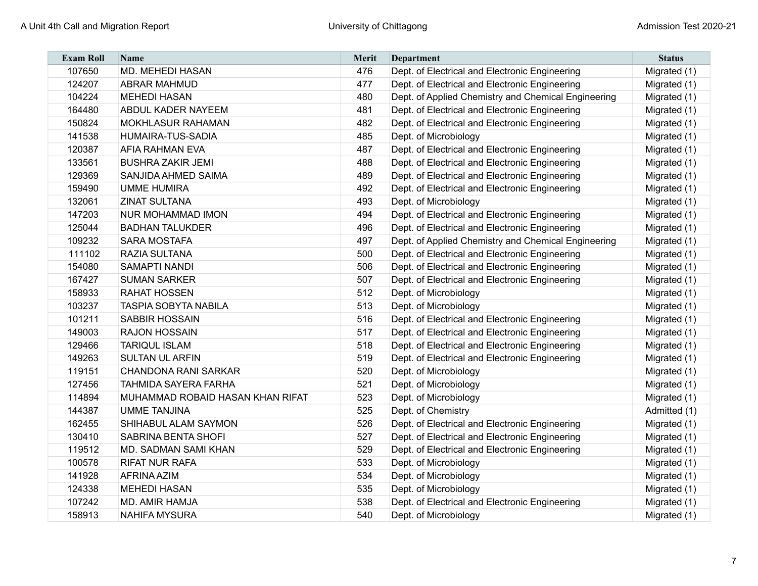| <b>Exam Roll</b> | <b>Name</b>                      | Merit | Department                                          | <b>Status</b> |
|------------------|----------------------------------|-------|-----------------------------------------------------|---------------|
| 107650           | <b>MD. MEHEDI HASAN</b>          | 476   | Dept. of Electrical and Electronic Engineering      | Migrated (1)  |
| 124207           | <b>ABRAR MAHMUD</b>              | 477   | Dept. of Electrical and Electronic Engineering      | Migrated (1)  |
| 104224           | <b>MEHEDI HASAN</b>              | 480   | Dept. of Applied Chemistry and Chemical Engineering | Migrated (1)  |
| 164480           | <b>ABDUL KADER NAYEEM</b>        | 481   | Dept. of Electrical and Electronic Engineering      | Migrated (1)  |
| 150824           | <b>MOKHLASUR RAHAMAN</b>         | 482   | Dept. of Electrical and Electronic Engineering      | Migrated (1)  |
| 141538           | HUMAIRA-TUS-SADIA                | 485   | Dept. of Microbiology                               | Migrated (1)  |
| 120387           | <b>AFIA RAHMAN EVA</b>           | 487   | Dept. of Electrical and Electronic Engineering      | Migrated (1)  |
| 133561           | <b>BUSHRA ZAKIR JEMI</b>         | 488   | Dept. of Electrical and Electronic Engineering      | Migrated (1)  |
| 129369           | SANJIDA AHMED SAIMA              | 489   | Dept. of Electrical and Electronic Engineering      | Migrated (1)  |
| 159490           | UMME HUMIRA                      | 492   | Dept. of Electrical and Electronic Engineering      | Migrated (1)  |
| 132061           | <b>ZINAT SULTANA</b>             | 493   | Dept. of Microbiology                               | Migrated (1)  |
| 147203           | <b>NUR MOHAMMAD IMON</b>         | 494   | Dept. of Electrical and Electronic Engineering      | Migrated (1)  |
| 125044           | <b>BADHAN TALUKDER</b>           | 496   | Dept. of Electrical and Electronic Engineering      | Migrated (1)  |
| 109232           | <b>SARA MOSTAFA</b>              | 497   | Dept. of Applied Chemistry and Chemical Engineering | Migrated (1)  |
| 111102           | RAZIA SULTANA                    | 500   | Dept. of Electrical and Electronic Engineering      | Migrated (1)  |
| 154080           | SAMAPTI NANDI                    | 506   | Dept. of Electrical and Electronic Engineering      | Migrated (1)  |
| 167427           | <b>SUMAN SARKER</b>              | 507   | Dept. of Electrical and Electronic Engineering      | Migrated (1)  |
| 158933           | <b>RAHAT HOSSEN</b>              | 512   | Dept. of Microbiology                               | Migrated (1)  |
| 103237           | <b>TASPIA SOBYTA NABILA</b>      | 513   | Dept. of Microbiology                               | Migrated (1)  |
| 101211           | <b>SABBIR HOSSAIN</b>            | 516   | Dept. of Electrical and Electronic Engineering      | Migrated (1)  |
| 149003           | <b>RAJON HOSSAIN</b>             | 517   | Dept. of Electrical and Electronic Engineering      | Migrated (1)  |
| 129466           | <b>TARIQUL ISLAM</b>             | 518   | Dept. of Electrical and Electronic Engineering      | Migrated (1)  |
| 149263           | <b>SULTAN UL ARFIN</b>           | 519   | Dept. of Electrical and Electronic Engineering      | Migrated (1)  |
| 119151           | <b>CHANDONA RANI SARKAR</b>      | 520   | Dept. of Microbiology                               | Migrated (1)  |
| 127456           | <b>TAHMIDA SAYERA FARHA</b>      | 521   | Dept. of Microbiology                               | Migrated (1)  |
| 114894           | MUHAMMAD ROBAID HASAN KHAN RIFAT | 523   | Dept. of Microbiology                               | Migrated (1)  |
| 144387           | <b>UMME TANJINA</b>              | 525   | Dept. of Chemistry                                  | Admitted (1)  |
| 162455           | SHIHABUL ALAM SAYMON             | 526   | Dept. of Electrical and Electronic Engineering      | Migrated (1)  |
| 130410           | <b>SABRINA BENTA SHOFI</b>       | 527   | Dept. of Electrical and Electronic Engineering      | Migrated (1)  |
| 119512           | MD. SADMAN SAMI KHAN             | 529   | Dept. of Electrical and Electronic Engineering      | Migrated (1)  |
| 100578           | <b>RIFAT NUR RAFA</b>            | 533   | Dept. of Microbiology                               | Migrated (1)  |
| 141928           | <b>AFRINA AZIM</b>               | 534   | Dept. of Microbiology                               | Migrated (1)  |
| 124338           | <b>MEHEDI HASAN</b>              | 535   | Dept. of Microbiology                               | Migrated (1)  |
| 107242           | <b>MD. AMIR HAMJA</b>            | 538   | Dept. of Electrical and Electronic Engineering      | Migrated (1)  |
| 158913           | <b>NAHIFA MYSURA</b>             | 540   | Dept. of Microbiology                               | Migrated (1)  |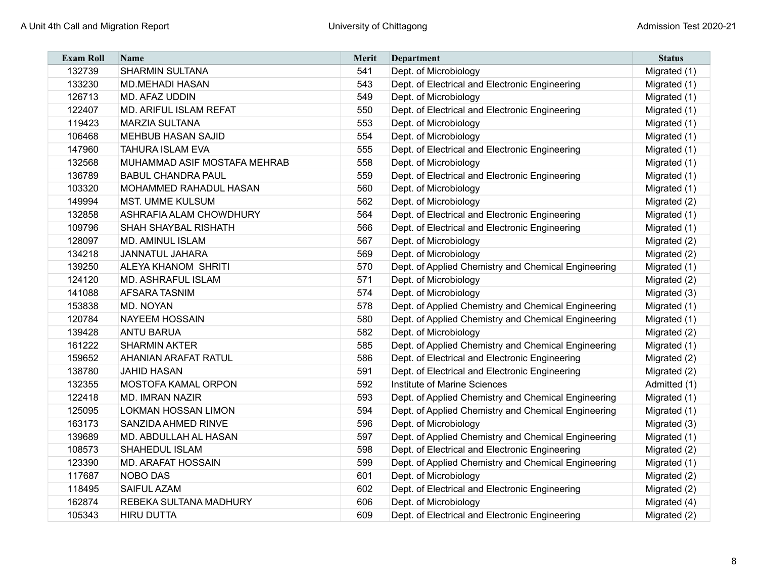| <b>Exam Roll</b> | <b>Name</b>                   | Merit | <b>Department</b>                                   | <b>Status</b> |
|------------------|-------------------------------|-------|-----------------------------------------------------|---------------|
| 132739           | <b>SHARMIN SULTANA</b>        | 541   | Dept. of Microbiology                               | Migrated (1)  |
| 133230           | <b>MD.MEHADI HASAN</b>        | 543   | Dept. of Electrical and Electronic Engineering      | Migrated (1)  |
| 126713           | <b>MD. AFAZ UDDIN</b>         | 549   | Dept. of Microbiology                               | Migrated (1)  |
| 122407           | <b>MD. ARIFUL ISLAM REFAT</b> | 550   | Dept. of Electrical and Electronic Engineering      | Migrated (1)  |
| 119423           | <b>MARZIA SULTANA</b>         | 553   | Dept. of Microbiology                               | Migrated (1)  |
| 106468           | <b>MEHBUB HASAN SAJID</b>     | 554   | Dept. of Microbiology                               | Migrated (1)  |
| 147960           | <b>TAHURA ISLAM EVA</b>       | 555   | Dept. of Electrical and Electronic Engineering      | Migrated (1)  |
| 132568           | MUHAMMAD ASIF MOSTAFA MEHRAB  | 558   | Dept. of Microbiology                               | Migrated (1)  |
| 136789           | <b>BABUL CHANDRA PAUL</b>     | 559   | Dept. of Electrical and Electronic Engineering      | Migrated (1)  |
| 103320           | MOHAMMED RAHADUL HASAN        | 560   | Dept. of Microbiology                               | Migrated (1)  |
| 149994           | <b>MST. UMME KULSUM</b>       | 562   | Dept. of Microbiology                               | Migrated (2)  |
| 132858           | ASHRAFIA ALAM CHOWDHURY       | 564   | Dept. of Electrical and Electronic Engineering      | Migrated (1)  |
| 109796           | SHAH SHAYBAL RISHATH          | 566   | Dept. of Electrical and Electronic Engineering      | Migrated (1)  |
| 128097           | <b>MD. AMINUL ISLAM</b>       | 567   | Dept. of Microbiology                               | Migrated (2)  |
| 134218           | <b>JANNATUL JAHARA</b>        | 569   | Dept. of Microbiology                               | Migrated (2)  |
| 139250           | <b>ALEYA KHANOM SHRITI</b>    | 570   | Dept. of Applied Chemistry and Chemical Engineering | Migrated (1)  |
| 124120           | <b>MD. ASHRAFUL ISLAM</b>     | 571   | Dept. of Microbiology                               | Migrated (2)  |
| 141088           | <b>AFSARA TASNIM</b>          | 574   | Dept. of Microbiology                               | Migrated (3)  |
| 153838           | MD. NOYAN                     | 578   | Dept. of Applied Chemistry and Chemical Engineering | Migrated (1)  |
| 120784           | <b>NAYEEM HOSSAIN</b>         | 580   | Dept. of Applied Chemistry and Chemical Engineering | Migrated (1)  |
| 139428           | <b>ANTU BARUA</b>             | 582   | Dept. of Microbiology                               | Migrated (2)  |
| 161222           | <b>SHARMIN AKTER</b>          | 585   | Dept. of Applied Chemistry and Chemical Engineering | Migrated (1)  |
| 159652           | <b>AHANIAN ARAFAT RATUL</b>   | 586   | Dept. of Electrical and Electronic Engineering      | Migrated (2)  |
| 138780           | <b>JAHID HASAN</b>            | 591   | Dept. of Electrical and Electronic Engineering      | Migrated (2)  |
| 132355           | MOSTOFA KAMAL ORPON           | 592   | Institute of Marine Sciences                        | Admitted (1)  |
| 122418           | <b>MD. IMRAN NAZIR</b>        | 593   | Dept. of Applied Chemistry and Chemical Engineering | Migrated (1)  |
| 125095           | <b>LOKMAN HOSSAN LIMON</b>    | 594   | Dept. of Applied Chemistry and Chemical Engineering | Migrated (1)  |
| 163173           | <b>SANZIDA AHMED RINVE</b>    | 596   | Dept. of Microbiology                               | Migrated (3)  |
| 139689           | MD. ABDULLAH AL HASAN         | 597   | Dept. of Applied Chemistry and Chemical Engineering | Migrated (1)  |
| 108573           | <b>SHAHEDUL ISLAM</b>         | 598   | Dept. of Electrical and Electronic Engineering      | Migrated (2)  |
| 123390           | <b>MD. ARAFAT HOSSAIN</b>     | 599   | Dept. of Applied Chemistry and Chemical Engineering | Migrated (1)  |
| 117687           | <b>NOBO DAS</b>               | 601   | Dept. of Microbiology                               | Migrated (2)  |
| 118495           | <b>SAIFUL AZAM</b>            | 602   | Dept. of Electrical and Electronic Engineering      | Migrated (2)  |
| 162874           | REBEKA SULTANA MADHURY        | 606   | Dept. of Microbiology                               | Migrated (4)  |
| 105343           | <b>HIRU DUTTA</b>             | 609   | Dept. of Electrical and Electronic Engineering      | Migrated (2)  |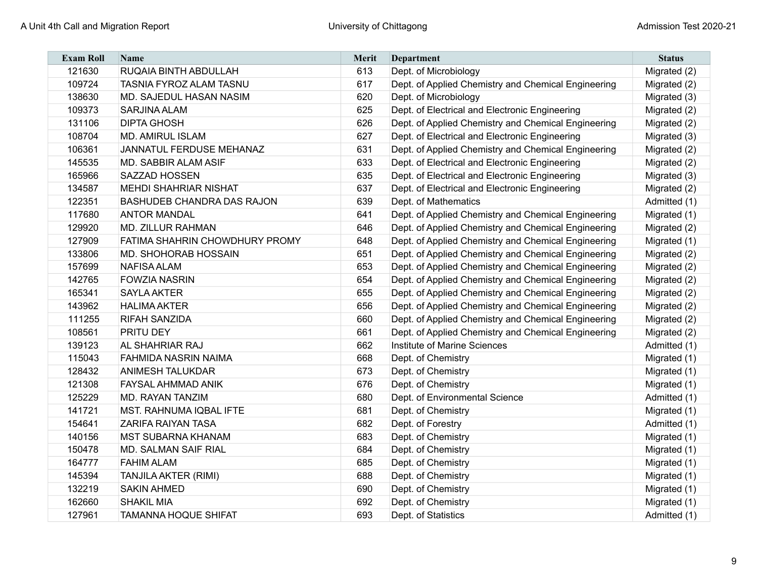| <b>Exam Roll</b> | <b>Name</b>                       | Merit | <b>Department</b>                                   | <b>Status</b> |
|------------------|-----------------------------------|-------|-----------------------------------------------------|---------------|
| 121630           | RUQAIA BINTH ABDULLAH             | 613   | Dept. of Microbiology                               | Migrated (2)  |
| 109724           | <b>TASNIA FYROZ ALAM TASNU</b>    | 617   | Dept. of Applied Chemistry and Chemical Engineering | Migrated (2)  |
| 138630           | MD. SAJEDUL HASAN NASIM           | 620   | Dept. of Microbiology                               | Migrated (3)  |
| 109373           | <b>SARJINA ALAM</b>               | 625   | Dept. of Electrical and Electronic Engineering      | Migrated (2)  |
| 131106           | <b>DIPTA GHOSH</b>                | 626   | Dept. of Applied Chemistry and Chemical Engineering | Migrated (2)  |
| 108704           | <b>MD. AMIRUL ISLAM</b>           | 627   | Dept. of Electrical and Electronic Engineering      | Migrated (3)  |
| 106361           | JANNATUL FERDUSE MEHANAZ          | 631   | Dept. of Applied Chemistry and Chemical Engineering | Migrated (2)  |
| 145535           | MD. SABBIR ALAM ASIF              | 633   | Dept. of Electrical and Electronic Engineering      | Migrated (2)  |
| 165966           | SAZZAD HOSSEN                     | 635   | Dept. of Electrical and Electronic Engineering      | Migrated (3)  |
| 134587           | <b>MEHDI SHAHRIAR NISHAT</b>      | 637   | Dept. of Electrical and Electronic Engineering      | Migrated (2)  |
| 122351           | <b>BASHUDEB CHANDRA DAS RAJON</b> | 639   | Dept. of Mathematics                                | Admitted (1)  |
| 117680           | <b>ANTOR MANDAL</b>               | 641   | Dept. of Applied Chemistry and Chemical Engineering | Migrated (1)  |
| 129920           | <b>MD. ZILLUR RAHMAN</b>          | 646   | Dept. of Applied Chemistry and Chemical Engineering | Migrated (2)  |
| 127909           | FATIMA SHAHRIN CHOWDHURY PROMY    | 648   | Dept. of Applied Chemistry and Chemical Engineering | Migrated (1)  |
| 133806           | <b>MD. SHOHORAB HOSSAIN</b>       | 651   | Dept. of Applied Chemistry and Chemical Engineering | Migrated (2)  |
| 157699           | <b>NAFISA ALAM</b>                | 653   | Dept. of Applied Chemistry and Chemical Engineering | Migrated (2)  |
| 142765           | <b>FOWZIA NASRIN</b>              | 654   | Dept. of Applied Chemistry and Chemical Engineering | Migrated (2)  |
| 165341           | <b>SAYLA AKTER</b>                | 655   | Dept. of Applied Chemistry and Chemical Engineering | Migrated (2)  |
| 143962           | <b>HALIMA AKTER</b>               | 656   | Dept. of Applied Chemistry and Chemical Engineering | Migrated (2)  |
| 111255           | <b>RIFAH SANZIDA</b>              | 660   | Dept. of Applied Chemistry and Chemical Engineering | Migrated (2)  |
| 108561           | PRITU DEY                         | 661   | Dept. of Applied Chemistry and Chemical Engineering | Migrated (2)  |
| 139123           | <b>AL SHAHRIAR RAJ</b>            | 662   | Institute of Marine Sciences                        | Admitted (1)  |
| 115043           | <b>FAHMIDA NASRIN NAIMA</b>       | 668   | Dept. of Chemistry                                  | Migrated (1)  |
| 128432           | <b>ANIMESH TALUKDAR</b>           | 673   | Dept. of Chemistry                                  | Migrated (1)  |
| 121308           | FAYSAL AHMMAD ANIK                | 676   | Dept. of Chemistry                                  | Migrated (1)  |
| 125229           | <b>MD. RAYAN TANZIM</b>           | 680   | Dept. of Environmental Science                      | Admitted (1)  |
| 141721           | <b>MST. RAHNUMA IQBAL IFTE</b>    | 681   | Dept. of Chemistry                                  | Migrated (1)  |
| 154641           | <b>ZARIFA RAIYAN TASA</b>         | 682   | Dept. of Forestry                                   | Admitted (1)  |
| 140156           | <b>MST SUBARNA KHANAM</b>         | 683   | Dept. of Chemistry                                  | Migrated (1)  |
| 150478           | MD. SALMAN SAIF RIAL              | 684   | Dept. of Chemistry                                  | Migrated (1)  |
| 164777           | <b>FAHIM ALAM</b>                 | 685   | Dept. of Chemistry                                  | Migrated (1)  |
| 145394           | <b>TANJILA AKTER (RIMI)</b>       | 688   | Dept. of Chemistry                                  | Migrated (1)  |
| 132219           | <b>SAKIN AHMED</b>                | 690   | Dept. of Chemistry                                  | Migrated (1)  |
| 162660           | <b>SHAKIL MIA</b>                 | 692   | Dept. of Chemistry                                  | Migrated (1)  |
| 127961           | <b>TAMANNA HOQUE SHIFAT</b>       | 693   | Dept. of Statistics                                 | Admitted (1)  |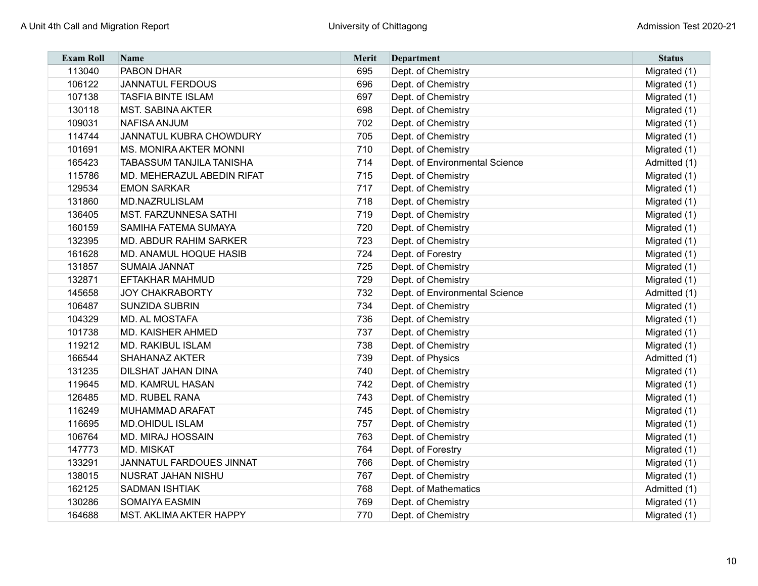| <b>Exam Roll</b> | <b>Name</b>                     | <b>Merit</b> | Department                     | <b>Status</b> |
|------------------|---------------------------------|--------------|--------------------------------|---------------|
| 113040           | PABON DHAR                      | 695          | Dept. of Chemistry             | Migrated (1)  |
| 106122           | <b>JANNATUL FERDOUS</b>         | 696          | Dept. of Chemistry             | Migrated (1)  |
| 107138           | <b>TASFIA BINTE ISLAM</b>       | 697          | Dept. of Chemistry             | Migrated (1)  |
| 130118           | <b>MST. SABINA AKTER</b>        | 698          | Dept. of Chemistry             | Migrated (1)  |
| 109031           | <b>NAFISA ANJUM</b>             | 702          | Dept. of Chemistry             | Migrated (1)  |
| 114744           | JANNATUL KUBRA CHOWDURY         | 705          | Dept. of Chemistry             | Migrated (1)  |
| 101691           | <b>MS. MONIRA AKTER MONNI</b>   | 710          | Dept. of Chemistry             | Migrated (1)  |
| 165423           | <b>TABASSUM TANJILA TANISHA</b> | 714          | Dept. of Environmental Science | Admitted (1)  |
| 115786           | MD. MEHERAZUL ABEDIN RIFAT      | 715          | Dept. of Chemistry             | Migrated (1)  |
| 129534           | <b>EMON SARKAR</b>              | 717          | Dept. of Chemistry             | Migrated (1)  |
| 131860           | MD.NAZRULISLAM                  | 718          | Dept. of Chemistry             | Migrated (1)  |
| 136405           | <b>MST. FARZUNNESA SATHI</b>    | 719          | Dept. of Chemistry             | Migrated (1)  |
| 160159           | SAMIHA FATEMA SUMAYA            | 720          | Dept. of Chemistry             | Migrated (1)  |
| 132395           | <b>MD. ABDUR RAHIM SARKER</b>   | 723          | Dept. of Chemistry             | Migrated (1)  |
| 161628           | MD. ANAMUL HOQUE HASIB          | 724          | Dept. of Forestry              | Migrated (1)  |
| 131857           | <b>SUMAIA JANNAT</b>            | 725          | Dept. of Chemistry             | Migrated (1)  |
| 132871           | <b>EFTAKHAR MAHMUD</b>          | 729          | Dept. of Chemistry             | Migrated (1)  |
| 145658           | <b>JOY CHAKRABORTY</b>          | 732          | Dept. of Environmental Science | Admitted (1)  |
| 106487           | <b>SUNZIDA SUBRIN</b>           | 734          | Dept. of Chemistry             | Migrated (1)  |
| 104329           | MD. AL MOSTAFA                  | 736          | Dept. of Chemistry             | Migrated (1)  |
| 101738           | <b>MD. KAISHER AHMED</b>        | 737          | Dept. of Chemistry             | Migrated (1)  |
| 119212           | MD. RAKIBUL ISLAM               | 738          | Dept. of Chemistry             | Migrated (1)  |
| 166544           | <b>SHAHANAZ AKTER</b>           | 739          | Dept. of Physics               | Admitted (1)  |
| 131235           | DILSHAT JAHAN DINA              | 740          | Dept. of Chemistry             | Migrated (1)  |
| 119645           | <b>MD. KAMRUL HASAN</b>         | 742          | Dept. of Chemistry             | Migrated (1)  |
| 126485           | MD. RUBEL RANA                  | 743          | Dept. of Chemistry             | Migrated (1)  |
| 116249           | MUHAMMAD ARAFAT                 | 745          | Dept. of Chemistry             | Migrated (1)  |
| 116695           | <b>MD.OHIDUL ISLAM</b>          | 757          | Dept. of Chemistry             | Migrated (1)  |
| 106764           | <b>MD. MIRAJ HOSSAIN</b>        | 763          | Dept. of Chemistry             | Migrated (1)  |
| 147773           | <b>MD. MISKAT</b>               | 764          | Dept. of Forestry              | Migrated (1)  |
| 133291           | JANNATUL FARDOUES JINNAT        | 766          | Dept. of Chemistry             | Migrated (1)  |
| 138015           | <b>NUSRAT JAHAN NISHU</b>       | 767          | Dept. of Chemistry             | Migrated (1)  |
| 162125           | SADMAN ISHTIAK                  | 768          | Dept. of Mathematics           | Admitted (1)  |
| 130286           | <b>SOMAIYA EASMIN</b>           | 769          | Dept. of Chemistry             | Migrated (1)  |
| 164688           | <b>MST. AKLIMA AKTER HAPPY</b>  | 770          | Dept. of Chemistry             | Migrated (1)  |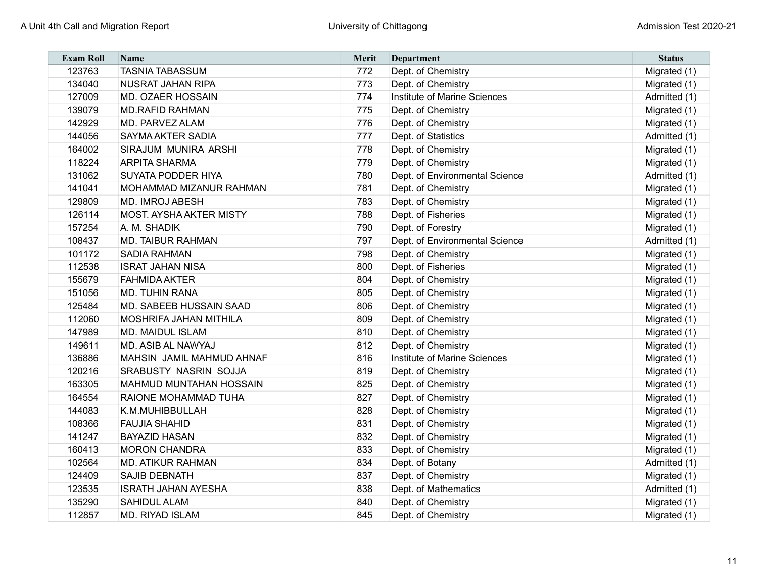| <b>Exam Roll</b> | <b>Name</b>                    | <b>Merit</b> | Department                     | <b>Status</b> |
|------------------|--------------------------------|--------------|--------------------------------|---------------|
| 123763           | <b>TASNIA TABASSUM</b>         | 772          | Dept. of Chemistry             | Migrated (1)  |
| 134040           | <b>NUSRAT JAHAN RIPA</b>       | 773          | Dept. of Chemistry             | Migrated (1)  |
| 127009           | <b>MD. OZAER HOSSAIN</b>       | 774          | Institute of Marine Sciences   | Admitted (1)  |
| 139079           | <b>MD.RAFID RAHMAN</b>         | 775          | Dept. of Chemistry             | Migrated (1)  |
| 142929           | MD. PARVEZ ALAM                | 776          | Dept. of Chemistry             | Migrated (1)  |
| 144056           | <b>SAYMA AKTER SADIA</b>       | 777          | Dept. of Statistics            | Admitted (1)  |
| 164002           | SIRAJUM MUNIRA ARSHI           | 778          | Dept. of Chemistry             | Migrated (1)  |
| 118224           | <b>ARPITA SHARMA</b>           | 779          | Dept. of Chemistry             | Migrated (1)  |
| 131062           | <b>SUYATA PODDER HIYA</b>      | 780          | Dept. of Environmental Science | Admitted (1)  |
| 141041           | <b>MOHAMMAD MIZANUR RAHMAN</b> | 781          | Dept. of Chemistry             | Migrated (1)  |
| 129809           | <b>MD. IMROJ ABESH</b>         | 783          | Dept. of Chemistry             | Migrated (1)  |
| 126114           | <b>MOST. AYSHA AKTER MISTY</b> | 788          | Dept. of Fisheries             | Migrated (1)  |
| 157254           | A. M. SHADIK                   | 790          | Dept. of Forestry              | Migrated (1)  |
| 108437           | <b>MD. TAIBUR RAHMAN</b>       | 797          | Dept. of Environmental Science | Admitted (1)  |
| 101172           | <b>SADIA RAHMAN</b>            | 798          | Dept. of Chemistry             | Migrated (1)  |
| 112538           | <b>ISRAT JAHAN NISA</b>        | 800          | Dept. of Fisheries             | Migrated (1)  |
| 155679           | <b>FAHMIDA AKTER</b>           | 804          | Dept. of Chemistry             | Migrated (1)  |
| 151056           | <b>MD. TUHIN RANA</b>          | 805          | Dept. of Chemistry             | Migrated (1)  |
| 125484           | MD. SABEEB HUSSAIN SAAD        | 806          | Dept. of Chemistry             | Migrated (1)  |
| 112060           | <b>MOSHRIFA JAHAN MITHILA</b>  | 809          | Dept. of Chemistry             | Migrated (1)  |
| 147989           | <b>MD. MAIDUL ISLAM</b>        | 810          | Dept. of Chemistry             | Migrated (1)  |
| 149611           | <b>MD. ASIB AL NAWYAJ</b>      | 812          | Dept. of Chemistry             | Migrated (1)  |
| 136886           | MAHSIN JAMIL MAHMUD AHNAF      | 816          | Institute of Marine Sciences   | Migrated (1)  |
| 120216           | <b>SRABUSTY NASRIN SOJJA</b>   | 819          | Dept. of Chemistry             | Migrated (1)  |
| 163305           | <b>MAHMUD MUNTAHAN HOSSAIN</b> | 825          | Dept. of Chemistry             | Migrated (1)  |
| 164554           | RAIONE MOHAMMAD TUHA           | 827          | Dept. of Chemistry             | Migrated (1)  |
| 144083           | K.M.MUHIBBULLAH                | 828          | Dept. of Chemistry             | Migrated (1)  |
| 108366           | <b>FAUJIA SHAHID</b>           | 831          | Dept. of Chemistry             | Migrated (1)  |
| 141247           | <b>BAYAZID HASAN</b>           | 832          | Dept. of Chemistry             | Migrated (1)  |
| 160413           | <b>MORON CHANDRA</b>           | 833          | Dept. of Chemistry             | Migrated (1)  |
| 102564           | <b>MD. ATIKUR RAHMAN</b>       | 834          | Dept. of Botany                | Admitted (1)  |
| 124409           | <b>SAJIB DEBNATH</b>           | 837          | Dept. of Chemistry             | Migrated (1)  |
| 123535           | <b>ISRATH JAHAN AYESHA</b>     | 838          | Dept. of Mathematics           | Admitted (1)  |
| 135290           | <b>SAHIDUL ALAM</b>            | 840          | Dept. of Chemistry             | Migrated (1)  |
| 112857           | <b>MD. RIYAD ISLAM</b>         | 845          | Dept. of Chemistry             | Migrated (1)  |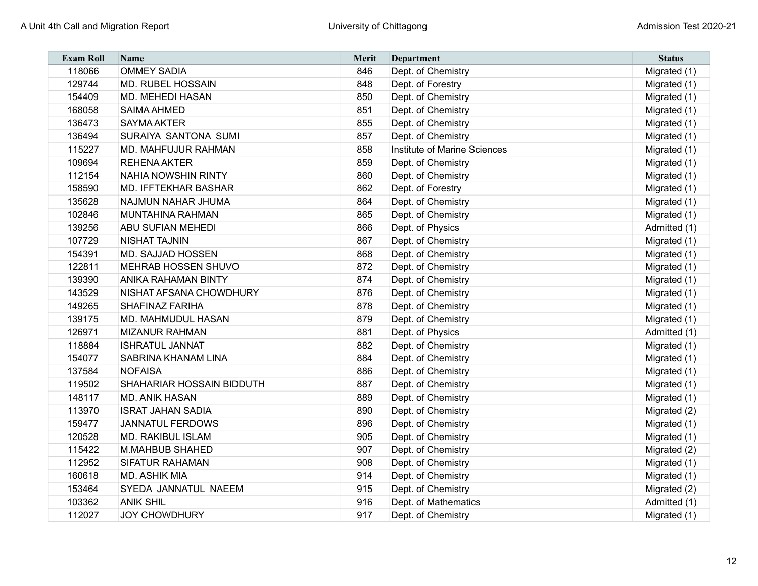| <b>Exam Roll</b> | <b>Name</b>                 | Merit | Department                   | <b>Status</b> |
|------------------|-----------------------------|-------|------------------------------|---------------|
| 118066           | <b>OMMEY SADIA</b>          | 846   | Dept. of Chemistry           | Migrated (1)  |
| 129744           | <b>MD. RUBEL HOSSAIN</b>    | 848   | Dept. of Forestry            | Migrated (1)  |
| 154409           | <b>MD. MEHEDI HASAN</b>     | 850   | Dept. of Chemistry           | Migrated (1)  |
| 168058           | <b>SAIMA AHMED</b>          | 851   | Dept. of Chemistry           | Migrated (1)  |
| 136473           | <b>SAYMA AKTER</b>          | 855   | Dept. of Chemistry           | Migrated (1)  |
| 136494           | SURAIYA SANTONA SUMI        | 857   | Dept. of Chemistry           | Migrated (1)  |
| 115227           | <b>MD. MAHFUJUR RAHMAN</b>  | 858   | Institute of Marine Sciences | Migrated (1)  |
| 109694           | <b>REHENA AKTER</b>         | 859   | Dept. of Chemistry           | Migrated (1)  |
| 112154           | NAHIA NOWSHIN RINTY         | 860   | Dept. of Chemistry           | Migrated (1)  |
| 158590           | <b>MD. IFFTEKHAR BASHAR</b> | 862   | Dept. of Forestry            | Migrated (1)  |
| 135628           | NAJMUN NAHAR JHUMA          | 864   | Dept. of Chemistry           | Migrated (1)  |
| 102846           | <b>MUNTAHINA RAHMAN</b>     | 865   | Dept. of Chemistry           | Migrated (1)  |
| 139256           | <b>ABU SUFIAN MEHEDI</b>    | 866   | Dept. of Physics             | Admitted (1)  |
| 107729           | <b>NISHAT TAJNIN</b>        | 867   | Dept. of Chemistry           | Migrated (1)  |
| 154391           | MD. SAJJAD HOSSEN           | 868   | Dept. of Chemistry           | Migrated (1)  |
| 122811           | MEHRAB HOSSEN SHUVO         | 872   | Dept. of Chemistry           | Migrated (1)  |
| 139390           | <b>ANIKA RAHAMAN BINTY</b>  | 874   | Dept. of Chemistry           | Migrated (1)  |
| 143529           | NISHAT AFSANA CHOWDHURY     | 876   | Dept. of Chemistry           | Migrated (1)  |
| 149265           | <b>SHAFINAZ FARIHA</b>      | 878   | Dept. of Chemistry           | Migrated (1)  |
| 139175           | MD. MAHMUDUL HASAN          | 879   | Dept. of Chemistry           | Migrated (1)  |
| 126971           | <b>MIZANUR RAHMAN</b>       | 881   | Dept. of Physics             | Admitted (1)  |
| 118884           | <b>ISHRATUL JANNAT</b>      | 882   | Dept. of Chemistry           | Migrated (1)  |
| 154077           | SABRINA KHANAM LINA         | 884   | Dept. of Chemistry           | Migrated (1)  |
| 137584           | <b>NOFAISA</b>              | 886   | Dept. of Chemistry           | Migrated (1)  |
| 119502           | SHAHARIAR HOSSAIN BIDDUTH   | 887   | Dept. of Chemistry           | Migrated (1)  |
| 148117           | <b>MD. ANIK HASAN</b>       | 889   | Dept. of Chemistry           | Migrated (1)  |
| 113970           | <b>ISRAT JAHAN SADIA</b>    | 890   | Dept. of Chemistry           | Migrated (2)  |
| 159477           | <b>JANNATUL FERDOWS</b>     | 896   | Dept. of Chemistry           | Migrated (1)  |
| 120528           | <b>MD. RAKIBUL ISLAM</b>    | 905   | Dept. of Chemistry           | Migrated (1)  |
| 115422           | M.MAHBUB SHAHED             | 907   | Dept. of Chemistry           | Migrated (2)  |
| 112952           | <b>SIFATUR RAHAMAN</b>      | 908   | Dept. of Chemistry           | Migrated (1)  |
| 160618           | <b>MD. ASHIK MIA</b>        | 914   | Dept. of Chemistry           | Migrated (1)  |
| 153464           | SYEDA JANNATUL NAEEM        | 915   | Dept. of Chemistry           | Migrated (2)  |
| 103362           | <b>ANIK SHIL</b>            | 916   | Dept. of Mathematics         | Admitted (1)  |
| 112027           | <b>JOY CHOWDHURY</b>        | 917   | Dept. of Chemistry           | Migrated (1)  |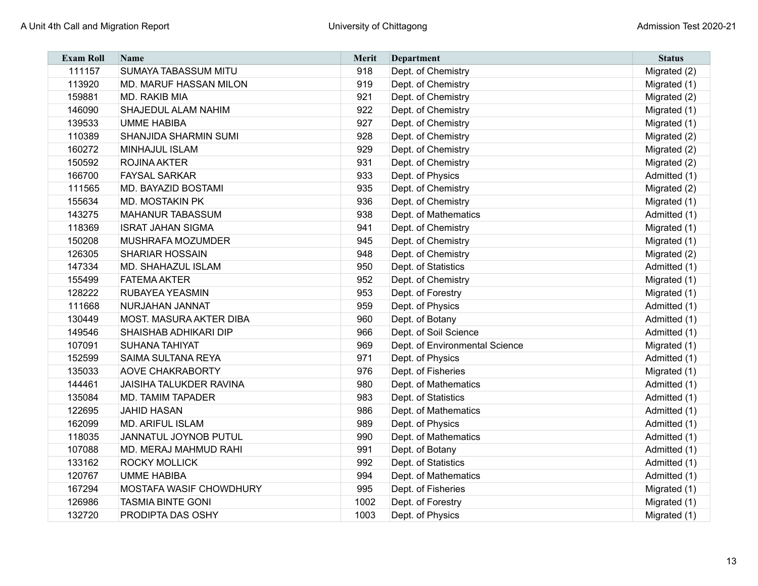| <b>Exam Roll</b> | <b>Name</b>                    | <b>Merit</b> | Department                     | <b>Status</b> |
|------------------|--------------------------------|--------------|--------------------------------|---------------|
| 111157           | <b>SUMAYA TABASSUM MITU</b>    | 918          | Dept. of Chemistry             | Migrated (2)  |
| 113920           | MD. MARUF HASSAN MILON         | 919          | Dept. of Chemistry             | Migrated (1)  |
| 159881           | MD. RAKIB MIA                  | 921          | Dept. of Chemistry             | Migrated (2)  |
| 146090           | SHAJEDUL ALAM NAHIM            | 922          | Dept. of Chemistry             | Migrated (1)  |
| 139533           | <b>UMME HABIBA</b>             | 927          | Dept. of Chemistry             | Migrated (1)  |
| 110389           | <b>SHANJIDA SHARMIN SUMI</b>   | 928          | Dept. of Chemistry             | Migrated (2)  |
| 160272           | <b>MINHAJUL ISLAM</b>          | 929          | Dept. of Chemistry             | Migrated (2)  |
| 150592           | <b>ROJINA AKTER</b>            | 931          | Dept. of Chemistry             | Migrated (2)  |
| 166700           | <b>FAYSAL SARKAR</b>           | 933          | Dept. of Physics               | Admitted (1)  |
| 111565           | <b>MD. BAYAZID BOSTAMI</b>     | 935          | Dept. of Chemistry             | Migrated (2)  |
| 155634           | <b>MD. MOSTAKIN PK</b>         | 936          | Dept. of Chemistry             | Migrated (1)  |
| 143275           | <b>MAHANUR TABASSUM</b>        | 938          | Dept. of Mathematics           | Admitted (1)  |
| 118369           | <b>ISRAT JAHAN SIGMA</b>       | 941          | Dept. of Chemistry             | Migrated (1)  |
| 150208           | MUSHRAFA MOZUMDER              | 945          | Dept. of Chemistry             | Migrated (1)  |
| 126305           | <b>SHARIAR HOSSAIN</b>         | 948          | Dept. of Chemistry             | Migrated (2)  |
| 147334           | <b>MD. SHAHAZUL ISLAM</b>      | 950          | Dept. of Statistics            | Admitted (1)  |
| 155499           | <b>FATEMA AKTER</b>            | 952          | Dept. of Chemistry             | Migrated (1)  |
| 128222           | <b>RUBAYEA YEASMIN</b>         | 953          | Dept. of Forestry              | Migrated (1)  |
| 111668           | NURJAHAN JANNAT                | 959          | Dept. of Physics               | Admitted (1)  |
| 130449           | <b>MOST. MASURA AKTER DIBA</b> | 960          | Dept. of Botany                | Admitted (1)  |
| 149546           | <b>SHAISHAB ADHIKARI DIP</b>   | 966          | Dept. of Soil Science          | Admitted (1)  |
| 107091           | <b>SUHANA TAHIYAT</b>          | 969          | Dept. of Environmental Science | Migrated (1)  |
| 152599           | <b>SAIMA SULTANA REYA</b>      | 971          | Dept. of Physics               | Admitted (1)  |
| 135033           | <b>AOVE CHAKRABORTY</b>        | 976          | Dept. of Fisheries             | Migrated (1)  |
| 144461           | <b>JAISIHA TALUKDER RAVINA</b> | 980          | Dept. of Mathematics           | Admitted (1)  |
| 135084           | <b>MD. TAMIM TAPADER</b>       | 983          | Dept. of Statistics            | Admitted (1)  |
| 122695           | <b>JAHID HASAN</b>             | 986          | Dept. of Mathematics           | Admitted (1)  |
| 162099           | <b>MD. ARIFUL ISLAM</b>        | 989          | Dept. of Physics               | Admitted (1)  |
| 118035           | JANNATUL JOYNOB PUTUL          | 990          | Dept. of Mathematics           | Admitted (1)  |
| 107088           | MD. MERAJ MAHMUD RAHI          | 991          | Dept. of Botany                | Admitted (1)  |
| 133162           | <b>ROCKY MOLLICK</b>           | 992          | Dept. of Statistics            | Admitted (1)  |
| 120767           | <b>UMME HABIBA</b>             | 994          | Dept. of Mathematics           | Admitted (1)  |
| 167294           | <b>MOSTAFA WASIF CHOWDHURY</b> | 995          | Dept. of Fisheries             | Migrated (1)  |
| 126986           | <b>TASMIA BINTE GONI</b>       | 1002         | Dept. of Forestry              | Migrated (1)  |
| 132720           | PRODIPTA DAS OSHY              | 1003         | Dept. of Physics               | Migrated (1)  |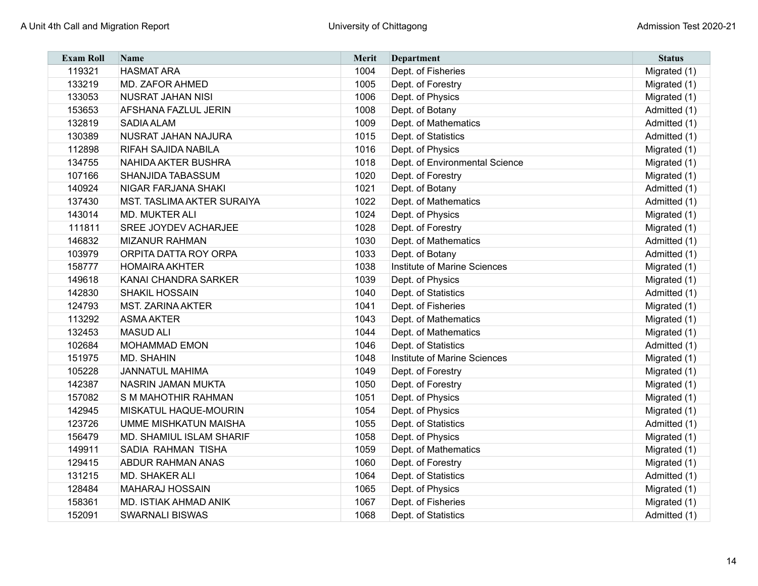| <b>Exam Roll</b> | <b>Name</b>                       | <b>Merit</b> | Department                     | <b>Status</b> |
|------------------|-----------------------------------|--------------|--------------------------------|---------------|
| 119321           | <b>HASMAT ARA</b>                 | 1004         | Dept. of Fisheries             | Migrated (1)  |
| 133219           | <b>MD. ZAFOR AHMED</b>            | 1005         | Dept. of Forestry              | Migrated (1)  |
| 133053           | <b>NUSRAT JAHAN NISI</b>          | 1006         | Dept. of Physics               | Migrated (1)  |
| 153653           | <b>AFSHANA FAZLUL JERIN</b>       | 1008         | Dept. of Botany                | Admitted (1)  |
| 132819           | <b>SADIA ALAM</b>                 | 1009         | Dept. of Mathematics           | Admitted (1)  |
| 130389           | NUSRAT JAHAN NAJURA               | 1015         | Dept. of Statistics            | Admitted (1)  |
| 112898           | <b>RIFAH SAJIDA NABILA</b>        | 1016         | Dept. of Physics               | Migrated (1)  |
| 134755           | <b>NAHIDA AKTER BUSHRA</b>        | 1018         | Dept. of Environmental Science | Migrated (1)  |
| 107166           | <b>SHANJIDA TABASSUM</b>          | 1020         | Dept. of Forestry              | Migrated (1)  |
| 140924           | <b>NIGAR FARJANA SHAKI</b>        | 1021         | Dept. of Botany                | Admitted (1)  |
| 137430           | <b>MST. TASLIMA AKTER SURAIYA</b> | 1022         | Dept. of Mathematics           | Admitted (1)  |
| 143014           | <b>MD. MUKTER ALI</b>             | 1024         | Dept. of Physics               | Migrated (1)  |
| 111811           | <b>SREE JOYDEV ACHARJEE</b>       | 1028         | Dept. of Forestry              | Migrated (1)  |
| 146832           | <b>MIZANUR RAHMAN</b>             | 1030         | Dept. of Mathematics           | Admitted (1)  |
| 103979           | ORPITA DATTA ROY ORPA             | 1033         | Dept. of Botany                | Admitted (1)  |
| 158777           | <b>HOMAIRA AKHTER</b>             | 1038         | Institute of Marine Sciences   | Migrated (1)  |
| 149618           | <b>KANAI CHANDRA SARKER</b>       | 1039         | Dept. of Physics               | Migrated (1)  |
| 142830           | <b>SHAKIL HOSSAIN</b>             | 1040         | Dept. of Statistics            | Admitted (1)  |
| 124793           | <b>MST. ZARINA AKTER</b>          | 1041         | Dept. of Fisheries             | Migrated (1)  |
| 113292           | <b>ASMA AKTER</b>                 | 1043         | Dept. of Mathematics           | Migrated (1)  |
| 132453           | <b>MASUD ALI</b>                  | 1044         | Dept. of Mathematics           | Migrated (1)  |
| 102684           | <b>MOHAMMAD EMON</b>              | 1046         | Dept. of Statistics            | Admitted (1)  |
| 151975           | <b>MD. SHAHIN</b>                 | 1048         | Institute of Marine Sciences   | Migrated (1)  |
| 105228           | <b>JANNATUL MAHIMA</b>            | 1049         | Dept. of Forestry              | Migrated (1)  |
| 142387           | <b>NASRIN JAMAN MUKTA</b>         | 1050         | Dept. of Forestry              | Migrated (1)  |
| 157082           | S M MAHOTHIR RAHMAN               | 1051         | Dept. of Physics               | Migrated (1)  |
| 142945           | MISKATUL HAQUE-MOURIN             | 1054         | Dept. of Physics               | Migrated (1)  |
| 123726           | <b>UMME MISHKATUN MAISHA</b>      | 1055         | Dept. of Statistics            | Admitted (1)  |
| 156479           | <b>MD. SHAMIUL ISLAM SHARIF</b>   | 1058         | Dept. of Physics               | Migrated (1)  |
| 149911           | <b>SADIA RAHMAN TISHA</b>         | 1059         | Dept. of Mathematics           | Migrated (1)  |
| 129415           | <b>ABDUR RAHMAN ANAS</b>          | 1060         | Dept. of Forestry              | Migrated (1)  |
| 131215           | MD. SHAKER ALI                    | 1064         | Dept. of Statistics            | Admitted (1)  |
| 128484           | <b>MAHARAJ HOSSAIN</b>            | 1065         | Dept. of Physics               | Migrated (1)  |
| 158361           | <b>MD. ISTIAK AHMAD ANIK</b>      | 1067         | Dept. of Fisheries             | Migrated (1)  |
| 152091           | <b>SWARNALI BISWAS</b>            | 1068         | Dept. of Statistics            | Admitted (1)  |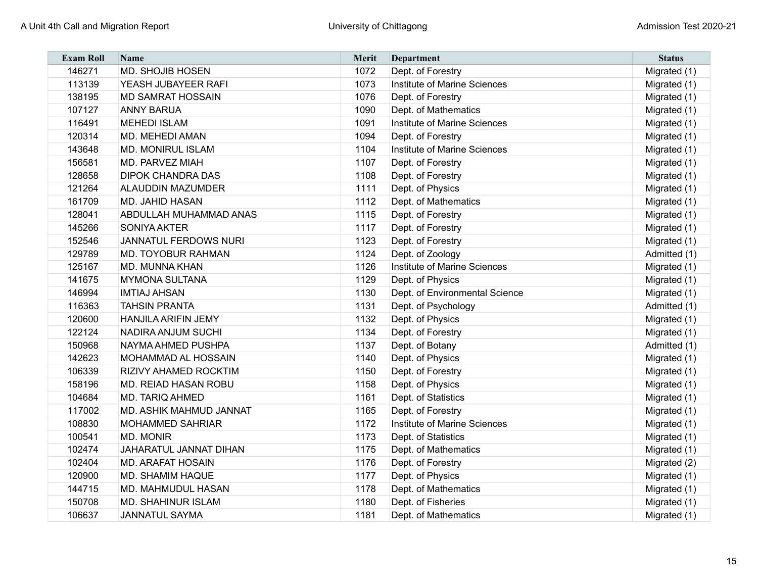| <b>Exam Roll</b> | <b>Name</b>                  | Merit | <b>Department</b>              | <b>Status</b> |
|------------------|------------------------------|-------|--------------------------------|---------------|
| 146271           | <b>MD. SHOJIB HOSEN</b>      | 1072  | Dept. of Forestry              | Migrated (1)  |
| 113139           | YEASH JUBAYEER RAFI          | 1073  | Institute of Marine Sciences   | Migrated (1)  |
| 138195           | <b>MD SAMRAT HOSSAIN</b>     | 1076  | Dept. of Forestry              | Migrated (1)  |
| 107127           | <b>ANNY BARUA</b>            | 1090  | Dept. of Mathematics           | Migrated (1)  |
| 116491           | <b>MEHEDI ISLAM</b>          | 1091  | Institute of Marine Sciences   | Migrated (1)  |
| 120314           | <b>MD. MEHEDI AMAN</b>       | 1094  | Dept. of Forestry              | Migrated (1)  |
| 143648           | <b>MD. MONIRUL ISLAM</b>     | 1104  | Institute of Marine Sciences   | Migrated (1)  |
| 156581           | <b>MD. PARVEZ MIAH</b>       | 1107  | Dept. of Forestry              | Migrated (1)  |
| 128658           | <b>DIPOK CHANDRA DAS</b>     | 1108  | Dept. of Forestry              | Migrated (1)  |
| 121264           | <b>ALAUDDIN MAZUMDER</b>     | 1111  | Dept. of Physics               | Migrated (1)  |
| 161709           | <b>MD. JAHID HASAN</b>       | 1112  | Dept. of Mathematics           | Migrated (1)  |
| 128041           | ABDULLAH MUHAMMAD ANAS       | 1115  | Dept. of Forestry              | Migrated (1)  |
| 145266           | <b>SONIYA AKTER</b>          | 1117  | Dept. of Forestry              | Migrated (1)  |
| 152546           | <b>JANNATUL FERDOWS NURI</b> | 1123  | Dept. of Forestry              | Migrated (1)  |
| 129789           | <b>MD. TOYOBUR RAHMAN</b>    | 1124  | Dept. of Zoology               | Admitted (1)  |
| 125167           | <b>MD. MUNNA KHAN</b>        | 1126  | Institute of Marine Sciences   | Migrated (1)  |
| 141675           | <b>MYMONA SULTANA</b>        | 1129  | Dept. of Physics               | Migrated (1)  |
| 146994           | <b>IMTIAJ AHSAN</b>          | 1130  | Dept. of Environmental Science | Migrated (1)  |
| 116363           | <b>TAHSIN PRANTA</b>         | 1131  | Dept. of Psychology            | Admitted (1)  |
| 120600           | <b>HANJILA ARIFIN JEMY</b>   | 1132  | Dept. of Physics               | Migrated (1)  |
| 122124           | <b>NADIRA ANJUM SUCHI</b>    | 1134  | Dept. of Forestry              | Migrated (1)  |
| 150968           | NAYMA AHMED PUSHPA           | 1137  | Dept. of Botany                | Admitted (1)  |
| 142623           | MOHAMMAD AL HOSSAIN          | 1140  | Dept. of Physics               | Migrated (1)  |
| 106339           | RIZIVY AHAMED ROCKTIM        | 1150  | Dept. of Forestry              | Migrated (1)  |
| 158196           | MD. REIAD HASAN ROBU         | 1158  | Dept. of Physics               | Migrated (1)  |
| 104684           | <b>MD. TARIQ AHMED</b>       | 1161  | Dept. of Statistics            | Migrated (1)  |
| 117002           | MD. ASHIK MAHMUD JANNAT      | 1165  | Dept. of Forestry              | Migrated (1)  |
| 108830           | <b>MOHAMMED SAHRIAR</b>      | 1172  | Institute of Marine Sciences   | Migrated (1)  |
| 100541           | <b>MD. MONIR</b>             | 1173  | Dept. of Statistics            | Migrated (1)  |
| 102474           | JAHARATUL JANNAT DIHAN       | 1175  | Dept. of Mathematics           | Migrated (1)  |
| 102404           | <b>MD. ARAFAT HOSAIN</b>     | 1176  | Dept. of Forestry              | Migrated (2)  |
| 120900           | <b>MD. SHAMIM HAQUE</b>      | 1177  | Dept. of Physics               | Migrated (1)  |
| 144715           | MD. MAHMUDUL HASAN           | 1178  | Dept. of Mathematics           | Migrated (1)  |
| 150708           | <b>MD. SHAHINUR ISLAM</b>    | 1180  | Dept. of Fisheries             | Migrated (1)  |
| 106637           | <b>JANNATUL SAYMA</b>        | 1181  | Dept. of Mathematics           | Migrated (1)  |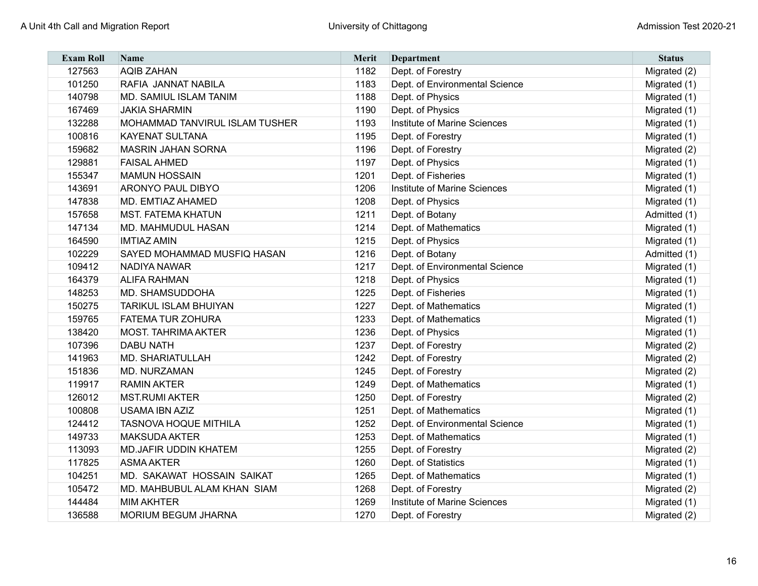| <b>Exam Roll</b> | <b>Name</b>                    | <b>Merit</b> | <b>Department</b>              | <b>Status</b> |
|------------------|--------------------------------|--------------|--------------------------------|---------------|
| 127563           | <b>AQIB ZAHAN</b>              | 1182         | Dept. of Forestry              | Migrated (2)  |
| 101250           | RAFIA JANNAT NABILA            | 1183         | Dept. of Environmental Science | Migrated (1)  |
| 140798           | MD. SAMIUL ISLAM TANIM         | 1188         | Dept. of Physics               | Migrated (1)  |
| 167469           | <b>JAKIA SHARMIN</b>           | 1190         | Dept. of Physics               | Migrated (1)  |
| 132288           | MOHAMMAD TANVIRUL ISLAM TUSHER | 1193         | Institute of Marine Sciences   | Migrated (1)  |
| 100816           | <b>KAYENAT SULTANA</b>         | 1195         | Dept. of Forestry              | Migrated (1)  |
| 159682           | <b>MASRIN JAHAN SORNA</b>      | 1196         | Dept. of Forestry              | Migrated (2)  |
| 129881           | <b>FAISAL AHMED</b>            | 1197         | Dept. of Physics               | Migrated (1)  |
| 155347           | <b>MAMUN HOSSAIN</b>           | 1201         | Dept. of Fisheries             | Migrated (1)  |
| 143691           | <b>ARONYO PAUL DIBYO</b>       | 1206         | Institute of Marine Sciences   | Migrated (1)  |
| 147838           | MD. EMTIAZ AHAMED              | 1208         | Dept. of Physics               | Migrated (1)  |
| 157658           | <b>MST. FATEMA KHATUN</b>      | 1211         | Dept. of Botany                | Admitted (1)  |
| 147134           | MD. MAHMUDUL HASAN             | 1214         | Dept. of Mathematics           | Migrated (1)  |
| 164590           | <b>IMTIAZ AMIN</b>             | 1215         | Dept. of Physics               | Migrated (1)  |
| 102229           | SAYED MOHAMMAD MUSFIQ HASAN    | 1216         | Dept. of Botany                | Admitted (1)  |
| 109412           | <b>NADIYA NAWAR</b>            | 1217         | Dept. of Environmental Science | Migrated (1)  |
| 164379           | <b>ALIFA RAHMAN</b>            | 1218         | Dept. of Physics               | Migrated (1)  |
| 148253           | MD. SHAMSUDDOHA                | 1225         | Dept. of Fisheries             | Migrated (1)  |
| 150275           | <b>TARIKUL ISLAM BHUIYAN</b>   | 1227         | Dept. of Mathematics           | Migrated (1)  |
| 159765           | <b>FATEMA TUR ZOHURA</b>       | 1233         | Dept. of Mathematics           | Migrated (1)  |
| 138420           | <b>MOST. TAHRIMA AKTER</b>     | 1236         | Dept. of Physics               | Migrated (1)  |
| 107396           | <b>DABU NATH</b>               | 1237         | Dept. of Forestry              | Migrated (2)  |
| 141963           | <b>MD. SHARIATULLAH</b>        | 1242         | Dept. of Forestry              | Migrated (2)  |
| 151836           | MD. NURZAMAN                   | 1245         | Dept. of Forestry              | Migrated (2)  |
| 119917           | <b>RAMIN AKTER</b>             | 1249         | Dept. of Mathematics           | Migrated (1)  |
| 126012           | <b>MST.RUMI AKTER</b>          | 1250         | Dept. of Forestry              | Migrated (2)  |
| 100808           | <b>USAMA IBN AZIZ</b>          | 1251         | Dept. of Mathematics           | Migrated (1)  |
| 124412           | <b>TASNOVA HOQUE MITHILA</b>   | 1252         | Dept. of Environmental Science | Migrated (1)  |
| 149733           | <b>MAKSUDA AKTER</b>           | 1253         | Dept. of Mathematics           | Migrated (1)  |
| 113093           | <b>MD.JAFIR UDDIN KHATEM</b>   | 1255         | Dept. of Forestry              | Migrated (2)  |
| 117825           | <b>ASMA AKTER</b>              | 1260         | Dept. of Statistics            | Migrated (1)  |
| 104251           | MD. SAKAWAT HOSSAIN SAIKAT     | 1265         | Dept. of Mathematics           | Migrated (1)  |
| 105472           | MD. MAHBUBUL ALAM KHAN SIAM    | 1268         | Dept. of Forestry              | Migrated (2)  |
| 144484           | <b>MIM AKHTER</b>              | 1269         | Institute of Marine Sciences   | Migrated (1)  |
| 136588           | <b>MORIUM BEGUM JHARNA</b>     | 1270         | Dept. of Forestry              | Migrated (2)  |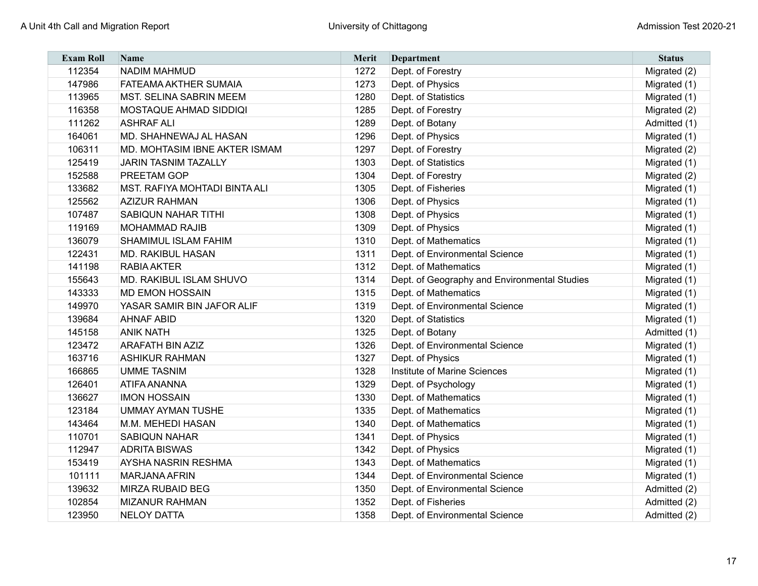| <b>Exam Roll</b> | <b>Name</b>                    | <b>Merit</b> | Department                                   | <b>Status</b> |
|------------------|--------------------------------|--------------|----------------------------------------------|---------------|
| 112354           | <b>NADIM MAHMUD</b>            | 1272         | Dept. of Forestry                            | Migrated (2)  |
| 147986           | <b>FATEAMA AKTHER SUMAIA</b>   | 1273         | Dept. of Physics                             | Migrated (1)  |
| 113965           | <b>MST. SELINA SABRIN MEEM</b> | 1280         | Dept. of Statistics                          | Migrated (1)  |
| 116358           | MOSTAQUE AHMAD SIDDIQI         | 1285         | Dept. of Forestry                            | Migrated (2)  |
| 111262           | <b>ASHRAF ALI</b>              | 1289         | Dept. of Botany                              | Admitted (1)  |
| 164061           | MD. SHAHNEWAJ AL HASAN         | 1296         | Dept. of Physics                             | Migrated (1)  |
| 106311           | MD. MOHTASIM IBNE AKTER ISMAM  | 1297         | Dept. of Forestry                            | Migrated (2)  |
| 125419           | <b>JARIN TASNIM TAZALLY</b>    | 1303         | Dept. of Statistics                          | Migrated (1)  |
| 152588           | <b>PREETAM GOP</b>             | 1304         | Dept. of Forestry                            | Migrated (2)  |
| 133682           | MST. RAFIYA MOHTADI BINTA ALI  | 1305         | Dept. of Fisheries                           | Migrated (1)  |
| 125562           | <b>AZIZUR RAHMAN</b>           | 1306         | Dept. of Physics                             | Migrated (1)  |
| 107487           | <b>SABIQUN NAHAR TITHI</b>     | 1308         | Dept. of Physics                             | Migrated (1)  |
| 119169           | <b>MOHAMMAD RAJIB</b>          | 1309         | Dept. of Physics                             | Migrated (1)  |
| 136079           | <b>SHAMIMUL ISLAM FAHIM</b>    | 1310         | Dept. of Mathematics                         | Migrated (1)  |
| 122431           | <b>MD. RAKIBUL HASAN</b>       | 1311         | Dept. of Environmental Science               | Migrated (1)  |
| 141198           | <b>RABIA AKTER</b>             | 1312         | Dept. of Mathematics                         | Migrated (1)  |
| 155643           | MD. RAKIBUL ISLAM SHUVO        | 1314         | Dept. of Geography and Environmental Studies | Migrated (1)  |
| 143333           | <b>MD EMON HOSSAIN</b>         | 1315         | Dept. of Mathematics                         | Migrated (1)  |
| 149970           | YASAR SAMIR BIN JAFOR ALIF     | 1319         | Dept. of Environmental Science               | Migrated (1)  |
| 139684           | <b>AHNAF ABID</b>              | 1320         | Dept. of Statistics                          | Migrated (1)  |
| 145158           | <b>ANIK NATH</b>               | 1325         | Dept. of Botany                              | Admitted (1)  |
| 123472           | <b>ARAFATH BIN AZIZ</b>        | 1326         | Dept. of Environmental Science               | Migrated (1)  |
| 163716           | <b>ASHIKUR RAHMAN</b>          | 1327         | Dept. of Physics                             | Migrated (1)  |
| 166865           | <b>UMME TASNIM</b>             | 1328         | Institute of Marine Sciences                 | Migrated (1)  |
| 126401           | <b>ATIFA ANANNA</b>            | 1329         | Dept. of Psychology                          | Migrated (1)  |
| 136627           | <b>IMON HOSSAIN</b>            | 1330         | Dept. of Mathematics                         | Migrated (1)  |
| 123184           | <b>UMMAY AYMAN TUSHE</b>       | 1335         | Dept. of Mathematics                         | Migrated (1)  |
| 143464           | M.M. MEHEDI HASAN              | 1340         | Dept. of Mathematics                         | Migrated (1)  |
| 110701           | <b>SABIQUN NAHAR</b>           | 1341         | Dept. of Physics                             | Migrated (1)  |
| 112947           | <b>ADRITA BISWAS</b>           | 1342         | Dept. of Physics                             | Migrated (1)  |
| 153419           | <b>AYSHA NASRIN RESHMA</b>     | 1343         | Dept. of Mathematics                         | Migrated (1)  |
| 101111           | <b>MARJANA AFRIN</b>           | 1344         | Dept. of Environmental Science               | Migrated (1)  |
| 139632           | <b>MIRZA RUBAID BEG</b>        | 1350         | Dept. of Environmental Science               | Admitted (2)  |
| 102854           | <b>MIZANUR RAHMAN</b>          | 1352         | Dept. of Fisheries                           | Admitted (2)  |
| 123950           | <b>NELOY DATTA</b>             | 1358         | Dept. of Environmental Science               | Admitted (2)  |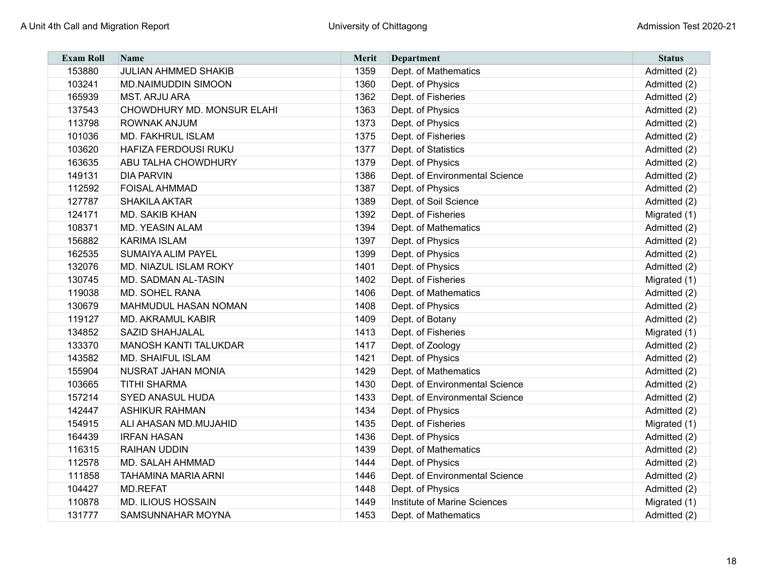| <b>Exam Roll</b> | <b>Name</b>                  | Merit | Department                     | <b>Status</b> |
|------------------|------------------------------|-------|--------------------------------|---------------|
| 153880           | <b>JULIAN AHMMED SHAKIB</b>  | 1359  | Dept. of Mathematics           | Admitted (2)  |
| 103241           | <b>MD.NAIMUDDIN SIMOON</b>   | 1360  | Dept. of Physics               | Admitted (2)  |
| 165939           | <b>MST. ARJU ARA</b>         | 1362  | Dept. of Fisheries             | Admitted (2)  |
| 137543           | CHOWDHURY MD. MONSUR ELAHI   | 1363  | Dept. of Physics               | Admitted (2)  |
| 113798           | <b>ROWNAK ANJUM</b>          | 1373  | Dept. of Physics               | Admitted (2)  |
| 101036           | <b>MD. FAKHRUL ISLAM</b>     | 1375  | Dept. of Fisheries             | Admitted (2)  |
| 103620           | <b>HAFIZA FERDOUSI RUKU</b>  | 1377  | Dept. of Statistics            | Admitted (2)  |
| 163635           | <b>ABU TALHA CHOWDHURY</b>   | 1379  | Dept. of Physics               | Admitted (2)  |
| 149131           | <b>DIA PARVIN</b>            | 1386  | Dept. of Environmental Science | Admitted (2)  |
| 112592           | <b>FOISAL AHMMAD</b>         | 1387  | Dept. of Physics               | Admitted (2)  |
| 127787           | <b>SHAKILA AKTAR</b>         | 1389  | Dept. of Soil Science          | Admitted (2)  |
| 124171           | <b>MD. SAKIB KHAN</b>        | 1392  | Dept. of Fisheries             | Migrated (1)  |
| 108371           | <b>MD. YEASIN ALAM</b>       | 1394  | Dept. of Mathematics           | Admitted (2)  |
| 156882           | <b>KARIMA ISLAM</b>          | 1397  | Dept. of Physics               | Admitted (2)  |
| 162535           | <b>SUMAIYA ALIM PAYEL</b>    | 1399  | Dept. of Physics               | Admitted (2)  |
| 132076           | MD. NIAZUL ISLAM ROKY        | 1401  | Dept. of Physics               | Admitted (2)  |
| 130745           | <b>MD. SADMAN AL-TASIN</b>   | 1402  | Dept. of Fisheries             | Migrated (1)  |
| 119038           | <b>MD. SOHEL RANA</b>        | 1406  | Dept. of Mathematics           | Admitted (2)  |
| 130679           | <b>MAHMUDUL HASAN NOMAN</b>  | 1408  | Dept. of Physics               | Admitted (2)  |
| 119127           | <b>MD. AKRAMUL KABIR</b>     | 1409  | Dept. of Botany                | Admitted (2)  |
| 134852           | <b>SAZID SHAHJALAL</b>       | 1413  | Dept. of Fisheries             | Migrated (1)  |
| 133370           | <b>MANOSH KANTI TALUKDAR</b> | 1417  | Dept. of Zoology               | Admitted (2)  |
| 143582           | <b>MD. SHAIFUL ISLAM</b>     | 1421  | Dept. of Physics               | Admitted (2)  |
| 155904           | <b>NUSRAT JAHAN MONIA</b>    | 1429  | Dept. of Mathematics           | Admitted (2)  |
| 103665           | <b>TITHI SHARMA</b>          | 1430  | Dept. of Environmental Science | Admitted (2)  |
| 157214           | <b>SYED ANASUL HUDA</b>      | 1433  | Dept. of Environmental Science | Admitted (2)  |
| 142447           | <b>ASHIKUR RAHMAN</b>        | 1434  | Dept. of Physics               | Admitted (2)  |
| 154915           | ALI AHASAN MD.MUJAHID        | 1435  | Dept. of Fisheries             | Migrated (1)  |
| 164439           | <b>IRFAN HASAN</b>           | 1436  | Dept. of Physics               | Admitted (2)  |
| 116315           | <b>RAIHAN UDDIN</b>          | 1439  | Dept. of Mathematics           | Admitted (2)  |
| 112578           | <b>MD. SALAH AHMMAD</b>      | 1444  | Dept. of Physics               | Admitted (2)  |
| 111858           | <b>TAHAMINA MARIA ARNI</b>   | 1446  | Dept. of Environmental Science | Admitted (2)  |
| 104427           | <b>MD.REFAT</b>              | 1448  | Dept. of Physics               | Admitted (2)  |
| 110878           | <b>MD. ILIOUS HOSSAIN</b>    | 1449  | Institute of Marine Sciences   | Migrated (1)  |
| 131777           | <b>SAMSUNNAHAR MOYNA</b>     | 1453  | Dept. of Mathematics           | Admitted (2)  |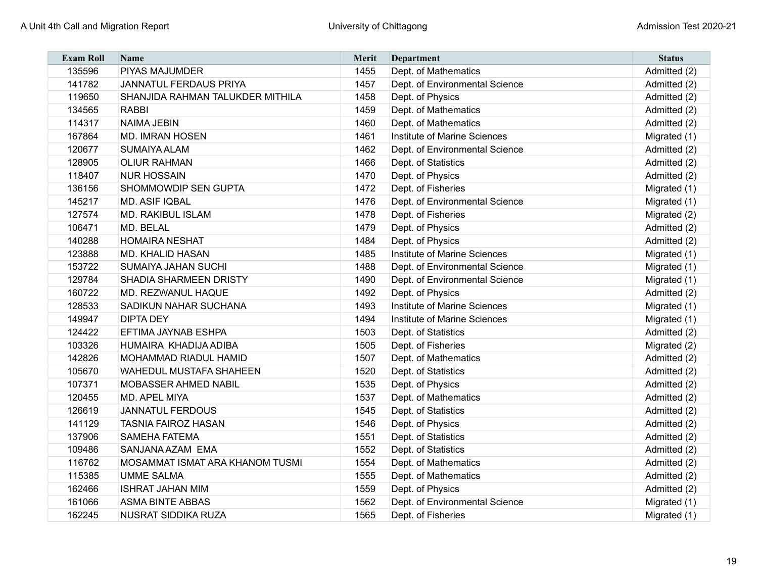| <b>Exam Roll</b> | <b>Name</b>                      | <b>Merit</b> | Department                     | <b>Status</b> |
|------------------|----------------------------------|--------------|--------------------------------|---------------|
| 135596           | <b>PIYAS MAJUMDER</b>            | 1455         | Dept. of Mathematics           | Admitted (2)  |
| 141782           | JANNATUL FERDAUS PRIYA           | 1457         | Dept. of Environmental Science | Admitted (2)  |
| 119650           | SHANJIDA RAHMAN TALUKDER MITHILA | 1458         | Dept. of Physics               | Admitted (2)  |
| 134565           | <b>RABBI</b>                     | 1459         | Dept. of Mathematics           | Admitted (2)  |
| 114317           | <b>NAIMA JEBIN</b>               | 1460         | Dept. of Mathematics           | Admitted (2)  |
| 167864           | <b>MD. IMRAN HOSEN</b>           | 1461         | Institute of Marine Sciences   | Migrated (1)  |
| 120677           | <b>SUMAIYA ALAM</b>              | 1462         | Dept. of Environmental Science | Admitted (2)  |
| 128905           | <b>OLIUR RAHMAN</b>              | 1466         | Dept. of Statistics            | Admitted (2)  |
| 118407           | <b>NUR HOSSAIN</b>               | 1470         | Dept. of Physics               | Admitted (2)  |
| 136156           | SHOMMOWDIP SEN GUPTA             | 1472         | Dept. of Fisheries             | Migrated (1)  |
| 145217           | <b>MD. ASIF IQBAL</b>            | 1476         | Dept. of Environmental Science | Migrated (1)  |
| 127574           | MD. RAKIBUL ISLAM                | 1478         | Dept. of Fisheries             | Migrated (2)  |
| 106471           | MD. BELAL                        | 1479         | Dept. of Physics               | Admitted (2)  |
| 140288           | <b>HOMAIRA NESHAT</b>            | 1484         | Dept. of Physics               | Admitted (2)  |
| 123888           | <b>MD. KHALID HASAN</b>          | 1485         | Institute of Marine Sciences   | Migrated (1)  |
| 153722           | <b>SUMAIYA JAHAN SUCHI</b>       | 1488         | Dept. of Environmental Science | Migrated (1)  |
| 129784           | <b>SHADIA SHARMEEN DRISTY</b>    | 1490         | Dept. of Environmental Science | Migrated (1)  |
| 160722           | MD. REZWANUL HAQUE               | 1492         | Dept. of Physics               | Admitted (2)  |
| 128533           | SADIKUN NAHAR SUCHANA            | 1493         | Institute of Marine Sciences   | Migrated (1)  |
| 149947           | <b>DIPTA DEY</b>                 | 1494         | Institute of Marine Sciences   | Migrated (1)  |
| 124422           | EFTIMA JAYNAB ESHPA              | 1503         | Dept. of Statistics            | Admitted (2)  |
| 103326           | HUMAIRA KHADIJA ADIBA            | 1505         | Dept. of Fisheries             | Migrated (2)  |
| 142826           | <b>MOHAMMAD RIADUL HAMID</b>     | 1507         | Dept. of Mathematics           | Admitted (2)  |
| 105670           | <b>WAHEDUL MUSTAFA SHAHEEN</b>   | 1520         | Dept. of Statistics            | Admitted (2)  |
| 107371           | MOBASSER AHMED NABIL             | 1535         | Dept. of Physics               | Admitted (2)  |
| 120455           | MD. APEL MIYA                    | 1537         | Dept. of Mathematics           | Admitted (2)  |
| 126619           | <b>JANNATUL FERDOUS</b>          | 1545         | Dept. of Statistics            | Admitted (2)  |
| 141129           | <b>TASNIA FAIROZ HASAN</b>       | 1546         | Dept. of Physics               | Admitted (2)  |
| 137906           | <b>SAMEHA FATEMA</b>             | 1551         | Dept. of Statistics            | Admitted (2)  |
| 109486           | SANJANA AZAM EMA                 | 1552         | Dept. of Statistics            | Admitted (2)  |
| 116762           | MOSAMMAT ISMAT ARA KHANOM TUSMI  | 1554         | Dept. of Mathematics           | Admitted (2)  |
| 115385           | <b>UMME SALMA</b>                | 1555         | Dept. of Mathematics           | Admitted (2)  |
| 162466           | <b>ISHRAT JAHAN MIM</b>          | 1559         | Dept. of Physics               | Admitted (2)  |
| 161066           | <b>ASMA BINTE ABBAS</b>          | 1562         | Dept. of Environmental Science | Migrated (1)  |
| 162245           | <b>NUSRAT SIDDIKA RUZA</b>       | 1565         | Dept. of Fisheries             | Migrated (1)  |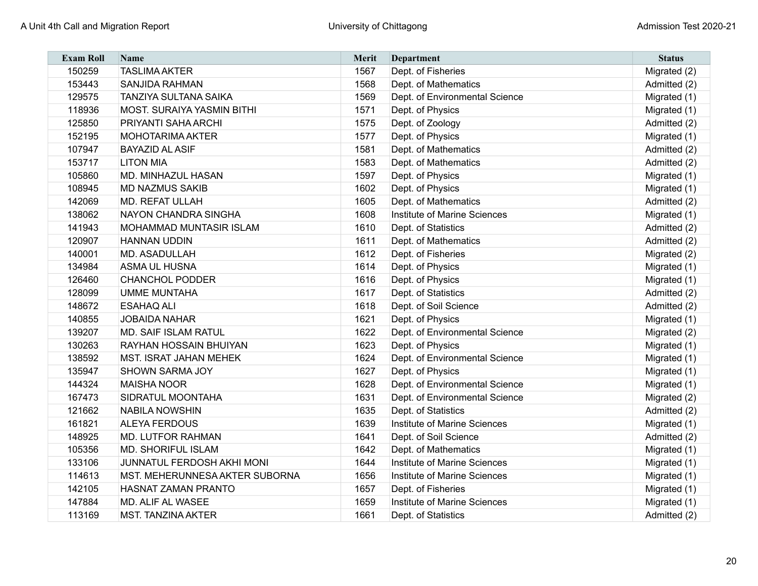| <b>Exam Roll</b> | <b>Name</b>                       | <b>Merit</b> | <b>Department</b>              | <b>Status</b> |
|------------------|-----------------------------------|--------------|--------------------------------|---------------|
| 150259           | <b>TASLIMA AKTER</b>              | 1567         | Dept. of Fisheries             | Migrated (2)  |
| 153443           | <b>SANJIDA RAHMAN</b>             | 1568         | Dept. of Mathematics           | Admitted (2)  |
| 129575           | <b>TANZIYA SULTANA SAIKA</b>      | 1569         | Dept. of Environmental Science | Migrated (1)  |
| 118936           | <b>MOST. SURAIYA YASMIN BITHI</b> | 1571         | Dept. of Physics               | Migrated (1)  |
| 125850           | PRIYANTI SAHA ARCHI               | 1575         | Dept. of Zoology               | Admitted (2)  |
| 152195           | <b>MOHOTARIMA AKTER</b>           | 1577         | Dept. of Physics               | Migrated (1)  |
| 107947           | <b>BAYAZID AL ASIF</b>            | 1581         | Dept. of Mathematics           | Admitted (2)  |
| 153717           | <b>LITON MIA</b>                  | 1583         | Dept. of Mathematics           | Admitted (2)  |
| 105860           | MD. MINHAZUL HASAN                | 1597         | Dept. of Physics               | Migrated (1)  |
| 108945           | <b>MD NAZMUS SAKIB</b>            | 1602         | Dept. of Physics               | Migrated (1)  |
| 142069           | <b>MD. REFAT ULLAH</b>            | 1605         | Dept. of Mathematics           | Admitted (2)  |
| 138062           | NAYON CHANDRA SINGHA              | 1608         | Institute of Marine Sciences   | Migrated (1)  |
| 141943           | <b>MOHAMMAD MUNTASIR ISLAM</b>    | 1610         | Dept. of Statistics            | Admitted (2)  |
| 120907           | <b>HANNAN UDDIN</b>               | 1611         | Dept. of Mathematics           | Admitted (2)  |
| 140001           | MD. ASADULLAH                     | 1612         | Dept. of Fisheries             | Migrated (2)  |
| 134984           | <b>ASMA UL HUSNA</b>              | 1614         | Dept. of Physics               | Migrated (1)  |
| 126460           | <b>CHANCHOL PODDER</b>            | 1616         | Dept. of Physics               | Migrated (1)  |
| 128099           | <b>UMME MUNTAHA</b>               | 1617         | Dept. of Statistics            | Admitted (2)  |
| 148672           | <b>ESAHAQ ALI</b>                 | 1618         | Dept. of Soil Science          | Admitted (2)  |
| 140855           | <b>JOBAIDA NAHAR</b>              | 1621         | Dept. of Physics               | Migrated (1)  |
| 139207           | MD. SAIF ISLAM RATUL              | 1622         | Dept. of Environmental Science | Migrated (2)  |
| 130263           | RAYHAN HOSSAIN BHUIYAN            | 1623         | Dept. of Physics               | Migrated (1)  |
| 138592           | <b>MST. ISRAT JAHAN MEHEK</b>     | 1624         | Dept. of Environmental Science | Migrated (1)  |
| 135947           | SHOWN SARMA JOY                   | 1627         | Dept. of Physics               | Migrated (1)  |
| 144324           | <b>MAISHA NOOR</b>                | 1628         | Dept. of Environmental Science | Migrated (1)  |
| 167473           | SIDRATUL MOONTAHA                 | 1631         | Dept. of Environmental Science | Migrated (2)  |
| 121662           | <b>NABILA NOWSHIN</b>             | 1635         | Dept. of Statistics            | Admitted (2)  |
| 161821           | <b>ALEYA FERDOUS</b>              | 1639         | Institute of Marine Sciences   | Migrated (1)  |
| 148925           | <b>MD. LUTFOR RAHMAN</b>          | 1641         | Dept. of Soil Science          | Admitted (2)  |
| 105356           | MD. SHORIFUL ISLAM                | 1642         | Dept. of Mathematics           | Migrated (1)  |
| 133106           | JUNNATUL FERDOSH AKHI MONI        | 1644         | Institute of Marine Sciences   | Migrated (1)  |
| 114613           | MST. MEHERUNNESA AKTER SUBORNA    | 1656         | Institute of Marine Sciences   | Migrated (1)  |
| 142105           | <b>HASNAT ZAMAN PRANTO</b>        | 1657         | Dept. of Fisheries             | Migrated (1)  |
| 147884           | MD. ALIF AL WASEE                 | 1659         | Institute of Marine Sciences   | Migrated (1)  |
| 113169           | <b>MST. TANZINA AKTER</b>         | 1661         | Dept. of Statistics            | Admitted (2)  |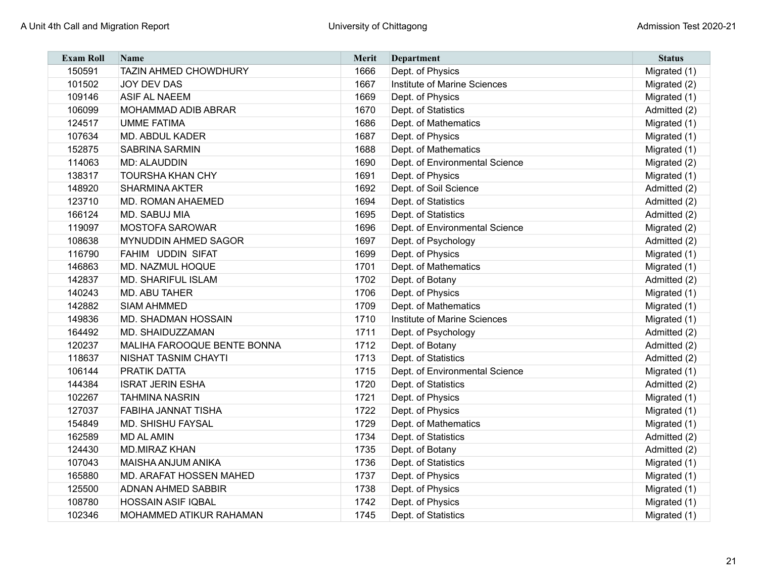| <b>Exam Roll</b> | <b>Name</b>                    | <b>Merit</b> | Department                     | <b>Status</b> |
|------------------|--------------------------------|--------------|--------------------------------|---------------|
| 150591           | <b>TAZIN AHMED CHOWDHURY</b>   | 1666         | Dept. of Physics               | Migrated (1)  |
| 101502           | <b>JOY DEV DAS</b>             | 1667         | Institute of Marine Sciences   | Migrated (2)  |
| 109146           | <b>ASIF AL NAEEM</b>           | 1669         | Dept. of Physics               | Migrated (1)  |
| 106099           | <b>MOHAMMAD ADIB ABRAR</b>     | 1670         | Dept. of Statistics            | Admitted (2)  |
| 124517           | <b>UMME FATIMA</b>             | 1686         | Dept. of Mathematics           | Migrated (1)  |
| 107634           | <b>MD. ABDUL KADER</b>         | 1687         | Dept. of Physics               | Migrated (1)  |
| 152875           | <b>SABRINA SARMIN</b>          | 1688         | Dept. of Mathematics           | Migrated (1)  |
| 114063           | <b>MD: ALAUDDIN</b>            | 1690         | Dept. of Environmental Science | Migrated (2)  |
| 138317           | <b>TOURSHA KHAN CHY</b>        | 1691         | Dept. of Physics               | Migrated (1)  |
| 148920           | <b>SHARMINA AKTER</b>          | 1692         | Dept. of Soil Science          | Admitted (2)  |
| 123710           | <b>MD. ROMAN AHAEMED</b>       | 1694         | Dept. of Statistics            | Admitted (2)  |
| 166124           | MD. SABUJ MIA                  | 1695         | Dept. of Statistics            | Admitted (2)  |
| 119097           | <b>MOSTOFA SAROWAR</b>         | 1696         | Dept. of Environmental Science | Migrated (2)  |
| 108638           | <b>MYNUDDIN AHMED SAGOR</b>    | 1697         | Dept. of Psychology            | Admitted (2)  |
| 116790           | FAHIM UDDIN SIFAT              | 1699         | Dept. of Physics               | Migrated (1)  |
| 146863           | MD. NAZMUL HOQUE               | 1701         | Dept. of Mathematics           | Migrated (1)  |
| 142837           | <b>MD. SHARIFUL ISLAM</b>      | 1702         | Dept. of Botany                | Admitted (2)  |
| 140243           | MD. ABU TAHER                  | 1706         | Dept. of Physics               | Migrated (1)  |
| 142882           | <b>SIAM AHMMED</b>             | 1709         | Dept. of Mathematics           | Migrated (1)  |
| 149836           | MD. SHADMAN HOSSAIN            | 1710         | Institute of Marine Sciences   | Migrated (1)  |
| 164492           | MD. SHAIDUZZAMAN               | 1711         | Dept. of Psychology            | Admitted (2)  |
| 120237           | MALIHA FAROOQUE BENTE BONNA    | 1712         | Dept. of Botany                | Admitted (2)  |
| 118637           | <b>NISHAT TASNIM CHAYTI</b>    | 1713         | Dept. of Statistics            | Admitted (2)  |
| 106144           | PRATIK DATTA                   | 1715         | Dept. of Environmental Science | Migrated (1)  |
| 144384           | <b>ISRAT JERIN ESHA</b>        | 1720         | Dept. of Statistics            | Admitted (2)  |
| 102267           | <b>TAHMINA NASRIN</b>          | 1721         | Dept. of Physics               | Migrated (1)  |
| 127037           | FABIHA JANNAT TISHA            | 1722         | Dept. of Physics               | Migrated (1)  |
| 154849           | MD. SHISHU FAYSAL              | 1729         | Dept. of Mathematics           | Migrated (1)  |
| 162589           | <b>MD AL AMIN</b>              | 1734         | Dept. of Statistics            | Admitted (2)  |
| 124430           | <b>MD.MIRAZ KHAN</b>           | 1735         | Dept. of Botany                | Admitted (2)  |
| 107043           | <b>MAISHA ANJUM ANIKA</b>      | 1736         | Dept. of Statistics            | Migrated (1)  |
| 165880           | <b>MD. ARAFAT HOSSEN MAHED</b> | 1737         | Dept. of Physics               | Migrated (1)  |
| 125500           | <b>ADNAN AHMED SABBIR</b>      | 1738         | Dept. of Physics               | Migrated (1)  |
| 108780           | <b>HOSSAIN ASIF IQBAL</b>      | 1742         | Dept. of Physics               | Migrated (1)  |
| 102346           | MOHAMMED ATIKUR RAHAMAN        | 1745         | Dept. of Statistics            | Migrated (1)  |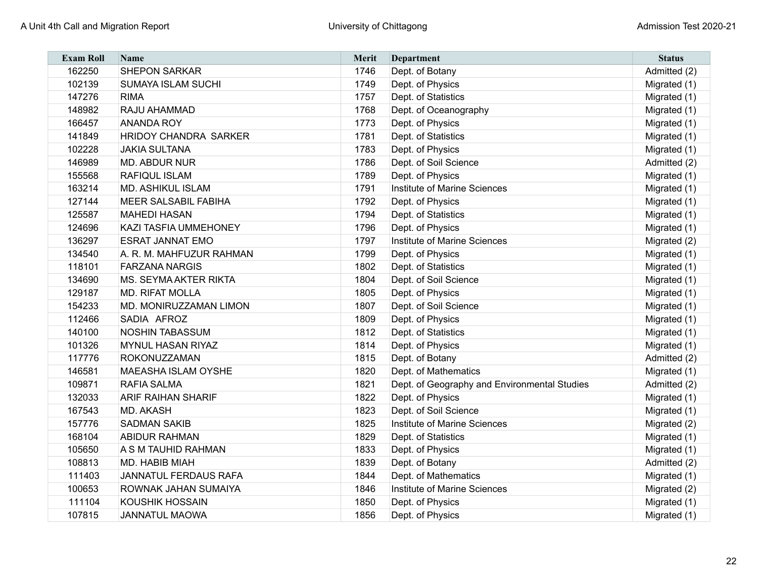| <b>Exam Roll</b> | <b>Name</b>                  | <b>Merit</b> | Department                                   | <b>Status</b> |
|------------------|------------------------------|--------------|----------------------------------------------|---------------|
| 162250           | <b>SHEPON SARKAR</b>         | 1746         | Dept. of Botany                              | Admitted (2)  |
| 102139           | <b>SUMAYA ISLAM SUCHI</b>    | 1749         | Dept. of Physics                             | Migrated (1)  |
| 147276           | <b>RIMA</b>                  | 1757         | Dept. of Statistics                          | Migrated (1)  |
| 148982           | RAJU AHAMMAD                 | 1768         | Dept. of Oceanography                        | Migrated (1)  |
| 166457           | <b>ANANDA ROY</b>            | 1773         | Dept. of Physics                             | Migrated (1)  |
| 141849           | <b>HRIDOY CHANDRA SARKER</b> | 1781         | Dept. of Statistics                          | Migrated (1)  |
| 102228           | <b>JAKIA SULTANA</b>         | 1783         | Dept. of Physics                             | Migrated (1)  |
| 146989           | <b>MD. ABDUR NUR</b>         | 1786         | Dept. of Soil Science                        | Admitted (2)  |
| 155568           | <b>RAFIQUL ISLAM</b>         | 1789         | Dept. of Physics                             | Migrated (1)  |
| 163214           | <b>MD. ASHIKUL ISLAM</b>     | 1791         | Institute of Marine Sciences                 | Migrated (1)  |
| 127144           | <b>MEER SALSABIL FABIHA</b>  | 1792         | Dept. of Physics                             | Migrated (1)  |
| 125587           | <b>MAHEDI HASAN</b>          | 1794         | Dept. of Statistics                          | Migrated (1)  |
| 124696           | <b>KAZI TASFIA UMMEHONEY</b> | 1796         | Dept. of Physics                             | Migrated (1)  |
| 136297           | <b>ESRAT JANNAT EMO</b>      | 1797         | Institute of Marine Sciences                 | Migrated (2)  |
| 134540           | A. R. M. MAHFUZUR RAHMAN     | 1799         | Dept. of Physics                             | Migrated (1)  |
| 118101           | <b>FARZANA NARGIS</b>        | 1802         | Dept. of Statistics                          | Migrated (1)  |
| 134690           | <b>MS. SEYMA AKTER RIKTA</b> | 1804         | Dept. of Soil Science                        | Migrated (1)  |
| 129187           | <b>MD. RIFAT MOLLA</b>       | 1805         | Dept. of Physics                             | Migrated (1)  |
| 154233           | MD. MONIRUZZAMAN LIMON       | 1807         | Dept. of Soil Science                        | Migrated (1)  |
| 112466           | SADIA AFROZ                  | 1809         | Dept. of Physics                             | Migrated (1)  |
| 140100           | <b>NOSHIN TABASSUM</b>       | 1812         | Dept. of Statistics                          | Migrated (1)  |
| 101326           | <b>MYNUL HASAN RIYAZ</b>     | 1814         | Dept. of Physics                             | Migrated (1)  |
| 117776           | ROKONUZZAMAN                 | 1815         | Dept. of Botany                              | Admitted (2)  |
| 146581           | <b>MAEASHA ISLAM OYSHE</b>   | 1820         | Dept. of Mathematics                         | Migrated (1)  |
| 109871           | <b>RAFIA SALMA</b>           | 1821         | Dept. of Geography and Environmental Studies | Admitted (2)  |
| 132033           | <b>ARIF RAIHAN SHARIF</b>    | 1822         | Dept. of Physics                             | Migrated (1)  |
| 167543           | <b>MD. AKASH</b>             | 1823         | Dept. of Soil Science                        | Migrated (1)  |
| 157776           | <b>SADMAN SAKIB</b>          | 1825         | Institute of Marine Sciences                 | Migrated (2)  |
| 168104           | <b>ABIDUR RAHMAN</b>         | 1829         | Dept. of Statistics                          | Migrated (1)  |
| 105650           | A S M TAUHID RAHMAN          | 1833         | Dept. of Physics                             | Migrated (1)  |
| 108813           | MD. HABIB MIAH               | 1839         | Dept. of Botany                              | Admitted (2)  |
| 111403           | JANNATUL FERDAUS RAFA        | 1844         | Dept. of Mathematics                         | Migrated (1)  |
| 100653           | ROWNAK JAHAN SUMAIYA         | 1846         | Institute of Marine Sciences                 | Migrated (2)  |
| 111104           | <b>KOUSHIK HOSSAIN</b>       | 1850         | Dept. of Physics                             | Migrated (1)  |
| 107815           | <b>JANNATUL MAOWA</b>        | 1856         | Dept. of Physics                             | Migrated (1)  |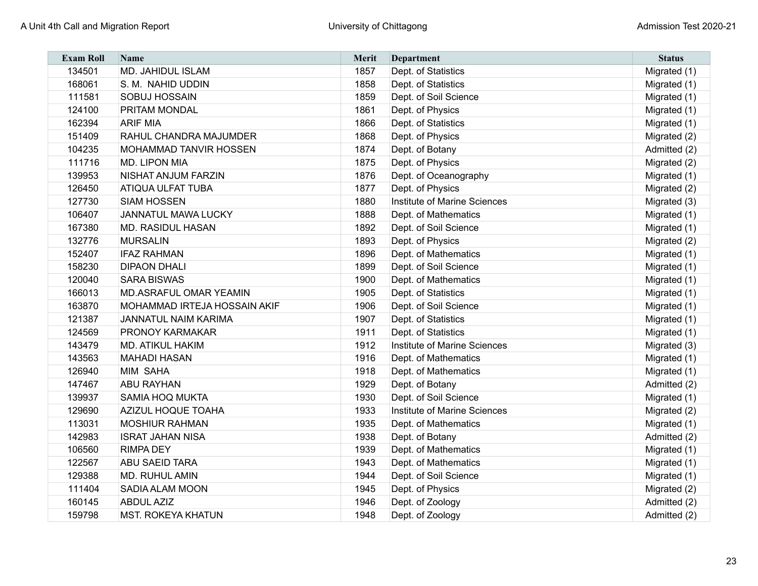| <b>Exam Roll</b> | <b>Name</b>                   | <b>Merit</b> | Department                   | <b>Status</b> |
|------------------|-------------------------------|--------------|------------------------------|---------------|
| 134501           | <b>MD. JAHIDUL ISLAM</b>      | 1857         | Dept. of Statistics          | Migrated (1)  |
| 168061           | S. M. NAHID UDDIN             | 1858         | Dept. of Statistics          | Migrated (1)  |
| 111581           | SOBUJ HOSSAIN                 | 1859         | Dept. of Soil Science        | Migrated (1)  |
| 124100           | <b>PRITAM MONDAL</b>          | 1861         | Dept. of Physics             | Migrated (1)  |
| 162394           | <b>ARIF MIA</b>               | 1866         | Dept. of Statistics          | Migrated (1)  |
| 151409           | RAHUL CHANDRA MAJUMDER        | 1868         | Dept. of Physics             | Migrated (2)  |
| 104235           | <b>MOHAMMAD TANVIR HOSSEN</b> | 1874         | Dept. of Botany              | Admitted (2)  |
| 111716           | <b>MD. LIPON MIA</b>          | 1875         | Dept. of Physics             | Migrated (2)  |
| 139953           | <b>NISHAT ANJUM FARZIN</b>    | 1876         | Dept. of Oceanography        | Migrated (1)  |
| 126450           | <b>ATIQUA ULFAT TUBA</b>      | 1877         | Dept. of Physics             | Migrated (2)  |
| 127730           | <b>SIAM HOSSEN</b>            | 1880         | Institute of Marine Sciences | Migrated (3)  |
| 106407           | <b>JANNATUL MAWA LUCKY</b>    | 1888         | Dept. of Mathematics         | Migrated (1)  |
| 167380           | <b>MD. RASIDUL HASAN</b>      | 1892         | Dept. of Soil Science        | Migrated (1)  |
| 132776           | <b>MURSALIN</b>               | 1893         | Dept. of Physics             | Migrated (2)  |
| 152407           | <b>IFAZ RAHMAN</b>            | 1896         | Dept. of Mathematics         | Migrated (1)  |
| 158230           | <b>DIPAON DHALI</b>           | 1899         | Dept. of Soil Science        | Migrated (1)  |
| 120040           | <b>SARA BISWAS</b>            | 1900         | Dept. of Mathematics         | Migrated (1)  |
| 166013           | <b>MD.ASRAFUL OMAR YEAMIN</b> | 1905         | Dept. of Statistics          | Migrated (1)  |
| 163870           | MOHAMMAD IRTEJA HOSSAIN AKIF  | 1906         | Dept. of Soil Science        | Migrated (1)  |
| 121387           | <b>JANNATUL NAIM KARIMA</b>   | 1907         | Dept. of Statistics          | Migrated (1)  |
| 124569           | <b>PRONOY KARMAKAR</b>        | 1911         | Dept. of Statistics          | Migrated (1)  |
| 143479           | <b>MD. ATIKUL HAKIM</b>       | 1912         | Institute of Marine Sciences | Migrated (3)  |
| 143563           | <b>MAHADI HASAN</b>           | 1916         | Dept. of Mathematics         | Migrated (1)  |
| 126940           | MIM SAHA                      | 1918         | Dept. of Mathematics         | Migrated (1)  |
| 147467           | <b>ABU RAYHAN</b>             | 1929         | Dept. of Botany              | Admitted (2)  |
| 139937           | <b>SAMIA HOQ MUKTA</b>        | 1930         | Dept. of Soil Science        | Migrated (1)  |
| 129690           | AZIZUL HOQUE TOAHA            | 1933         | Institute of Marine Sciences | Migrated (2)  |
| 113031           | <b>MOSHIUR RAHMAN</b>         | 1935         | Dept. of Mathematics         | Migrated (1)  |
| 142983           | <b>ISRAT JAHAN NISA</b>       | 1938         | Dept. of Botany              | Admitted (2)  |
| 106560           | <b>RIMPA DEY</b>              | 1939         | Dept. of Mathematics         | Migrated (1)  |
| 122567           | <b>ABU SAEID TARA</b>         | 1943         | Dept. of Mathematics         | Migrated (1)  |
| 129388           | MD. RUHUL AMIN                | 1944         | Dept. of Soil Science        | Migrated (1)  |
| 111404           | <b>SADIA ALAM MOON</b>        | 1945         | Dept. of Physics             | Migrated (2)  |
| 160145           | <b>ABDUL AZIZ</b>             | 1946         | Dept. of Zoology             | Admitted (2)  |
| 159798           | <b>MST. ROKEYA KHATUN</b>     | 1948         | Dept. of Zoology             | Admitted (2)  |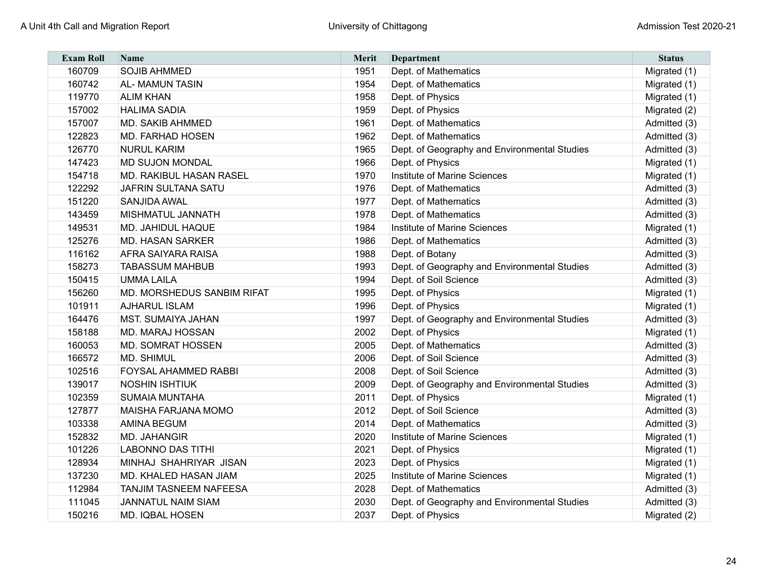| <b>Exam Roll</b> | <b>Name</b>                    | <b>Merit</b> | Department                                   | <b>Status</b> |
|------------------|--------------------------------|--------------|----------------------------------------------|---------------|
| 160709           | <b>SOJIB AHMMED</b>            | 1951         | Dept. of Mathematics                         | Migrated (1)  |
| 160742           | <b>AL-MAMUN TASIN</b>          | 1954         | Dept. of Mathematics                         | Migrated (1)  |
| 119770           | <b>ALIM KHAN</b>               | 1958         | Dept. of Physics                             | Migrated (1)  |
| 157002           | <b>HALIMA SADIA</b>            | 1959         | Dept. of Physics                             | Migrated (2)  |
| 157007           | <b>MD. SAKIB AHMMED</b>        | 1961         | Dept. of Mathematics                         | Admitted (3)  |
| 122823           | <b>MD. FARHAD HOSEN</b>        | 1962         | Dept. of Mathematics                         | Admitted (3)  |
| 126770           | <b>NURUL KARIM</b>             | 1965         | Dept. of Geography and Environmental Studies | Admitted (3)  |
| 147423           | <b>MD SUJON MONDAL</b>         | 1966         | Dept. of Physics                             | Migrated (1)  |
| 154718           | <b>MD. RAKIBUL HASAN RASEL</b> | 1970         | Institute of Marine Sciences                 | Migrated (1)  |
| 122292           | <b>JAFRIN SULTANA SATU</b>     | 1976         | Dept. of Mathematics                         | Admitted (3)  |
| 151220           | SANJIDA AWAL                   | 1977         | Dept. of Mathematics                         | Admitted (3)  |
| 143459           | <b>MISHMATUL JANNATH</b>       | 1978         | Dept. of Mathematics                         | Admitted (3)  |
| 149531           | <b>MD. JAHIDUL HAQUE</b>       | 1984         | Institute of Marine Sciences                 | Migrated (1)  |
| 125276           | <b>MD. HASAN SARKER</b>        | 1986         | Dept. of Mathematics                         | Admitted (3)  |
| 116162           | <b>AFRA SAIYARA RAISA</b>      | 1988         | Dept. of Botany                              | Admitted (3)  |
| 158273           | <b>TABASSUM MAHBUB</b>         | 1993         | Dept. of Geography and Environmental Studies | Admitted (3)  |
| 150415           | <b>UMMA LAILA</b>              | 1994         | Dept. of Soil Science                        | Admitted (3)  |
| 156260           | MD. MORSHEDUS SANBIM RIFAT     | 1995         | Dept. of Physics                             | Migrated (1)  |
| 101911           | <b>AJHARUL ISLAM</b>           | 1996         | Dept. of Physics                             | Migrated (1)  |
| 164476           | <b>MST. SUMAIYA JAHAN</b>      | 1997         | Dept. of Geography and Environmental Studies | Admitted (3)  |
| 158188           | <b>MD. MARAJ HOSSAN</b>        | 2002         | Dept. of Physics                             | Migrated (1)  |
| 160053           | <b>MD. SOMRAT HOSSEN</b>       | 2005         | Dept. of Mathematics                         | Admitted (3)  |
| 166572           | <b>MD. SHIMUL</b>              | 2006         | Dept. of Soil Science                        | Admitted (3)  |
| 102516           | <b>FOYSAL AHAMMED RABBI</b>    | 2008         | Dept. of Soil Science                        | Admitted (3)  |
| 139017           | <b>NOSHIN ISHTIUK</b>          | 2009         | Dept. of Geography and Environmental Studies | Admitted (3)  |
| 102359           | <b>SUMAIA MUNTAHA</b>          | 2011         | Dept. of Physics                             | Migrated (1)  |
| 127877           | <b>MAISHA FARJANA MOMO</b>     | 2012         | Dept. of Soil Science                        | Admitted (3)  |
| 103338           | <b>AMINA BEGUM</b>             | 2014         | Dept. of Mathematics                         | Admitted (3)  |
| 152832           | <b>MD. JAHANGIR</b>            | 2020         | Institute of Marine Sciences                 | Migrated (1)  |
| 101226           | <b>LABONNO DAS TITHI</b>       | 2021         | Dept. of Physics                             | Migrated (1)  |
| 128934           | MINHAJ SHAHRIYAR JISAN         | 2023         | Dept. of Physics                             | Migrated (1)  |
| 137230           | MD. KHALED HASAN JIAM          | 2025         | Institute of Marine Sciences                 | Migrated (1)  |
| 112984           | <b>TANJIM TASNEEM NAFEESA</b>  | 2028         | Dept. of Mathematics                         | Admitted (3)  |
| 111045           | <b>JANNATUL NAIM SIAM</b>      | 2030         | Dept. of Geography and Environmental Studies | Admitted (3)  |
| 150216           | <b>MD. IQBAL HOSEN</b>         | 2037         | Dept. of Physics                             | Migrated (2)  |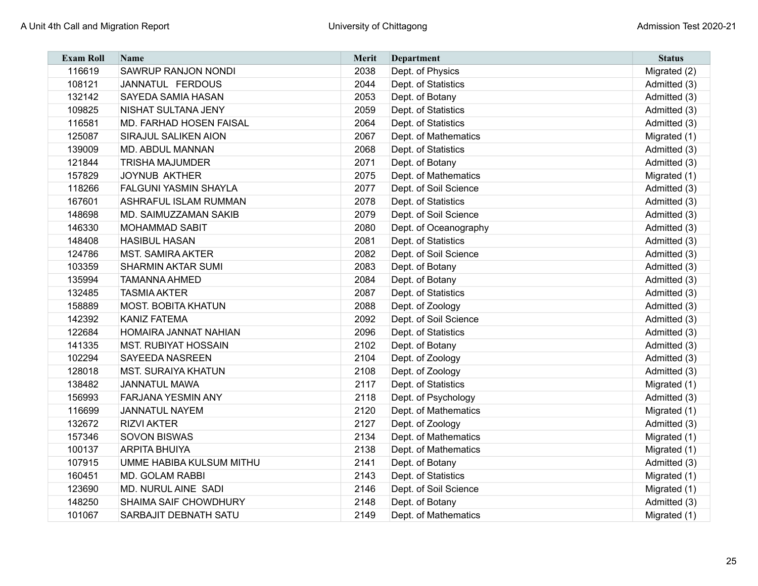| <b>Exam Roll</b> | <b>Name</b>                    | <b>Merit</b> | Department            | <b>Status</b> |
|------------------|--------------------------------|--------------|-----------------------|---------------|
| 116619           | SAWRUP RANJON NONDI            | 2038         | Dept. of Physics      | Migrated (2)  |
| 108121           | JANNATUL FERDOUS               | 2044         | Dept. of Statistics   | Admitted (3)  |
| 132142           | <b>SAYEDA SAMIA HASAN</b>      | 2053         | Dept. of Botany       | Admitted (3)  |
| 109825           | NISHAT SULTANA JENY            | 2059         | Dept. of Statistics   | Admitted (3)  |
| 116581           | <b>MD. FARHAD HOSEN FAISAL</b> | 2064         | Dept. of Statistics   | Admitted (3)  |
| 125087           | SIRAJUL SALIKEN AION           | 2067         | Dept. of Mathematics  | Migrated (1)  |
| 139009           | <b>MD. ABDUL MANNAN</b>        | 2068         | Dept. of Statistics   | Admitted (3)  |
| 121844           | <b>TRISHA MAJUMDER</b>         | 2071         | Dept. of Botany       | Admitted (3)  |
| 157829           | JOYNUB AKTHER                  | 2075         | Dept. of Mathematics  | Migrated (1)  |
| 118266           | <b>FALGUNI YASMIN SHAYLA</b>   | 2077         | Dept. of Soil Science | Admitted (3)  |
| 167601           | <b>ASHRAFUL ISLAM RUMMAN</b>   | 2078         | Dept. of Statistics   | Admitted (3)  |
| 148698           | MD. SAIMUZZAMAN SAKIB          | 2079         | Dept. of Soil Science | Admitted (3)  |
| 146330           | <b>MOHAMMAD SABIT</b>          | 2080         | Dept. of Oceanography | Admitted (3)  |
| 148408           | <b>HASIBUL HASAN</b>           | 2081         | Dept. of Statistics   | Admitted (3)  |
| 124786           | <b>MST. SAMIRA AKTER</b>       | 2082         | Dept. of Soil Science | Admitted (3)  |
| 103359           | <b>SHARMIN AKTAR SUMI</b>      | 2083         | Dept. of Botany       | Admitted (3)  |
| 135994           | <b>TAMANNA AHMED</b>           | 2084         | Dept. of Botany       | Admitted (3)  |
| 132485           | <b>TASMIA AKTER</b>            | 2087         | Dept. of Statistics   | Admitted (3)  |
| 158889           | <b>MOST. BOBITA KHATUN</b>     | 2088         | Dept. of Zoology      | Admitted (3)  |
| 142392           | <b>KANIZ FATEMA</b>            | 2092         | Dept. of Soil Science | Admitted (3)  |
| 122684           | HOMAIRA JANNAT NAHIAN          | 2096         | Dept. of Statistics   | Admitted (3)  |
| 141335           | <b>MST. RUBIYAT HOSSAIN</b>    | 2102         | Dept. of Botany       | Admitted (3)  |
| 102294           | <b>SAYEEDA NASREEN</b>         | 2104         | Dept. of Zoology      | Admitted (3)  |
| 128018           | <b>MST. SURAIYA KHATUN</b>     | 2108         | Dept. of Zoology      | Admitted (3)  |
| 138482           | <b>JANNATUL MAWA</b>           | 2117         | Dept. of Statistics   | Migrated (1)  |
| 156993           | <b>FARJANA YESMIN ANY</b>      | 2118         | Dept. of Psychology   | Admitted (3)  |
| 116699           | <b>JANNATUL NAYEM</b>          | 2120         | Dept. of Mathematics  | Migrated (1)  |
| 132672           | <b>RIZVI AKTER</b>             | 2127         | Dept. of Zoology      | Admitted (3)  |
| 157346           | <b>SOVON BISWAS</b>            | 2134         | Dept. of Mathematics  | Migrated (1)  |
| 100137           | <b>ARPITA BHUIYA</b>           | 2138         | Dept. of Mathematics  | Migrated (1)  |
| 107915           | UMME HABIBA KULSUM MITHU       | 2141         | Dept. of Botany       | Admitted (3)  |
| 160451           | MD. GOLAM RABBI                | 2143         | Dept. of Statistics   | Migrated (1)  |
| 123690           | MD. NURUL AINE SADI            | 2146         | Dept. of Soil Science | Migrated (1)  |
| 148250           | SHAIMA SAIF CHOWDHURY          | 2148         | Dept. of Botany       | Admitted (3)  |
| 101067           | SARBAJIT DEBNATH SATU          | 2149         | Dept. of Mathematics  | Migrated (1)  |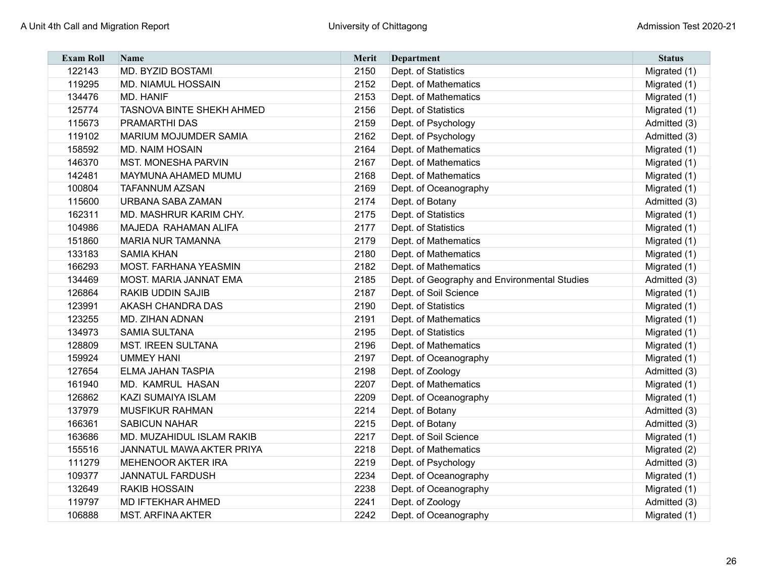| <b>Exam Roll</b> | <b>Name</b>                      | <b>Merit</b> | Department                                   | <b>Status</b> |
|------------------|----------------------------------|--------------|----------------------------------------------|---------------|
| 122143           | <b>MD. BYZID BOSTAMI</b>         | 2150         | Dept. of Statistics                          | Migrated (1)  |
| 119295           | <b>MD. NIAMUL HOSSAIN</b>        | 2152         | Dept. of Mathematics                         | Migrated (1)  |
| 134476           | <b>MD. HANIF</b>                 | 2153         | Dept. of Mathematics                         | Migrated (1)  |
| 125774           | <b>TASNOVA BINTE SHEKH AHMED</b> | 2156         | Dept. of Statistics                          | Migrated (1)  |
| 115673           | <b>PRAMARTHI DAS</b>             | 2159         | Dept. of Psychology                          | Admitted (3)  |
| 119102           | <b>MARIUM MOJUMDER SAMIA</b>     | 2162         | Dept. of Psychology                          | Admitted (3)  |
| 158592           | <b>MD. NAIM HOSAIN</b>           | 2164         | Dept. of Mathematics                         | Migrated (1)  |
| 146370           | <b>MST. MONESHA PARVIN</b>       | 2167         | Dept. of Mathematics                         | Migrated (1)  |
| 142481           | MAYMUNA AHAMED MUMU              | 2168         | Dept. of Mathematics                         | Migrated (1)  |
| 100804           | <b>TAFANNUM AZSAN</b>            | 2169         | Dept. of Oceanography                        | Migrated (1)  |
| 115600           | <b>URBANA SABA ZAMAN</b>         | 2174         | Dept. of Botany                              | Admitted (3)  |
| 162311           | MD. MASHRUR KARIM CHY.           | 2175         | Dept. of Statistics                          | Migrated (1)  |
| 104986           | <b>MAJEDA RAHAMAN ALIFA</b>      | 2177         | Dept. of Statistics                          | Migrated (1)  |
| 151860           | <b>MARIA NUR TAMANNA</b>         | 2179         | Dept. of Mathematics                         | Migrated (1)  |
| 133183           | <b>SAMIA KHAN</b>                | 2180         | Dept. of Mathematics                         | Migrated (1)  |
| 166293           | <b>MOST. FARHANA YEASMIN</b>     | 2182         | Dept. of Mathematics                         | Migrated (1)  |
| 134469           | <b>MOST. MARIA JANNAT EMA</b>    | 2185         | Dept. of Geography and Environmental Studies | Admitted (3)  |
| 126864           | <b>RAKIB UDDIN SAJIB</b>         | 2187         | Dept. of Soil Science                        | Migrated (1)  |
| 123991           | <b>AKASH CHANDRA DAS</b>         | 2190         | Dept. of Statistics                          | Migrated (1)  |
| 123255           | <b>MD. ZIHAN ADNAN</b>           | 2191         | Dept. of Mathematics                         | Migrated (1)  |
| 134973           | <b>SAMIA SULTANA</b>             | 2195         | Dept. of Statistics                          | Migrated (1)  |
| 128809           | <b>MST. IREEN SULTANA</b>        | 2196         | Dept. of Mathematics                         | Migrated (1)  |
| 159924           | <b>UMMEY HANI</b>                | 2197         | Dept. of Oceanography                        | Migrated (1)  |
| 127654           | <b>ELMA JAHAN TASPIA</b>         | 2198         | Dept. of Zoology                             | Admitted (3)  |
| 161940           | <b>MD. KAMRUL HASAN</b>          | 2207         | Dept. of Mathematics                         | Migrated (1)  |
| 126862           | <b>KAZI SUMAIYA ISLAM</b>        | 2209         | Dept. of Oceanography                        | Migrated (1)  |
| 137979           | <b>MUSFIKUR RAHMAN</b>           | 2214         | Dept. of Botany                              | Admitted (3)  |
| 166361           | <b>SABICUN NAHAR</b>             | 2215         | Dept. of Botany                              | Admitted (3)  |
| 163686           | <b>MD. MUZAHIDUL ISLAM RAKIB</b> | 2217         | Dept. of Soil Science                        | Migrated (1)  |
| 155516           | JANNATUL MAWA AKTER PRIYA        | 2218         | Dept. of Mathematics                         | Migrated (2)  |
| 111279           | <b>MEHENOOR AKTER IRA</b>        | 2219         | Dept. of Psychology                          | Admitted (3)  |
| 109377           | <b>JANNATUL FARDUSH</b>          | 2234         | Dept. of Oceanography                        | Migrated (1)  |
| 132649           | <b>RAKIB HOSSAIN</b>             | 2238         | Dept. of Oceanography                        | Migrated (1)  |
| 119797           | <b>MD IFTEKHAR AHMED</b>         | 2241         | Dept. of Zoology                             | Admitted (3)  |
| 106888           | <b>MST. ARFINA AKTER</b>         | 2242         | Dept. of Oceanography                        | Migrated (1)  |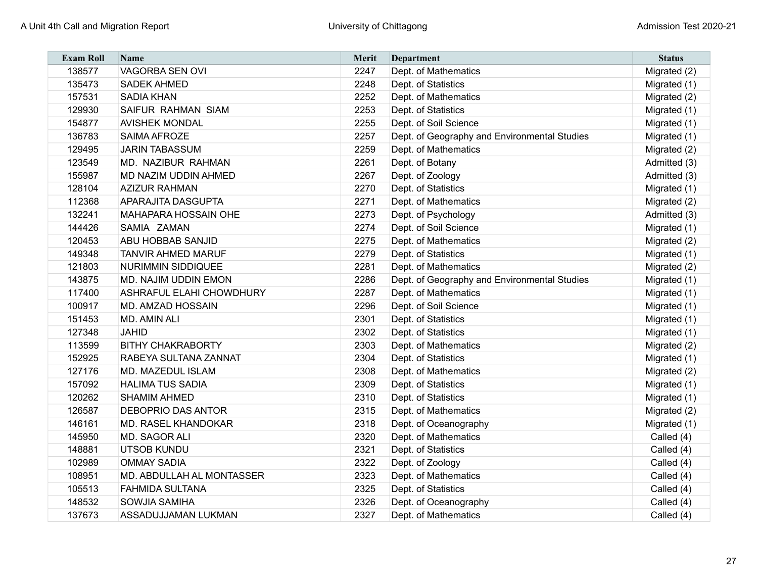| <b>Exam Roll</b> | <b>Name</b>                      | <b>Merit</b> | Department                                   | <b>Status</b> |
|------------------|----------------------------------|--------------|----------------------------------------------|---------------|
| 138577           | VAGORBA SEN OVI                  | 2247         | Dept. of Mathematics                         | Migrated (2)  |
| 135473           | <b>SADEK AHMED</b>               | 2248         | Dept. of Statistics                          | Migrated (1)  |
| 157531           | <b>SADIA KHAN</b>                | 2252         | Dept. of Mathematics                         | Migrated (2)  |
| 129930           | <b>SAIFUR RAHMAN SIAM</b>        | 2253         | Dept. of Statistics                          | Migrated (1)  |
| 154877           | <b>AVISHEK MONDAL</b>            | 2255         | Dept. of Soil Science                        | Migrated (1)  |
| 136783           | SAIMA AFROZE                     | 2257         | Dept. of Geography and Environmental Studies | Migrated (1)  |
| 129495           | <b>JARIN TABASSUM</b>            | 2259         | Dept. of Mathematics                         | Migrated (2)  |
| 123549           | MD. NAZIBUR RAHMAN               | 2261         | Dept. of Botany                              | Admitted (3)  |
| 155987           | <b>MD NAZIM UDDIN AHMED</b>      | 2267         | Dept. of Zoology                             | Admitted (3)  |
| 128104           | <b>AZIZUR RAHMAN</b>             | 2270         | Dept. of Statistics                          | Migrated (1)  |
| 112368           | <b>APARAJITA DASGUPTA</b>        | 2271         | Dept. of Mathematics                         | Migrated (2)  |
| 132241           | <b>MAHAPARA HOSSAIN OHE</b>      | 2273         | Dept. of Psychology                          | Admitted (3)  |
| 144426           | SAMIA ZAMAN                      | 2274         | Dept. of Soil Science                        | Migrated (1)  |
| 120453           | <b>ABU HOBBAB SANJID</b>         | 2275         | Dept. of Mathematics                         | Migrated (2)  |
| 149348           | <b>TANVIR AHMED MARUF</b>        | 2279         | Dept. of Statistics                          | Migrated (1)  |
| 121803           | <b>NURIMMIN SIDDIQUEE</b>        | 2281         | Dept. of Mathematics                         | Migrated (2)  |
| 143875           | MD. NAJIM UDDIN EMON             | 2286         | Dept. of Geography and Environmental Studies | Migrated (1)  |
| 117400           | <b>ASHRAFUL ELAHI CHOWDHURY</b>  | 2287         | Dept. of Mathematics                         | Migrated (1)  |
| 100917           | <b>MD. AMZAD HOSSAIN</b>         | 2296         | Dept. of Soil Science                        | Migrated (1)  |
| 151453           | <b>MD. AMIN ALI</b>              | 2301         | Dept. of Statistics                          | Migrated (1)  |
| 127348           | <b>JAHID</b>                     | 2302         | Dept. of Statistics                          | Migrated (1)  |
| 113599           | <b>BITHY CHAKRABORTY</b>         | 2303         | Dept. of Mathematics                         | Migrated (2)  |
| 152925           | RABEYA SULTANA ZANNAT            | 2304         | Dept. of Statistics                          | Migrated (1)  |
| 127176           | MD. MAZEDUL ISLAM                | 2308         | Dept. of Mathematics                         | Migrated (2)  |
| 157092           | <b>HALIMA TUS SADIA</b>          | 2309         | Dept. of Statistics                          | Migrated (1)  |
| 120262           | <b>SHAMIM AHMED</b>              | 2310         | Dept. of Statistics                          | Migrated (1)  |
| 126587           | <b>DEBOPRIO DAS ANTOR</b>        | 2315         | Dept. of Mathematics                         | Migrated (2)  |
| 146161           | <b>MD. RASEL KHANDOKAR</b>       | 2318         | Dept. of Oceanography                        | Migrated (1)  |
| 145950           | MD. SAGOR ALI                    | 2320         | Dept. of Mathematics                         | Called (4)    |
| 148881           | <b>UTSOB KUNDU</b>               | 2321         | Dept. of Statistics                          | Called (4)    |
| 102989           | <b>OMMAY SADIA</b>               | 2322         | Dept. of Zoology                             | Called (4)    |
| 108951           | <b>MD. ABDULLAH AL MONTASSER</b> | 2323         | Dept. of Mathematics                         | Called (4)    |
| 105513           | <b>FAHMIDA SULTANA</b>           | 2325         | Dept. of Statistics                          | Called (4)    |
| 148532           | <b>SOWJIA SAMIHA</b>             | 2326         | Dept. of Oceanography                        | Called (4)    |
| 137673           | <b>ASSADUJJAMAN LUKMAN</b>       | 2327         | Dept. of Mathematics                         | Called (4)    |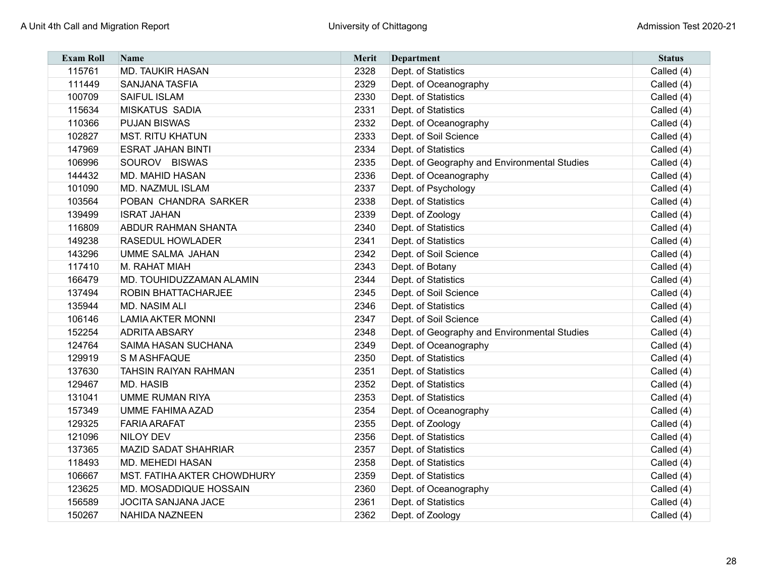| <b>Exam Roll</b> | Name                               | Merit | Department                                   | <b>Status</b> |
|------------------|------------------------------------|-------|----------------------------------------------|---------------|
| 115761           | <b>MD. TAUKIR HASAN</b>            | 2328  | Dept. of Statistics                          | Called (4)    |
| 111449           | <b>SANJANA TASFIA</b>              | 2329  | Dept. of Oceanography                        | Called (4)    |
| 100709           | <b>SAIFUL ISLAM</b>                | 2330  | Dept. of Statistics                          | Called (4)    |
| 115634           | <b>MISKATUS SADIA</b>              | 2331  | Dept. of Statistics                          | Called (4)    |
| 110366           | <b>PUJAN BISWAS</b>                | 2332  | Dept. of Oceanography                        | Called (4)    |
| 102827           | <b>MST. RITU KHATUN</b>            | 2333  | Dept. of Soil Science                        | Called (4)    |
| 147969           | <b>ESRAT JAHAN BINTI</b>           | 2334  | Dept. of Statistics                          | Called (4)    |
| 106996           | SOUROV BISWAS                      | 2335  | Dept. of Geography and Environmental Studies | Called (4)    |
| 144432           | <b>MD. MAHID HASAN</b>             | 2336  | Dept. of Oceanography                        | Called (4)    |
| 101090           | MD. NAZMUL ISLAM                   | 2337  | Dept. of Psychology                          | Called (4)    |
| 103564           | POBAN CHANDRA SARKER               | 2338  | Dept. of Statistics                          | Called (4)    |
| 139499           | <b>ISRAT JAHAN</b>                 | 2339  | Dept. of Zoology                             | Called (4)    |
| 116809           | <b>ABDUR RAHMAN SHANTA</b>         | 2340  | Dept. of Statistics                          | Called (4)    |
| 149238           | <b>RASEDUL HOWLADER</b>            | 2341  | Dept. of Statistics                          | Called (4)    |
| 143296           | <b>UMME SALMA JAHAN</b>            | 2342  | Dept. of Soil Science                        | Called (4)    |
| 117410           | M. RAHAT MIAH                      | 2343  | Dept. of Botany                              | Called (4)    |
| 166479           | MD. TOUHIDUZZAMAN ALAMIN           | 2344  | Dept. of Statistics                          | Called (4)    |
| 137494           | <b>ROBIN BHATTACHARJEE</b>         | 2345  | Dept. of Soil Science                        | Called (4)    |
| 135944           | <b>MD. NASIM ALI</b>               | 2346  | Dept. of Statistics                          | Called (4)    |
| 106146           | <b>LAMIA AKTER MONNI</b>           | 2347  | Dept. of Soil Science                        | Called (4)    |
| 152254           | <b>ADRITA ABSARY</b>               | 2348  | Dept. of Geography and Environmental Studies | Called (4)    |
| 124764           | <b>SAIMA HASAN SUCHANA</b>         | 2349  | Dept. of Oceanography                        | Called (4)    |
| 129919           | S M ASHFAQUE                       | 2350  | Dept. of Statistics                          | Called (4)    |
| 137630           | <b>TAHSIN RAIYAN RAHMAN</b>        | 2351  | Dept. of Statistics                          | Called (4)    |
| 129467           | <b>MD. HASIB</b>                   | 2352  | Dept. of Statistics                          | Called (4)    |
| 131041           | <b>UMME RUMAN RIYA</b>             | 2353  | Dept. of Statistics                          | Called (4)    |
| 157349           | <b>UMME FAHIMA AZAD</b>            | 2354  | Dept. of Oceanography                        | Called (4)    |
| 129325           | <b>FARIA ARAFAT</b>                | 2355  | Dept. of Zoology                             | Called (4)    |
| 121096           | <b>NILOY DEV</b>                   | 2356  | Dept. of Statistics                          | Called (4)    |
| 137365           | MAZID SADAT SHAHRIAR               | 2357  | Dept. of Statistics                          | Called (4)    |
| 118493           | <b>MD. MEHEDI HASAN</b>            | 2358  | Dept. of Statistics                          | Called (4)    |
| 106667           | <b>MST. FATIHA AKTER CHOWDHURY</b> | 2359  | Dept. of Statistics                          | Called (4)    |
| 123625           | <b>MD. MOSADDIQUE HOSSAIN</b>      | 2360  | Dept. of Oceanography                        | Called (4)    |
| 156589           | <b>JOCITA SANJANA JACE</b>         | 2361  | Dept. of Statistics                          | Called (4)    |
| 150267           | NAHIDA NAZNEEN                     | 2362  | Dept. of Zoology                             | Called (4)    |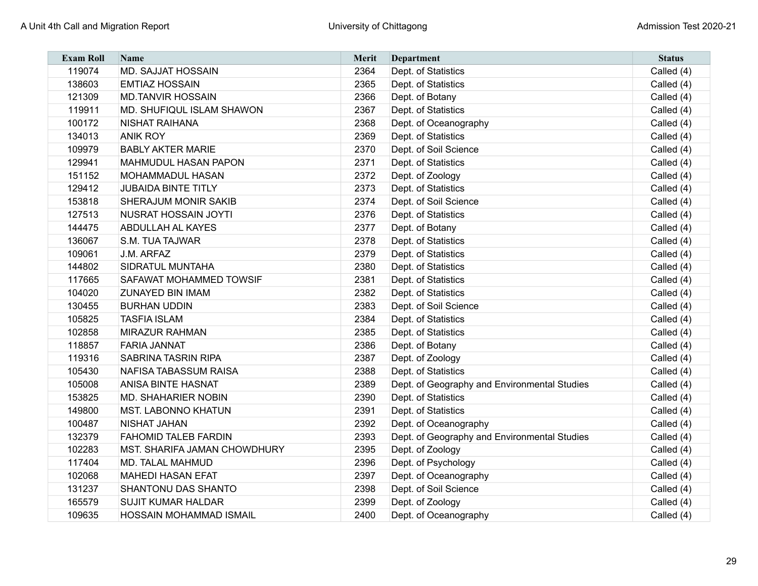| <b>Exam Roll</b> | <b>Name</b>                    | <b>Merit</b> | <b>Department</b>                            | <b>Status</b> |
|------------------|--------------------------------|--------------|----------------------------------------------|---------------|
| 119074           | <b>MD. SAJJAT HOSSAIN</b>      | 2364         | Dept. of Statistics                          | Called (4)    |
| 138603           | <b>EMTIAZ HOSSAIN</b>          | 2365         | Dept. of Statistics                          | Called (4)    |
| 121309           | <b>MD.TANVIR HOSSAIN</b>       | 2366         | Dept. of Botany                              | Called (4)    |
| 119911           | MD. SHUFIQUL ISLAM SHAWON      | 2367         | Dept. of Statistics                          | Called (4)    |
| 100172           | <b>NISHAT RAIHANA</b>          | 2368         | Dept. of Oceanography                        | Called (4)    |
| 134013           | <b>ANIK ROY</b>                | 2369         | Dept. of Statistics                          | Called (4)    |
| 109979           | <b>BABLY AKTER MARIE</b>       | 2370         | Dept. of Soil Science                        | Called (4)    |
| 129941           | <b>MAHMUDUL HASAN PAPON</b>    | 2371         | Dept. of Statistics                          | Called (4)    |
| 151152           | MOHAMMADUL HASAN               | 2372         | Dept. of Zoology                             | Called (4)    |
| 129412           | <b>JUBAIDA BINTE TITLY</b>     | 2373         | Dept. of Statistics                          | Called (4)    |
| 153818           | SHERAJUM MONIR SAKIB           | 2374         | Dept. of Soil Science                        | Called (4)    |
| 127513           | <b>NUSRAT HOSSAIN JOYTI</b>    | 2376         | Dept. of Statistics                          | Called (4)    |
| 144475           | <b>ABDULLAH AL KAYES</b>       | 2377         | Dept. of Botany                              | Called (4)    |
| 136067           | S.M. TUA TAJWAR                | 2378         | Dept. of Statistics                          | Called (4)    |
| 109061           | J.M. ARFAZ                     | 2379         | Dept. of Statistics                          | Called (4)    |
| 144802           | <b>SIDRATUL MUNTAHA</b>        | 2380         | Dept. of Statistics                          | Called (4)    |
| 117665           | <b>SAFAWAT MOHAMMED TOWSIF</b> | 2381         | Dept. of Statistics                          | Called (4)    |
| 104020           | <b>ZUNAYED BIN IMAM</b>        | 2382         | Dept. of Statistics                          | Called (4)    |
| 130455           | <b>BURHAN UDDIN</b>            | 2383         | Dept. of Soil Science                        | Called (4)    |
| 105825           | <b>TASFIA ISLAM</b>            | 2384         | Dept. of Statistics                          | Called (4)    |
| 102858           | <b>MIRAZUR RAHMAN</b>          | 2385         | Dept. of Statistics                          | Called (4)    |
| 118857           | <b>FARIA JANNAT</b>            | 2386         | Dept. of Botany                              | Called (4)    |
| 119316           | <b>SABRINA TASRIN RIPA</b>     | 2387         | Dept. of Zoology                             | Called (4)    |
| 105430           | <b>NAFISA TABASSUM RAISA</b>   | 2388         | Dept. of Statistics                          | Called (4)    |
| 105008           | <b>ANISA BINTE HASNAT</b>      | 2389         | Dept. of Geography and Environmental Studies | Called (4)    |
| 153825           | <b>MD. SHAHARIER NOBIN</b>     | 2390         | Dept. of Statistics                          | Called (4)    |
| 149800           | <b>MST. LABONNO KHATUN</b>     | 2391         | Dept. of Statistics                          | Called (4)    |
| 100487           | <b>NISHAT JAHAN</b>            | 2392         | Dept. of Oceanography                        | Called (4)    |
| 132379           | <b>FAHOMID TALEB FARDIN</b>    | 2393         | Dept. of Geography and Environmental Studies | Called (4)    |
| 102283           | MST. SHARIFA JAMAN CHOWDHURY   | 2395         | Dept. of Zoology                             | Called (4)    |
| 117404           | <b>MD. TALAL MAHMUD</b>        | 2396         | Dept. of Psychology                          | Called (4)    |
| 102068           | <b>MAHEDI HASAN EFAT</b>       | 2397         | Dept. of Oceanography                        | Called (4)    |
| 131237           | <b>SHANTONU DAS SHANTO</b>     | 2398         | Dept. of Soil Science                        | Called (4)    |
| 165579           | <b>SUJIT KUMAR HALDAR</b>      | 2399         | Dept. of Zoology                             | Called (4)    |
| 109635           | HOSSAIN MOHAMMAD ISMAIL        | 2400         | Dept. of Oceanography                        | Called (4)    |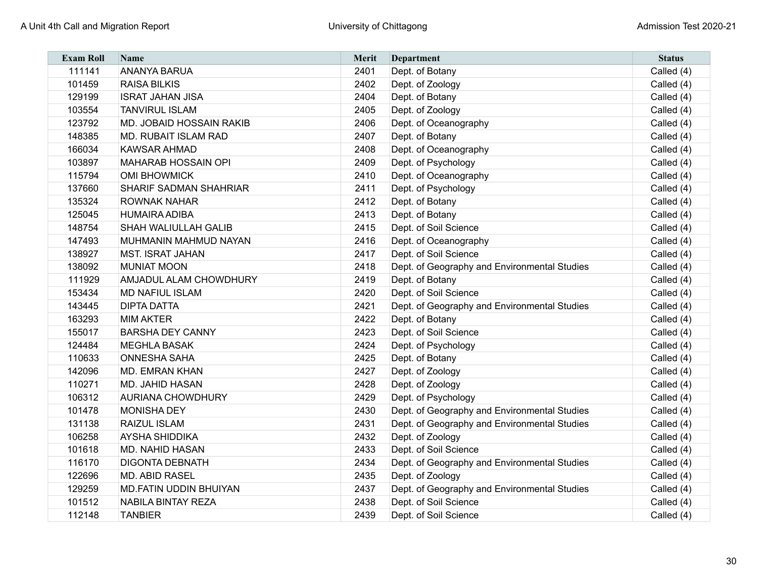| <b>Exam Roll</b> | Name                            | Merit | <b>Department</b>                            | <b>Status</b> |
|------------------|---------------------------------|-------|----------------------------------------------|---------------|
| 111141           | <b>ANANYA BARUA</b>             | 2401  | Dept. of Botany                              | Called (4)    |
| 101459           | <b>RAISA BILKIS</b>             | 2402  | Dept. of Zoology                             | Called (4)    |
| 129199           | <b>ISRAT JAHAN JISA</b>         | 2404  | Dept. of Botany                              | Called (4)    |
| 103554           | <b>TANVIRUL ISLAM</b>           | 2405  | Dept. of Zoology                             | Called (4)    |
| 123792           | <b>MD. JOBAID HOSSAIN RAKIB</b> | 2406  | Dept. of Oceanography                        | Called (4)    |
| 148385           | MD. RUBAIT ISLAM RAD            | 2407  | Dept. of Botany                              | Called (4)    |
| 166034           | <b>KAWSAR AHMAD</b>             | 2408  | Dept. of Oceanography                        | Called (4)    |
| 103897           | <b>MAHARAB HOSSAIN OPI</b>      | 2409  | Dept. of Psychology                          | Called (4)    |
| 115794           | <b>OMI BHOWMICK</b>             | 2410  | Dept. of Oceanography                        | Called (4)    |
| 137660           | <b>SHARIF SADMAN SHAHRIAR</b>   | 2411  | Dept. of Psychology                          | Called (4)    |
| 135324           | <b>ROWNAK NAHAR</b>             | 2412  | Dept. of Botany                              | Called (4)    |
| 125045           | <b>HUMAIRA ADIBA</b>            | 2413  | Dept. of Botany                              | Called (4)    |
| 148754           | <b>SHAH WALIULLAH GALIB</b>     | 2415  | Dept. of Soil Science                        | Called (4)    |
| 147493           | MUHMANIN MAHMUD NAYAN           | 2416  | Dept. of Oceanography                        | Called (4)    |
| 138927           | <b>MST. ISRAT JAHAN</b>         | 2417  | Dept. of Soil Science                        | Called (4)    |
| 138092           | <b>MUNIAT MOON</b>              | 2418  | Dept. of Geography and Environmental Studies | Called (4)    |
| 111929           | AMJADUL ALAM CHOWDHURY          | 2419  | Dept. of Botany                              | Called (4)    |
| 153434           | <b>MD NAFIUL ISLAM</b>          | 2420  | Dept. of Soil Science                        | Called (4)    |
| 143445           | <b>DIPTA DATTA</b>              | 2421  | Dept. of Geography and Environmental Studies | Called (4)    |
| 163293           | <b>MIM AKTER</b>                | 2422  | Dept. of Botany                              | Called (4)    |
| 155017           | <b>BARSHA DEY CANNY</b>         | 2423  | Dept. of Soil Science                        | Called (4)    |
| 124484           | <b>MEGHLA BASAK</b>             | 2424  | Dept. of Psychology                          | Called (4)    |
| 110633           | <b>ONNESHA SAHA</b>             | 2425  | Dept. of Botany                              | Called (4)    |
| 142096           | <b>MD. EMRAN KHAN</b>           | 2427  | Dept. of Zoology                             | Called (4)    |
| 110271           | <b>MD. JAHID HASAN</b>          | 2428  | Dept. of Zoology                             | Called (4)    |
| 106312           | <b>AURIANA CHOWDHURY</b>        | 2429  | Dept. of Psychology                          | Called (4)    |
| 101478           | <b>MONISHA DEY</b>              | 2430  | Dept. of Geography and Environmental Studies | Called (4)    |
| 131138           | <b>RAIZUL ISLAM</b>             | 2431  | Dept. of Geography and Environmental Studies | Called (4)    |
| 106258           | <b>AYSHA SHIDDIKA</b>           | 2432  | Dept. of Zoology                             | Called (4)    |
| 101618           | <b>MD. NAHID HASAN</b>          | 2433  | Dept. of Soil Science                        | Called (4)    |
| 116170           | <b>DIGONTA DEBNATH</b>          | 2434  | Dept. of Geography and Environmental Studies | Called (4)    |
| 122696           | <b>MD. ABID RASEL</b>           | 2435  | Dept. of Zoology                             | Called (4)    |
| 129259           | <b>MD.FATIN UDDIN BHUIYAN</b>   | 2437  | Dept. of Geography and Environmental Studies | Called (4)    |
| 101512           | <b>NABILA BINTAY REZA</b>       | 2438  | Dept. of Soil Science                        | Called (4)    |
| 112148           | <b>TANBIER</b>                  | 2439  | Dept. of Soil Science                        | Called (4)    |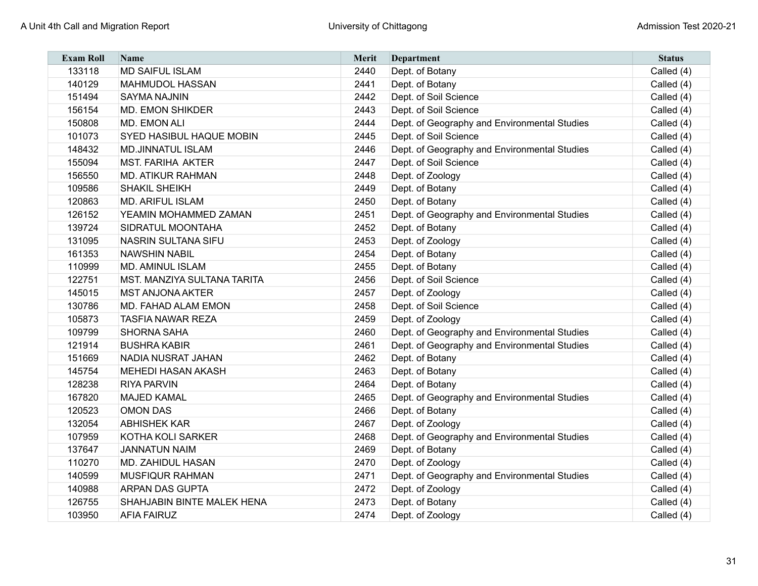| <b>Exam Roll</b> | Name                               | Merit | Department                                   | <b>Status</b> |
|------------------|------------------------------------|-------|----------------------------------------------|---------------|
| 133118           | <b>MD SAIFUL ISLAM</b>             | 2440  | Dept. of Botany                              | Called (4)    |
| 140129           | <b>MAHMUDOL HASSAN</b>             | 2441  | Dept. of Botany                              | Called (4)    |
| 151494           | <b>SAYMA NAJNIN</b>                | 2442  | Dept. of Soil Science                        | Called (4)    |
| 156154           | <b>MD. EMON SHIKDER</b>            | 2443  | Dept. of Soil Science                        | Called (4)    |
| 150808           | MD. EMON ALI                       | 2444  | Dept. of Geography and Environmental Studies | Called (4)    |
| 101073           | <b>SYED HASIBUL HAQUE MOBIN</b>    | 2445  | Dept. of Soil Science                        | Called (4)    |
| 148432           | <b>MD.JINNATUL ISLAM</b>           | 2446  | Dept. of Geography and Environmental Studies | Called (4)    |
| 155094           | <b>MST. FARIHA AKTER</b>           | 2447  | Dept. of Soil Science                        | Called (4)    |
| 156550           | <b>MD. ATIKUR RAHMAN</b>           | 2448  | Dept. of Zoology                             | Called (4)    |
| 109586           | <b>SHAKIL SHEIKH</b>               | 2449  | Dept. of Botany                              | Called (4)    |
| 120863           | <b>MD. ARIFUL ISLAM</b>            | 2450  | Dept. of Botany                              | Called (4)    |
| 126152           | YEAMIN MOHAMMED ZAMAN              | 2451  | Dept. of Geography and Environmental Studies | Called (4)    |
| 139724           | SIDRATUL MOONTAHA                  | 2452  | Dept. of Botany                              | Called (4)    |
| 131095           | <b>NASRIN SULTANA SIFU</b>         | 2453  | Dept. of Zoology                             | Called (4)    |
| 161353           | <b>NAWSHIN NABIL</b>               | 2454  | Dept. of Botany                              | Called (4)    |
| 110999           | <b>MD. AMINUL ISLAM</b>            | 2455  | Dept. of Botany                              | Called (4)    |
| 122751           | <b>MST. MANZIYA SULTANA TARITA</b> | 2456  | Dept. of Soil Science                        | Called (4)    |
| 145015           | <b>MST ANJONA AKTER</b>            | 2457  | Dept. of Zoology                             | Called (4)    |
| 130786           | MD. FAHAD ALAM EMON                | 2458  | Dept. of Soil Science                        | Called (4)    |
| 105873           | <b>TASFIA NAWAR REZA</b>           | 2459  | Dept. of Zoology                             | Called (4)    |
| 109799           | <b>SHORNA SAHA</b>                 | 2460  | Dept. of Geography and Environmental Studies | Called (4)    |
| 121914           | <b>BUSHRA KABIR</b>                | 2461  | Dept. of Geography and Environmental Studies | Called (4)    |
| 151669           | NADIA NUSRAT JAHAN                 | 2462  | Dept. of Botany                              | Called (4)    |
| 145754           | <b>MEHEDI HASAN AKASH</b>          | 2463  | Dept. of Botany                              | Called (4)    |
| 128238           | <b>RIYA PARVIN</b>                 | 2464  | Dept. of Botany                              | Called (4)    |
| 167820           | <b>MAJED KAMAL</b>                 | 2465  | Dept. of Geography and Environmental Studies | Called (4)    |
| 120523           | <b>OMON DAS</b>                    | 2466  | Dept. of Botany                              | Called (4)    |
| 132054           | <b>ABHISHEK KAR</b>                | 2467  | Dept. of Zoology                             | Called (4)    |
| 107959           | <b>KOTHA KOLI SARKER</b>           | 2468  | Dept. of Geography and Environmental Studies | Called (4)    |
| 137647           | <b>JANNATUN NAIM</b>               | 2469  | Dept. of Botany                              | Called (4)    |
| 110270           | <b>MD. ZAHIDUL HASAN</b>           | 2470  | Dept. of Zoology                             | Called (4)    |
| 140599           | <b>MUSFIQUR RAHMAN</b>             | 2471  | Dept. of Geography and Environmental Studies | Called (4)    |
| 140988           | <b>ARPAN DAS GUPTA</b>             | 2472  | Dept. of Zoology                             | Called (4)    |
| 126755           | SHAHJABIN BINTE MALEK HENA         | 2473  | Dept. of Botany                              | Called (4)    |
| 103950           | <b>AFIA FAIRUZ</b>                 | 2474  | Dept. of Zoology                             | Called (4)    |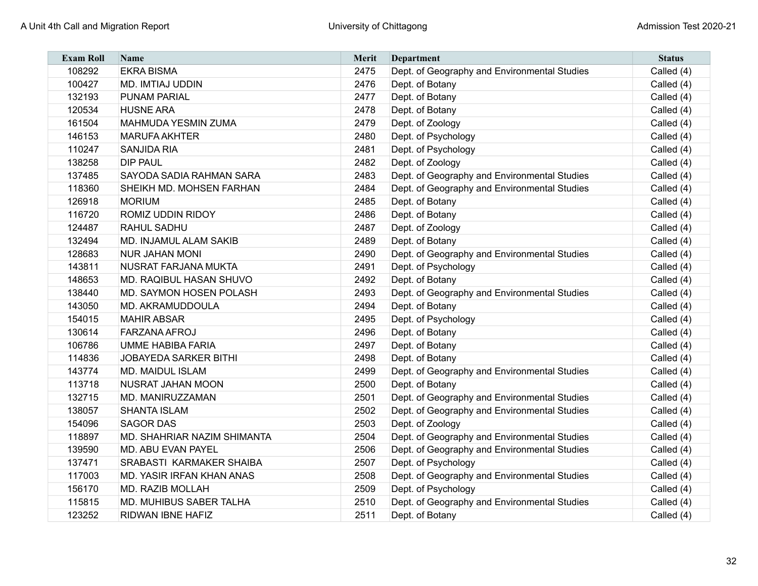| <b>Exam Roll</b> | <b>Name</b>                        | <b>Merit</b> | Department                                   | <b>Status</b> |
|------------------|------------------------------------|--------------|----------------------------------------------|---------------|
| 108292           | <b>EKRA BISMA</b>                  | 2475         | Dept. of Geography and Environmental Studies | Called (4)    |
| 100427           | <b>MD. IMTIAJ UDDIN</b>            | 2476         | Dept. of Botany                              | Called (4)    |
| 132193           | <b>PUNAM PARIAL</b>                | 2477         | Dept. of Botany                              | Called (4)    |
| 120534           | <b>HUSNE ARA</b>                   | 2478         | Dept. of Botany                              | Called (4)    |
| 161504           | <b>MAHMUDA YESMIN ZUMA</b>         | 2479         | Dept. of Zoology                             | Called (4)    |
| 146153           | <b>MARUFA AKHTER</b>               | 2480         | Dept. of Psychology                          | Called (4)    |
| 110247           | <b>SANJIDA RIA</b>                 | 2481         | Dept. of Psychology                          | Called (4)    |
| 138258           | <b>DIP PAUL</b>                    | 2482         | Dept. of Zoology                             | Called (4)    |
| 137485           | SAYODA SADIA RAHMAN SARA           | 2483         | Dept. of Geography and Environmental Studies | Called (4)    |
| 118360           | SHEIKH MD. MOHSEN FARHAN           | 2484         | Dept. of Geography and Environmental Studies | Called (4)    |
| 126918           | <b>MORIUM</b>                      | 2485         | Dept. of Botany                              | Called (4)    |
| 116720           | ROMIZ UDDIN RIDOY                  | 2486         | Dept. of Botany                              | Called (4)    |
| 124487           | RAHUL SADHU                        | 2487         | Dept. of Zoology                             | Called (4)    |
| 132494           | <b>MD. INJAMUL ALAM SAKIB</b>      | 2489         | Dept. of Botany                              | Called (4)    |
| 128683           | <b>NUR JAHAN MONI</b>              | 2490         | Dept. of Geography and Environmental Studies | Called (4)    |
| 143811           | <b>NUSRAT FARJANA MUKTA</b>        | 2491         | Dept. of Psychology                          | Called (4)    |
| 148653           | MD. RAQIBUL HASAN SHUVO            | 2492         | Dept. of Botany                              | Called (4)    |
| 138440           | <b>MD. SAYMON HOSEN POLASH</b>     | 2493         | Dept. of Geography and Environmental Studies | Called (4)    |
| 143050           | MD. AKRAMUDDOULA                   | 2494         | Dept. of Botany                              | Called (4)    |
| 154015           | <b>MAHIR ABSAR</b>                 | 2495         | Dept. of Psychology                          | Called (4)    |
| 130614           | <b>FARZANA AFROJ</b>               | 2496         | Dept. of Botany                              | Called (4)    |
| 106786           | <b>UMME HABIBA FARIA</b>           | 2497         | Dept. of Botany                              | Called (4)    |
| 114836           | <b>JOBAYEDA SARKER BITHI</b>       | 2498         | Dept. of Botany                              | Called (4)    |
| 143774           | <b>MD. MAIDUL ISLAM</b>            | 2499         | Dept. of Geography and Environmental Studies | Called (4)    |
| 113718           | <b>NUSRAT JAHAN MOON</b>           | 2500         | Dept. of Botany                              | Called (4)    |
| 132715           | MD. MANIRUZZAMAN                   | 2501         | Dept. of Geography and Environmental Studies | Called (4)    |
| 138057           | <b>SHANTA ISLAM</b>                | 2502         | Dept. of Geography and Environmental Studies | Called (4)    |
| 154096           | <b>SAGOR DAS</b>                   | 2503         | Dept. of Zoology                             | Called (4)    |
| 118897           | <b>MD. SHAHRIAR NAZIM SHIMANTA</b> | 2504         | Dept. of Geography and Environmental Studies | Called (4)    |
| 139590           | <b>MD. ABU EVAN PAYEL</b>          | 2506         | Dept. of Geography and Environmental Studies | Called (4)    |
| 137471           | SRABASTI KARMAKER SHAIBA           | 2507         | Dept. of Psychology                          | Called (4)    |
| 117003           | <b>MD. YASIR IRFAN KHAN ANAS</b>   | 2508         | Dept. of Geography and Environmental Studies | Called (4)    |
| 156170           | <b>MD. RAZIB MOLLAH</b>            | 2509         | Dept. of Psychology                          | Called (4)    |
| 115815           | <b>MD. MUHIBUS SABER TALHA</b>     | 2510         | Dept. of Geography and Environmental Studies | Called (4)    |
| 123252           | RIDWAN IBNE HAFIZ                  | 2511         | Dept. of Botany                              | Called (4)    |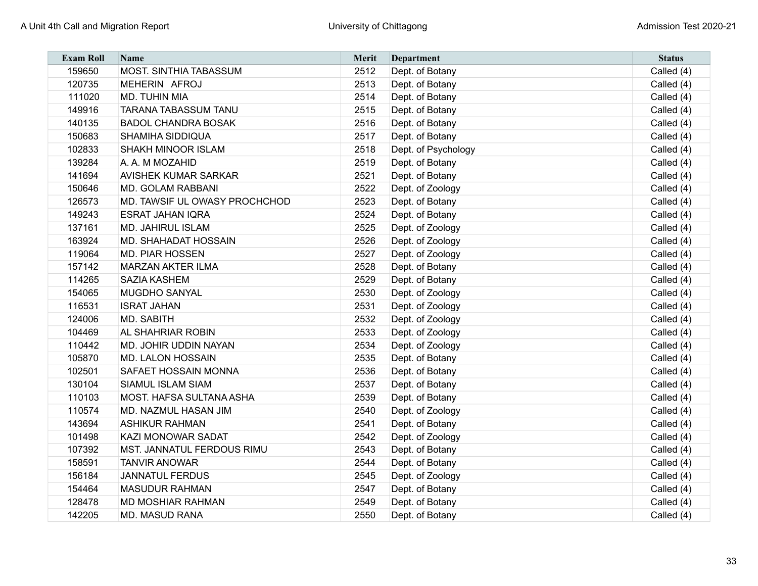| <b>Exam Roll</b> | <b>Name</b>                   | <b>Merit</b> | Department          | <b>Status</b> |
|------------------|-------------------------------|--------------|---------------------|---------------|
| 159650           | <b>MOST. SINTHIA TABASSUM</b> | 2512         | Dept. of Botany     | Called (4)    |
| 120735           | MEHERIN AFROJ                 | 2513         | Dept. of Botany     | Called (4)    |
| 111020           | <b>MD. TUHIN MIA</b>          | 2514         | Dept. of Botany     | Called (4)    |
| 149916           | <b>TARANA TABASSUM TANU</b>   | 2515         | Dept. of Botany     | Called (4)    |
| 140135           | <b>BADOL CHANDRA BOSAK</b>    | 2516         | Dept. of Botany     | Called (4)    |
| 150683           | <b>SHAMIHA SIDDIQUA</b>       | 2517         | Dept. of Botany     | Called (4)    |
| 102833           | <b>SHAKH MINOOR ISLAM</b>     | 2518         | Dept. of Psychology | Called (4)    |
| 139284           | A. A. M MOZAHID               | 2519         | Dept. of Botany     | Called (4)    |
| 141694           | <b>AVISHEK KUMAR SARKAR</b>   | 2521         | Dept. of Botany     | Called (4)    |
| 150646           | <b>MD. GOLAM RABBANI</b>      | 2522         | Dept. of Zoology    | Called (4)    |
| 126573           | MD. TAWSIF UL OWASY PROCHCHOD | 2523         | Dept. of Botany     | Called (4)    |
| 149243           | ESRAT JAHAN IQRA              | 2524         | Dept. of Botany     | Called (4)    |
| 137161           | <b>MD. JAHIRUL ISLAM</b>      | 2525         | Dept. of Zoology    | Called (4)    |
| 163924           | <b>MD. SHAHADAT HOSSAIN</b>   | 2526         | Dept. of Zoology    | Called (4)    |
| 119064           | <b>MD. PIAR HOSSEN</b>        | 2527         | Dept. of Zoology    | Called (4)    |
| 157142           | <b>MARZAN AKTER ILMA</b>      | 2528         | Dept. of Botany     | Called (4)    |
| 114265           | <b>SAZIA KASHEM</b>           | 2529         | Dept. of Botany     | Called (4)    |
| 154065           | <b>MUGDHO SANYAL</b>          | 2530         | Dept. of Zoology    | Called (4)    |
| 116531           | <b>ISRAT JAHAN</b>            | 2531         | Dept. of Zoology    | Called (4)    |
| 124006           | MD. SABITH                    | 2532         | Dept. of Zoology    | Called (4)    |
| 104469           | <b>AL SHAHRIAR ROBIN</b>      | 2533         | Dept. of Zoology    | Called (4)    |
| 110442           | MD. JOHIR UDDIN NAYAN         | 2534         | Dept. of Zoology    | Called (4)    |
| 105870           | <b>MD. LALON HOSSAIN</b>      | 2535         | Dept. of Botany     | Called (4)    |
| 102501           | <b>SAFAET HOSSAIN MONNA</b>   | 2536         | Dept. of Botany     | Called (4)    |
| 130104           | <b>SIAMUL ISLAM SIAM</b>      | 2537         | Dept. of Botany     | Called (4)    |
| 110103           | MOST. HAFSA SULTANA ASHA      | 2539         | Dept. of Botany     | Called (4)    |
| 110574           | MD. NAZMUL HASAN JIM          | 2540         | Dept. of Zoology    | Called (4)    |
| 143694           | <b>ASHIKUR RAHMAN</b>         | 2541         | Dept. of Botany     | Called (4)    |
| 101498           | <b>KAZI MONOWAR SADAT</b>     | 2542         | Dept. of Zoology    | Called (4)    |
| 107392           | MST. JANNATUL FERDOUS RIMU    | 2543         | Dept. of Botany     | Called (4)    |
| 158591           | <b>TANVIR ANOWAR</b>          | 2544         | Dept. of Botany     | Called (4)    |
| 156184           | <b>JANNATUL FERDUS</b>        | 2545         | Dept. of Zoology    | Called (4)    |
| 154464           | <b>MASUDUR RAHMAN</b>         | 2547         | Dept. of Botany     | Called (4)    |
| 128478           | <b>MD MOSHIAR RAHMAN</b>      | 2549         | Dept. of Botany     | Called (4)    |
| 142205           | <b>MD. MASUD RANA</b>         | 2550         | Dept. of Botany     | Called (4)    |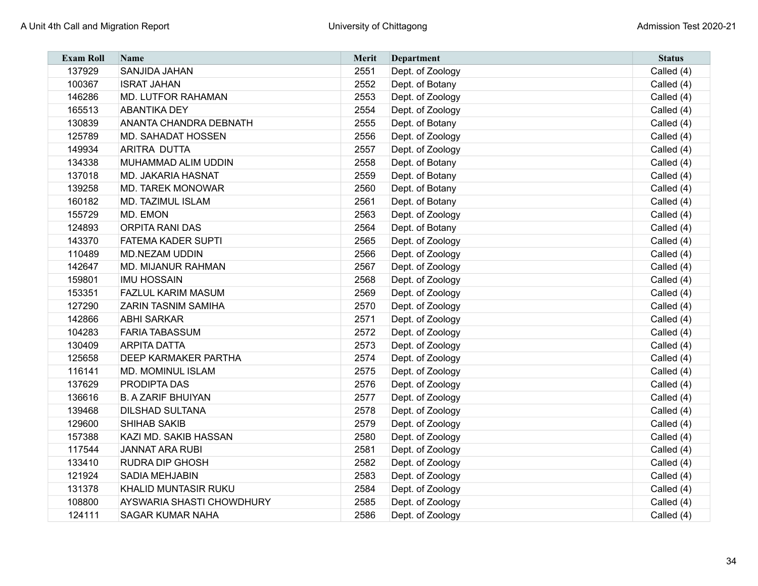| <b>Exam Roll</b> | <b>Name</b>                   | Merit | <b>Department</b> | <b>Status</b> |
|------------------|-------------------------------|-------|-------------------|---------------|
| 137929           | <b>SANJIDA JAHAN</b>          | 2551  | Dept. of Zoology  | Called (4)    |
| 100367           | <b>ISRAT JAHAN</b>            | 2552  | Dept. of Botany   | Called (4)    |
| 146286           | <b>MD. LUTFOR RAHAMAN</b>     | 2553  | Dept. of Zoology  | Called (4)    |
| 165513           | <b>ABANTIKA DEY</b>           | 2554  | Dept. of Zoology  | Called (4)    |
| 130839           | <b>ANANTA CHANDRA DEBNATH</b> | 2555  | Dept. of Botany   | Called (4)    |
| 125789           | <b>MD. SAHADAT HOSSEN</b>     | 2556  | Dept. of Zoology  | Called (4)    |
| 149934           | <b>ARITRA DUTTA</b>           | 2557  | Dept. of Zoology  | Called (4)    |
| 134338           | MUHAMMAD ALIM UDDIN           | 2558  | Dept. of Botany   | Called (4)    |
| 137018           | <b>MD. JAKARIA HASNAT</b>     | 2559  | Dept. of Botany   | Called (4)    |
| 139258           | <b>MD. TAREK MONOWAR</b>      | 2560  | Dept. of Botany   | Called (4)    |
| 160182           | <b>MD. TAZIMUL ISLAM</b>      | 2561  | Dept. of Botany   | Called (4)    |
| 155729           | MD. EMON                      | 2563  | Dept. of Zoology  | Called (4)    |
| 124893           | <b>ORPITA RANI DAS</b>        | 2564  | Dept. of Botany   | Called (4)    |
| 143370           | <b>FATEMA KADER SUPTI</b>     | 2565  | Dept. of Zoology  | Called (4)    |
| 110489           | <b>MD.NEZAM UDDIN</b>         | 2566  | Dept. of Zoology  | Called (4)    |
| 142647           | <b>MD. MIJANUR RAHMAN</b>     | 2567  | Dept. of Zoology  | Called (4)    |
| 159801           | <b>IMU HOSSAIN</b>            | 2568  | Dept. of Zoology  | Called (4)    |
| 153351           | <b>FAZLUL KARIM MASUM</b>     | 2569  | Dept. of Zoology  | Called (4)    |
| 127290           | <b>ZARIN TASNIM SAMIHA</b>    | 2570  | Dept. of Zoology  | Called (4)    |
| 142866           | <b>ABHI SARKAR</b>            | 2571  | Dept. of Zoology  | Called (4)    |
| 104283           | <b>FARIA TABASSUM</b>         | 2572  | Dept. of Zoology  | Called (4)    |
| 130409           | <b>ARPITA DATTA</b>           | 2573  | Dept. of Zoology  | Called (4)    |
| 125658           | <b>DEEP KARMAKER PARTHA</b>   | 2574  | Dept. of Zoology  | Called (4)    |
| 116141           | <b>MD. MOMINUL ISLAM</b>      | 2575  | Dept. of Zoology  | Called (4)    |
| 137629           | PRODIPTA DAS                  | 2576  | Dept. of Zoology  | Called (4)    |
| 136616           | <b>B. A ZARIF BHUIYAN</b>     | 2577  | Dept. of Zoology  | Called (4)    |
| 139468           | <b>DILSHAD SULTANA</b>        | 2578  | Dept. of Zoology  | Called (4)    |
| 129600           | <b>SHIHAB SAKIB</b>           | 2579  | Dept. of Zoology  | Called (4)    |
| 157388           | KAZI MD. SAKIB HASSAN         | 2580  | Dept. of Zoology  | Called (4)    |
| 117544           | JANNAT ARA RUBI               | 2581  | Dept. of Zoology  | Called (4)    |
| 133410           | <b>RUDRA DIP GHOSH</b>        | 2582  | Dept. of Zoology  | Called (4)    |
| 121924           | SADIA MEHJABIN                | 2583  | Dept. of Zoology  | Called (4)    |
| 131378           | <b>KHALID MUNTASIR RUKU</b>   | 2584  | Dept. of Zoology  | Called (4)    |
| 108800           | AYSWARIA SHASTI CHOWDHURY     | 2585  | Dept. of Zoology  | Called (4)    |
| 124111           | <b>SAGAR KUMAR NAHA</b>       | 2586  | Dept. of Zoology  | Called (4)    |